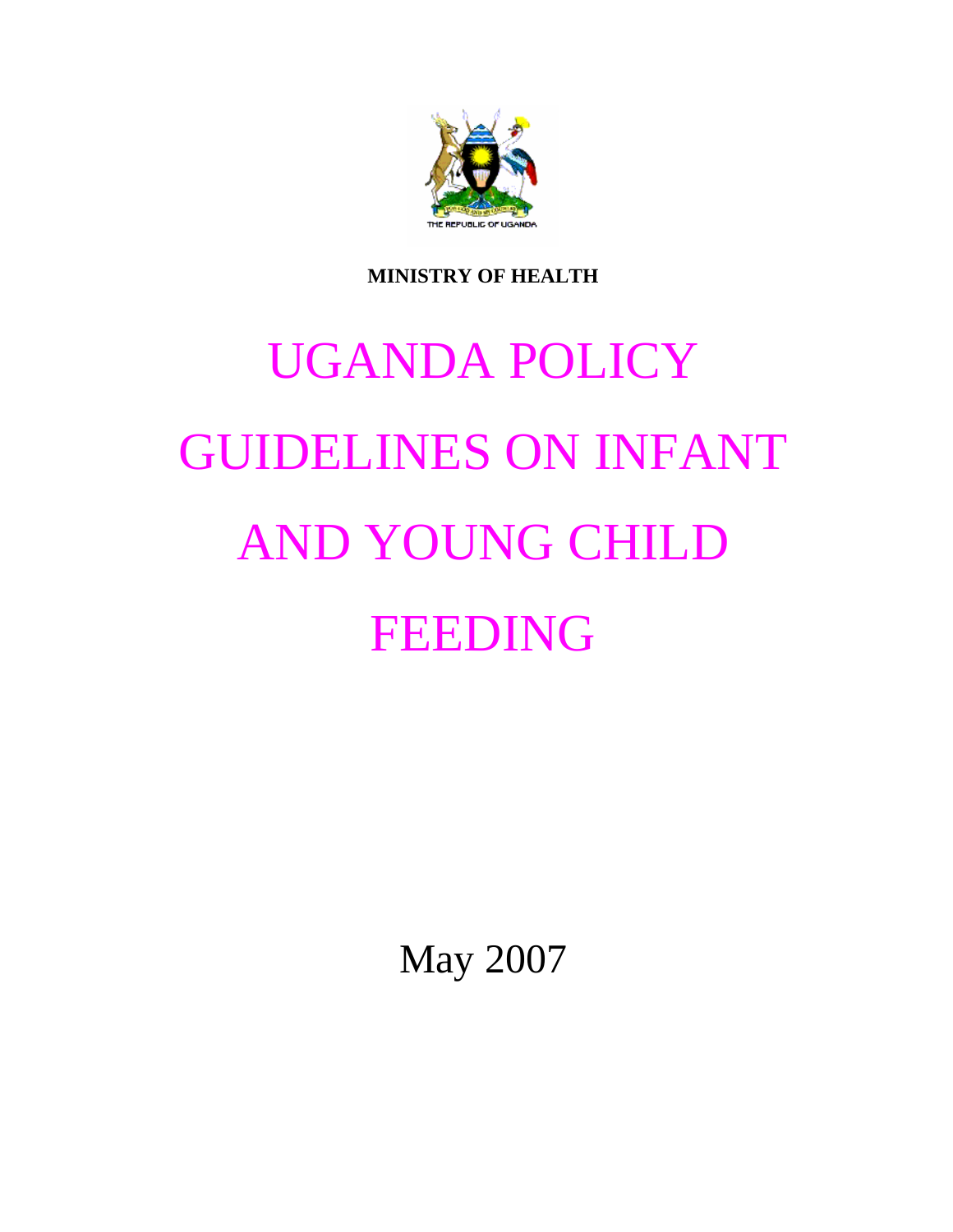

**MINISTRY OF HEALTH** 

# UGANDA POLICY GUIDELINES ON INFANT AND YOUNG CHILD FEEDING

May 2007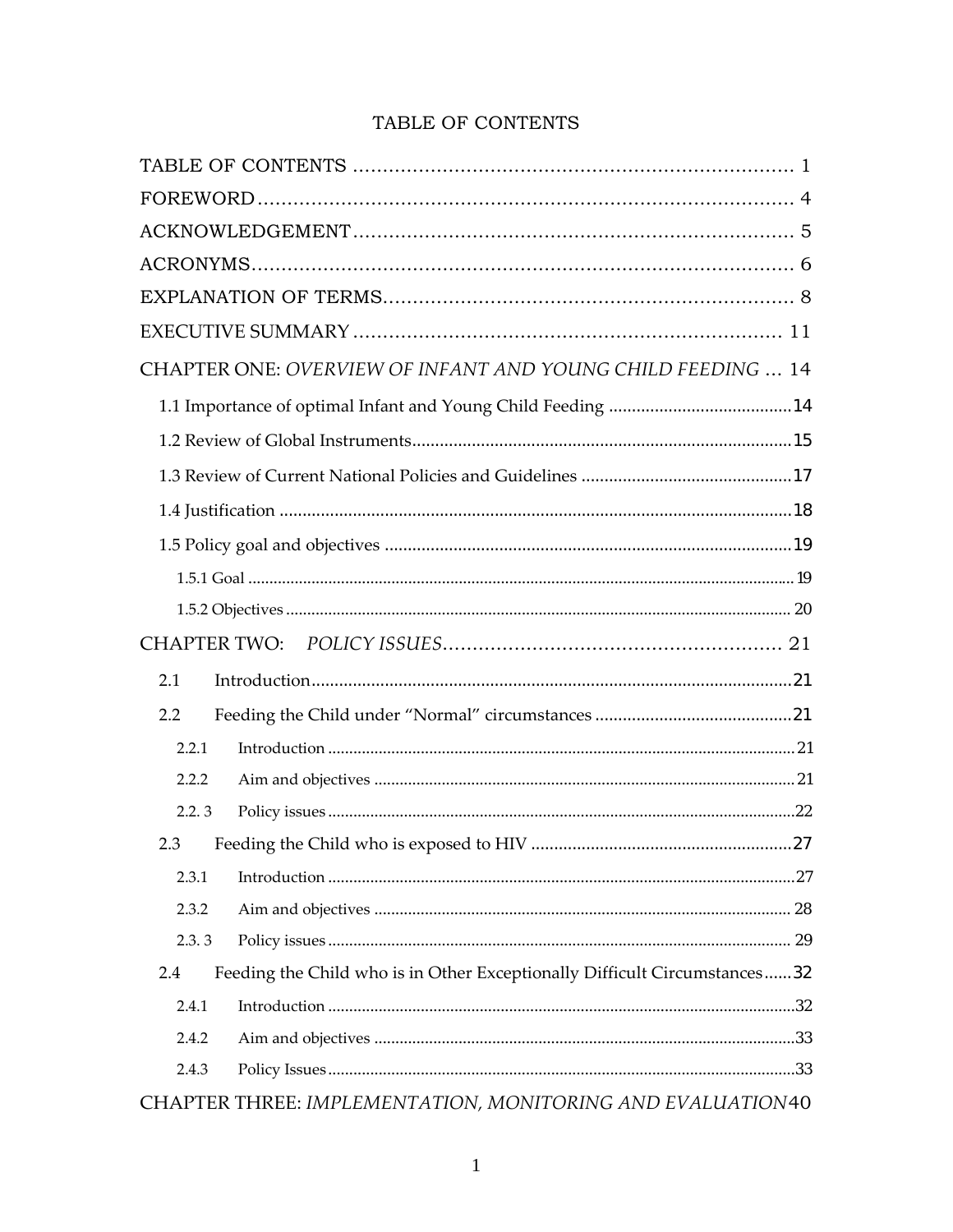| TABLE OF CONTENTS |
|-------------------|
|                   |

| CHAPTER ONE: OVERVIEW OF INFANT AND YOUNG CHILD FEEDING  14                      |  |
|----------------------------------------------------------------------------------|--|
|                                                                                  |  |
|                                                                                  |  |
|                                                                                  |  |
|                                                                                  |  |
|                                                                                  |  |
|                                                                                  |  |
|                                                                                  |  |
|                                                                                  |  |
| 2.1                                                                              |  |
| 2.2                                                                              |  |
| 2.2.1                                                                            |  |
| 2.2.2                                                                            |  |
| 2.2.3                                                                            |  |
| 2.3                                                                              |  |
| 2.3.1                                                                            |  |
| 2.3.2                                                                            |  |
| 2.3.3                                                                            |  |
| Feeding the Child who is in Other Exceptionally Difficult Circumstances32<br>2.4 |  |
| 2.4.1                                                                            |  |
| 2.4.2                                                                            |  |
| 2.4.3                                                                            |  |
| CHAPTER THREE: IMPLEMENTATION, MONITORING AND EVALUATION40                       |  |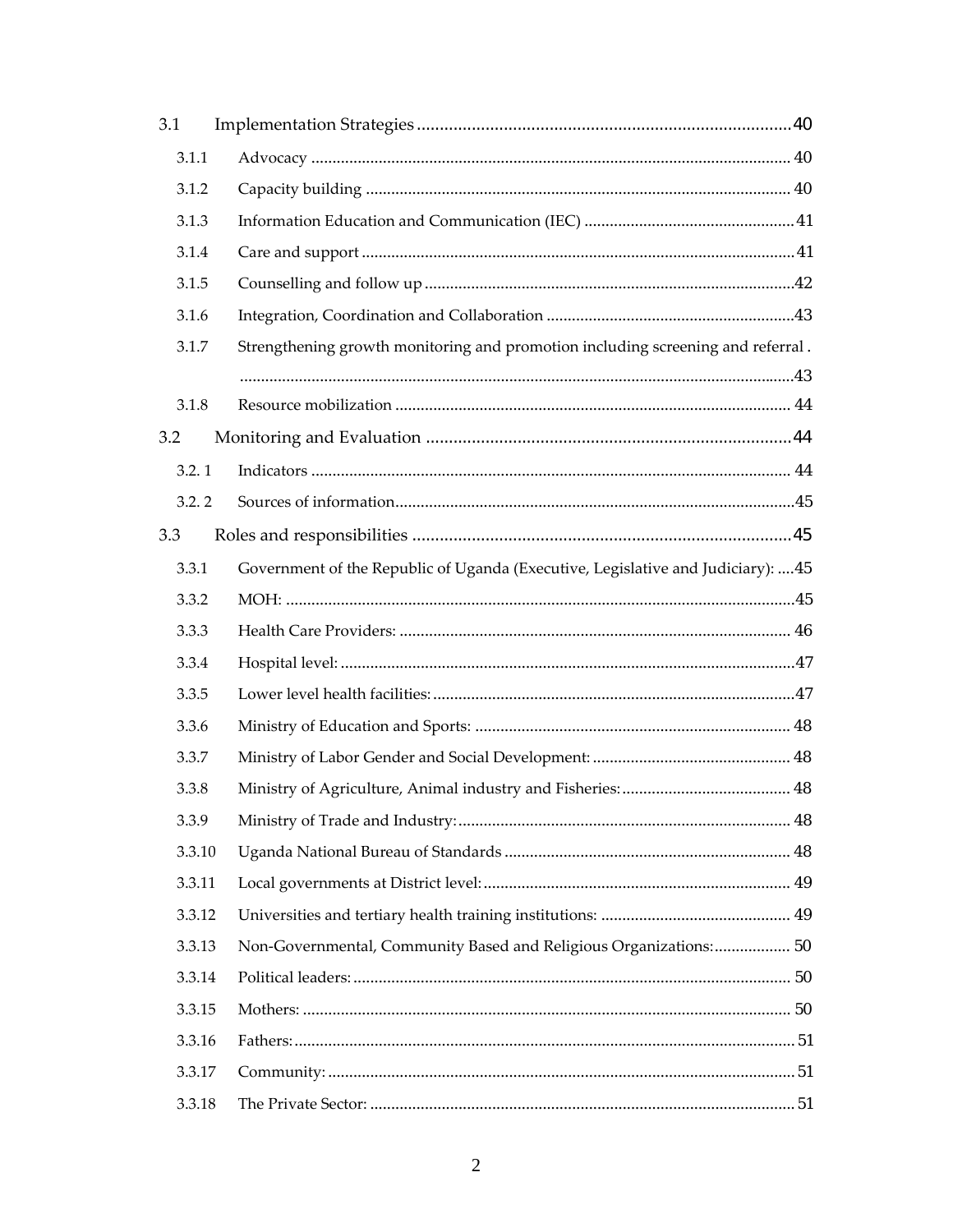| 3.1    |                                                                                  |  |
|--------|----------------------------------------------------------------------------------|--|
| 3.1.1  |                                                                                  |  |
| 3.1.2  |                                                                                  |  |
| 3.1.3  |                                                                                  |  |
| 3.1.4  |                                                                                  |  |
| 3.1.5  |                                                                                  |  |
| 3.1.6  |                                                                                  |  |
| 3.1.7  | Strengthening growth monitoring and promotion including screening and referral.  |  |
|        |                                                                                  |  |
| 3.1.8  |                                                                                  |  |
| 3.2    |                                                                                  |  |
| 3.2.1  |                                                                                  |  |
| 3.2.2  |                                                                                  |  |
| 3.3    |                                                                                  |  |
| 3.3.1  | Government of the Republic of Uganda (Executive, Legislative and Judiciary):  45 |  |
| 3.3.2  |                                                                                  |  |
| 3.3.3  |                                                                                  |  |
| 3.3.4  |                                                                                  |  |
| 3.3.5  |                                                                                  |  |
| 3.3.6  |                                                                                  |  |
| 3.3.7  |                                                                                  |  |
| 3.3.8  |                                                                                  |  |
| 3.3.9  |                                                                                  |  |
| 3.3.10 |                                                                                  |  |
| 3.3.11 |                                                                                  |  |
| 3.3.12 |                                                                                  |  |
| 3.3.13 | Non-Governmental, Community Based and Religious Organizations: 50                |  |
| 3.3.14 |                                                                                  |  |
| 3.3.15 |                                                                                  |  |
| 3.3.16 |                                                                                  |  |
| 3.3.17 |                                                                                  |  |
| 3.3.18 |                                                                                  |  |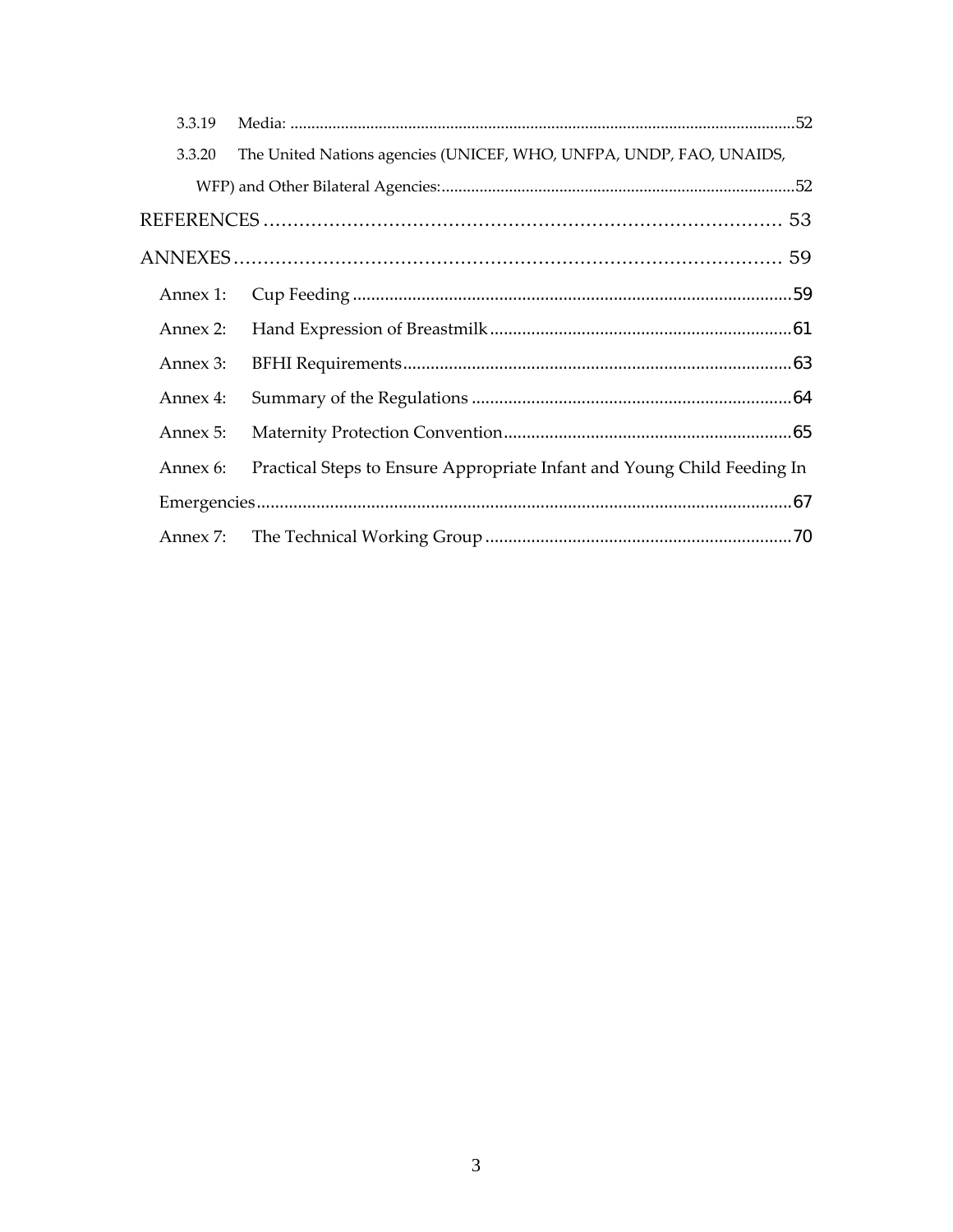| 3.3.19   |                                                                         |  |
|----------|-------------------------------------------------------------------------|--|
| 3.3.20   | The United Nations agencies (UNICEF, WHO, UNFPA, UNDP, FAO, UNAIDS,     |  |
|          |                                                                         |  |
|          |                                                                         |  |
|          |                                                                         |  |
| Annex 1: |                                                                         |  |
| Annex 2: |                                                                         |  |
| Annex 3: |                                                                         |  |
| Annex 4: |                                                                         |  |
| Annex 5: |                                                                         |  |
| Annex 6: | Practical Steps to Ensure Appropriate Infant and Young Child Feeding In |  |
|          |                                                                         |  |
| Annex 7: |                                                                         |  |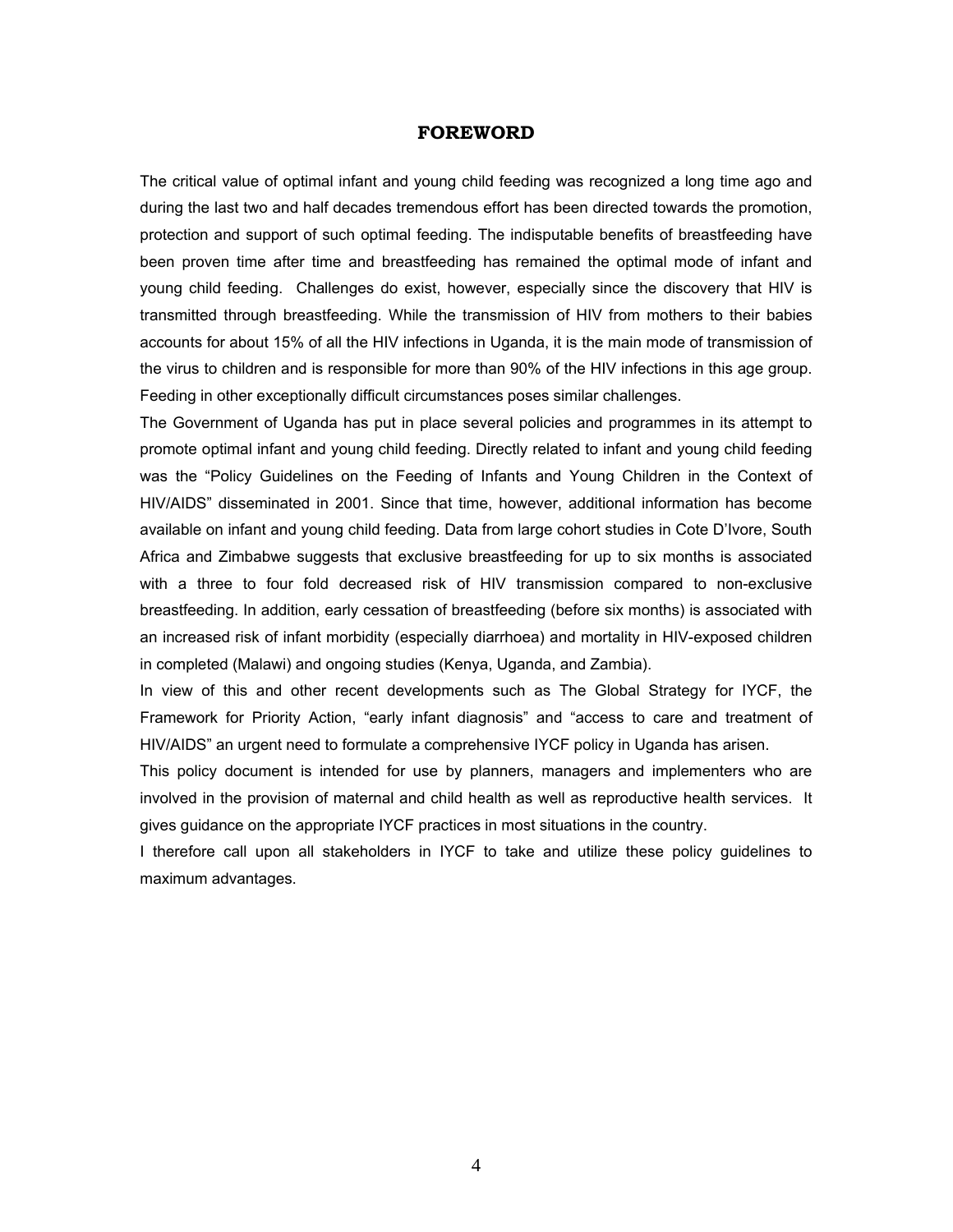# **FOREWORD**

The critical value of optimal infant and young child feeding was recognized a long time ago and during the last two and half decades tremendous effort has been directed towards the promotion, protection and support of such optimal feeding. The indisputable benefits of breastfeeding have been proven time after time and breastfeeding has remained the optimal mode of infant and young child feeding. Challenges do exist, however, especially since the discovery that HIV is transmitted through breastfeeding. While the transmission of HIV from mothers to their babies accounts for about 15% of all the HIV infections in Uganda, it is the main mode of transmission of the virus to children and is responsible for more than 90% of the HIV infections in this age group. Feeding in other exceptionally difficult circumstances poses similar challenges.

The Government of Uganda has put in place several policies and programmes in its attempt to promote optimal infant and young child feeding. Directly related to infant and young child feeding was the "Policy Guidelines on the Feeding of Infants and Young Children in the Context of HIV/AIDS" disseminated in 2001. Since that time, however, additional information has become available on infant and young child feeding. Data from large cohort studies in Cote D'Ivore, South Africa and Zimbabwe suggests that exclusive breastfeeding for up to six months is associated with a three to four fold decreased risk of HIV transmission compared to non-exclusive breastfeeding. In addition, early cessation of breastfeeding (before six months) is associated with an increased risk of infant morbidity (especially diarrhoea) and mortality in HIV-exposed children in completed (Malawi) and ongoing studies (Kenya, Uganda, and Zambia).

In view of this and other recent developments such as The Global Strategy for IYCF, the Framework for Priority Action, "early infant diagnosis" and "access to care and treatment of HIV/AIDS" an urgent need to formulate a comprehensive IYCF policy in Uganda has arisen.

This policy document is intended for use by planners, managers and implementers who are involved in the provision of maternal and child health as well as reproductive health services. It gives guidance on the appropriate IYCF practices in most situations in the country.

I therefore call upon all stakeholders in IYCF to take and utilize these policy guidelines to maximum advantages.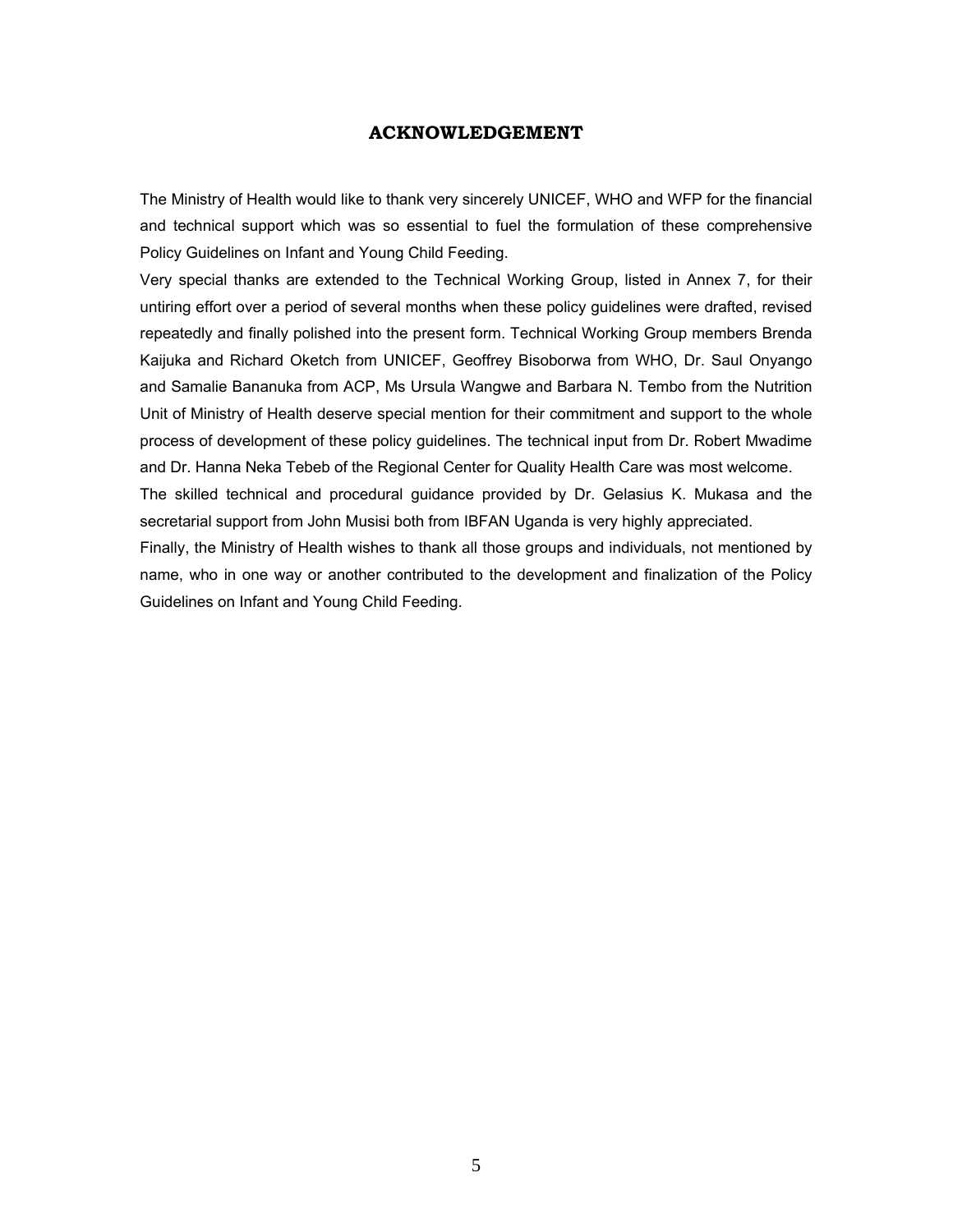# **ACKNOWLEDGEMENT**

The Ministry of Health would like to thank very sincerely UNICEF, WHO and WFP for the financial and technical support which was so essential to fuel the formulation of these comprehensive Policy Guidelines on Infant and Young Child Feeding.

Very special thanks are extended to the Technical Working Group, listed in Annex 7, for their untiring effort over a period of several months when these policy guidelines were drafted, revised repeatedly and finally polished into the present form. Technical Working Group members Brenda Kaijuka and Richard Oketch from UNICEF, Geoffrey Bisoborwa from WHO, Dr. Saul Onyango and Samalie Bananuka from ACP, Ms Ursula Wangwe and Barbara N. Tembo from the Nutrition Unit of Ministry of Health deserve special mention for their commitment and support to the whole process of development of these policy guidelines. The technical input from Dr. Robert Mwadime and Dr. Hanna Neka Tebeb of the Regional Center for Quality Health Care was most welcome. The skilled technical and procedural guidance provided by Dr. Gelasius K. Mukasa and the secretarial support from John Musisi both from IBFAN Uganda is very highly appreciated.

Finally, the Ministry of Health wishes to thank all those groups and individuals, not mentioned by name, who in one way or another contributed to the development and finalization of the Policy Guidelines on Infant and Young Child Feeding.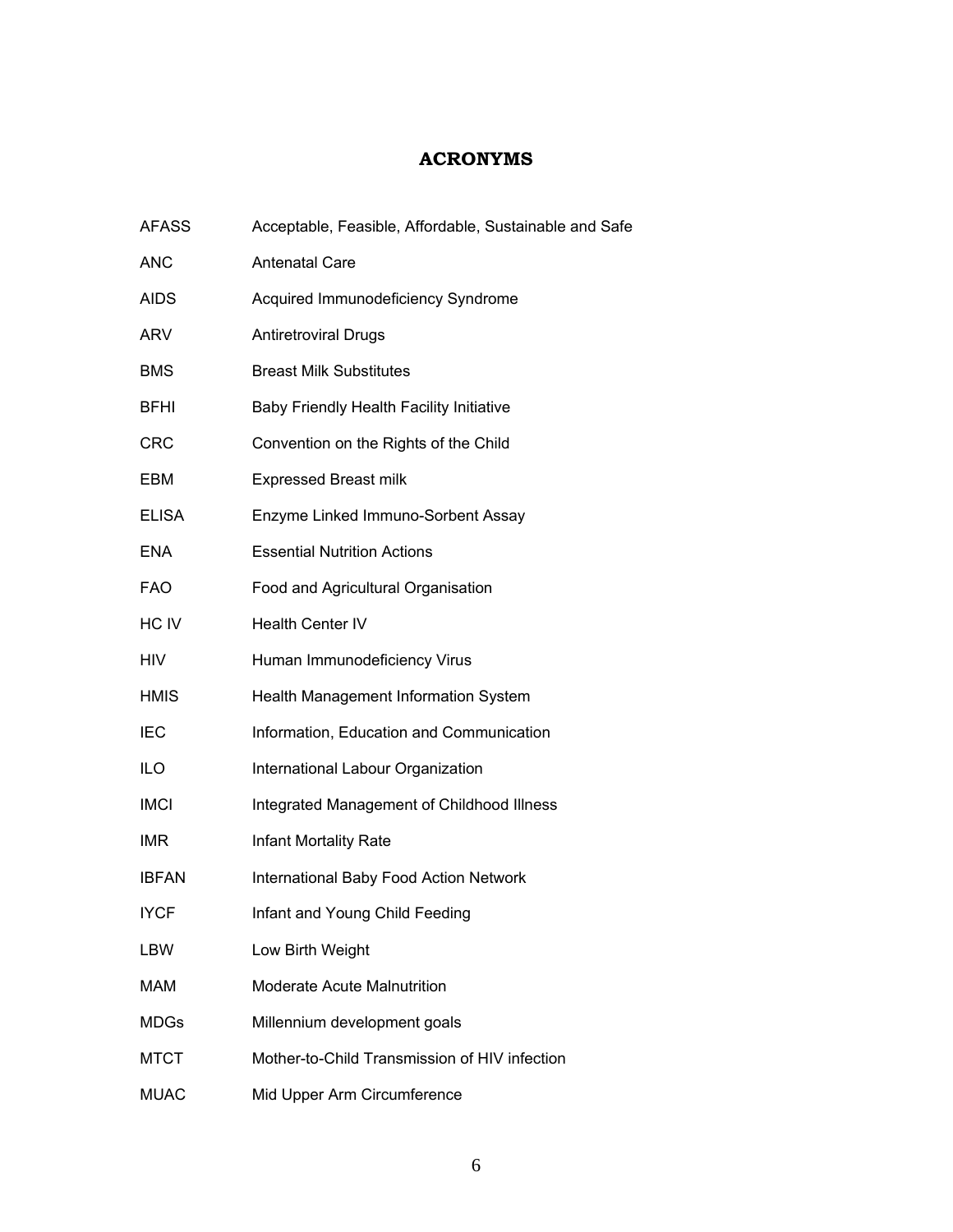# **ACRONYMS**

| <b>AFASS</b> | Acceptable, Feasible, Affordable, Sustainable and Safe |
|--------------|--------------------------------------------------------|
| <b>ANC</b>   | <b>Antenatal Care</b>                                  |
| <b>AIDS</b>  | Acquired Immunodeficiency Syndrome                     |
| <b>ARV</b>   | <b>Antiretroviral Drugs</b>                            |
| <b>BMS</b>   | <b>Breast Milk Substitutes</b>                         |
| <b>BFHI</b>  | Baby Friendly Health Facility Initiative               |
| <b>CRC</b>   | Convention on the Rights of the Child                  |
| EBM          | <b>Expressed Breast milk</b>                           |
| <b>ELISA</b> | Enzyme Linked Immuno-Sorbent Assay                     |
| <b>ENA</b>   | <b>Essential Nutrition Actions</b>                     |
| <b>FAO</b>   | Food and Agricultural Organisation                     |
| HC IV        | <b>Health Center IV</b>                                |
| <b>HIV</b>   | Human Immunodeficiency Virus                           |
| <b>HMIS</b>  | Health Management Information System                   |
| <b>IEC</b>   | Information, Education and Communication               |
| ILO          | International Labour Organization                      |
| <b>IMCI</b>  | Integrated Management of Childhood Illness             |
| <b>IMR</b>   | <b>Infant Mortality Rate</b>                           |
| <b>IBFAN</b> | International Baby Food Action Network                 |
| <b>IYCF</b>  | Infant and Young Child Feeding                         |
| LBW          | Low Birth Weight                                       |
| MAM          | <b>Moderate Acute Malnutrition</b>                     |
| <b>MDGs</b>  | Millennium development goals                           |
| <b>MTCT</b>  | Mother-to-Child Transmission of HIV infection          |
| <b>MUAC</b>  | Mid Upper Arm Circumference                            |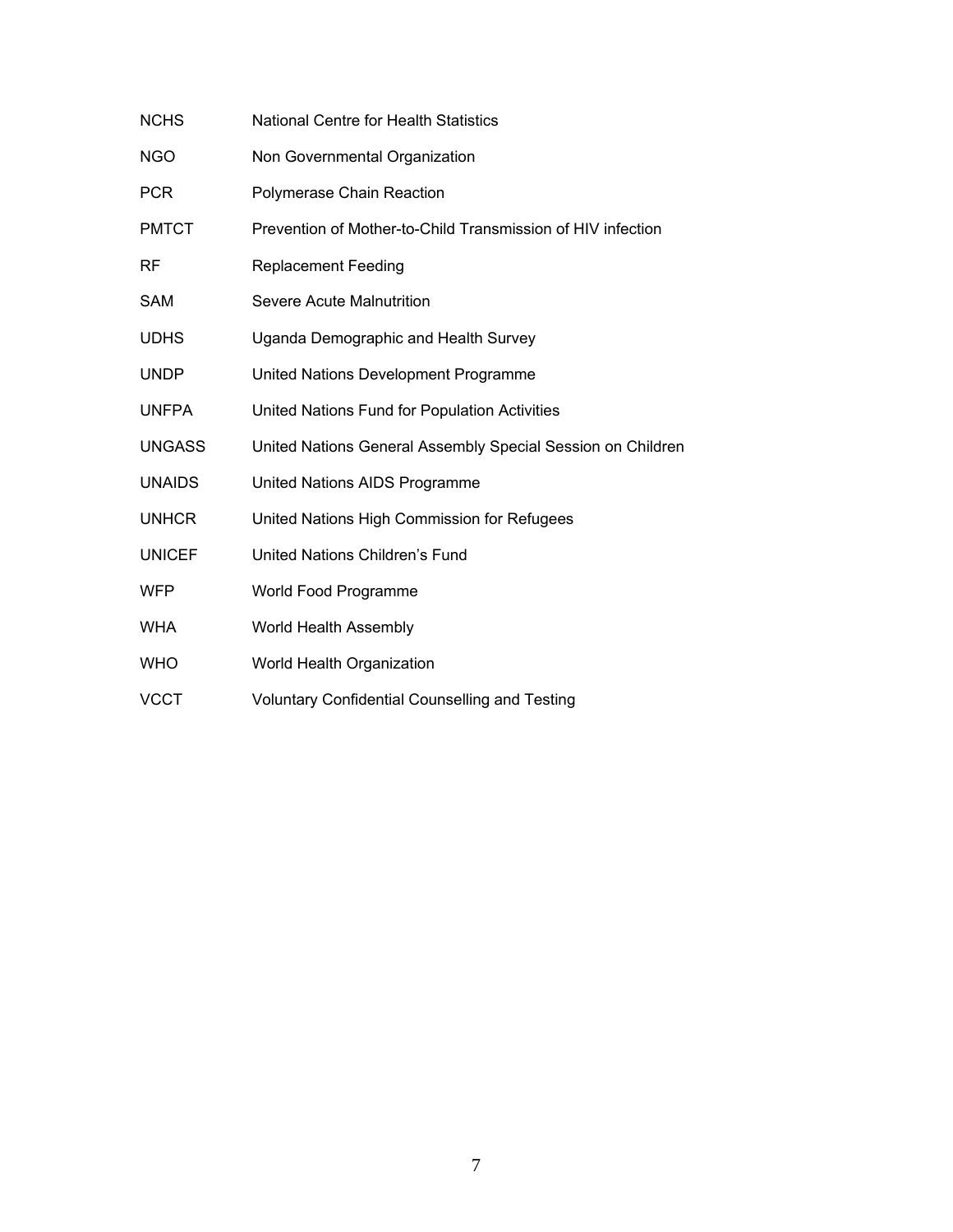| <b>NCHS</b>   | <b>National Centre for Health Statistics</b>                |
|---------------|-------------------------------------------------------------|
| <b>NGO</b>    | Non Governmental Organization                               |
| <b>PCR</b>    | Polymerase Chain Reaction                                   |
| <b>PMTCT</b>  | Prevention of Mother-to-Child Transmission of HIV infection |
| RF            | <b>Replacement Feeding</b>                                  |
| <b>SAM</b>    | Severe Acute Malnutrition                                   |
| <b>UDHS</b>   | Uganda Demographic and Health Survey                        |
| <b>UNDP</b>   | United Nations Development Programme                        |
| <b>UNFPA</b>  | United Nations Fund for Population Activities               |
| <b>UNGASS</b> | United Nations General Assembly Special Session on Children |
| <b>UNAIDS</b> | United Nations AIDS Programme                               |
| <b>UNHCR</b>  | United Nations High Commission for Refugees                 |
| <b>UNICEF</b> | United Nations Children's Fund                              |
| <b>WFP</b>    | World Food Programme                                        |
| <b>WHA</b>    | World Health Assembly                                       |
| <b>WHO</b>    | World Health Organization                                   |
| <b>VCCT</b>   | <b>Voluntary Confidential Counselling and Testing</b>       |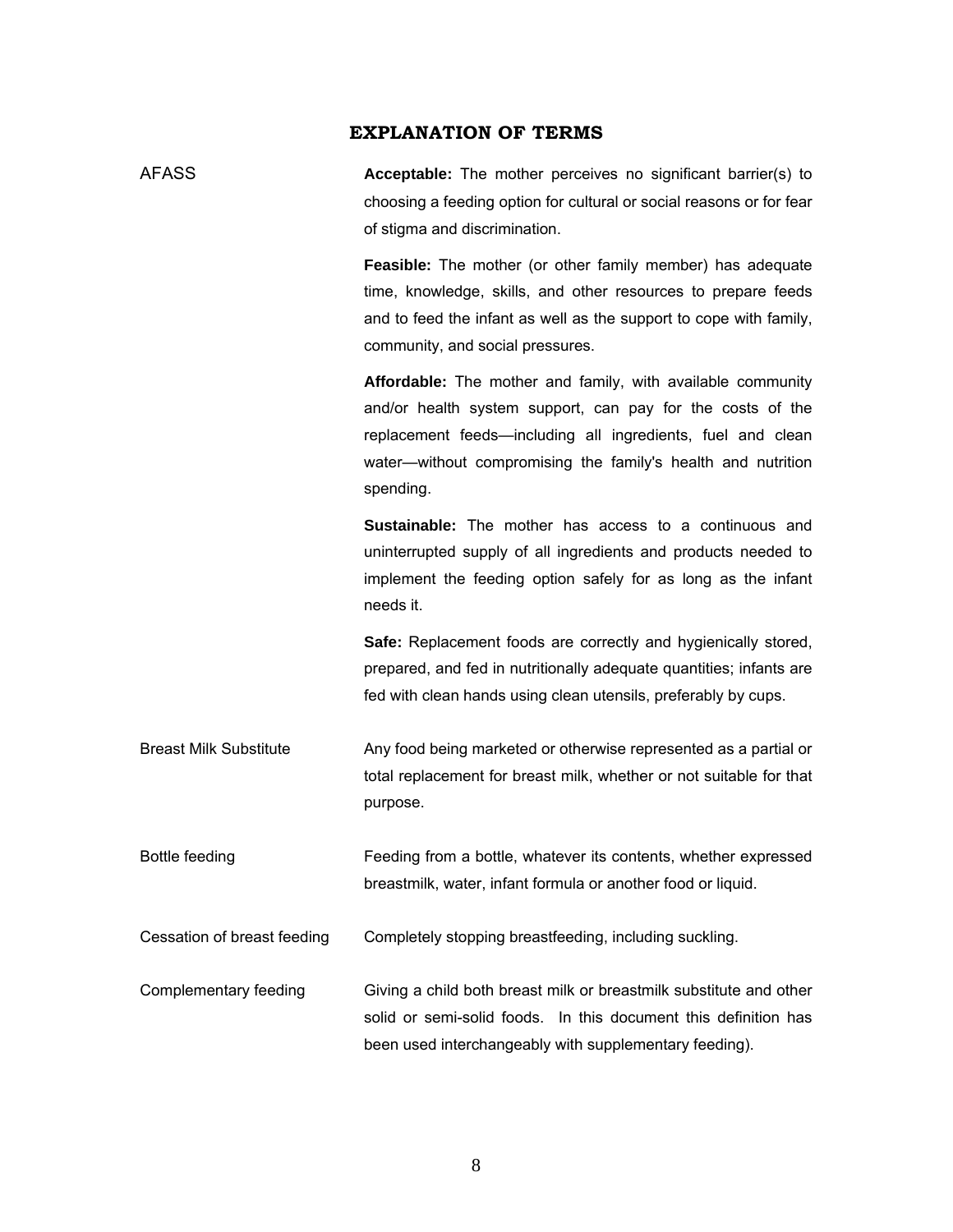# **EXPLANATION OF TERMS**

| AFASS | <b>Acceptable:</b> The mother perceives no significant barrier(s) to |
|-------|----------------------------------------------------------------------|
|       | choosing a feeding option for cultural or social reasons or for fear |
|       | of stigma and discrimination.                                        |
|       | Eassible: The mother (or other family member) has adequate           |

**Feasible:** The mother (or other family member) has adequate time, knowledge, skills, and other resources to prepare feeds and to feed the infant as well as the support to cope with family, community, and social pressures.

**Affordable:** The mother and family, with available community and/or health system support, can pay for the costs of the replacement feeds—including all ingredients, fuel and clean water—without compromising the family's health and nutrition spending.

**Sustainable:** The mother has access to a continuous and uninterrupted supply of all ingredients and products needed to implement the feeding option safely for as long as the infant needs it.

**Safe:** Replacement foods are correctly and hygienically stored, prepared, and fed in nutritionally adequate quantities; infants are fed with clean hands using clean utensils, preferably by cups.

Breast Milk Substitute Any food being marketed or otherwise represented as a partial or total replacement for breast milk, whether or not suitable for that purpose.

Bottle feeding Feeding from a bottle, whatever its contents, whether expressed breastmilk, water, infant formula or another food or liquid.

Cessation of breast feeding Completely stopping breastfeeding, including suckling.

Complementary feeding Giving a child both breast milk or breastmilk substitute and other solid or semi-solid foods. In this document this definition has been used interchangeably with supplementary feeding).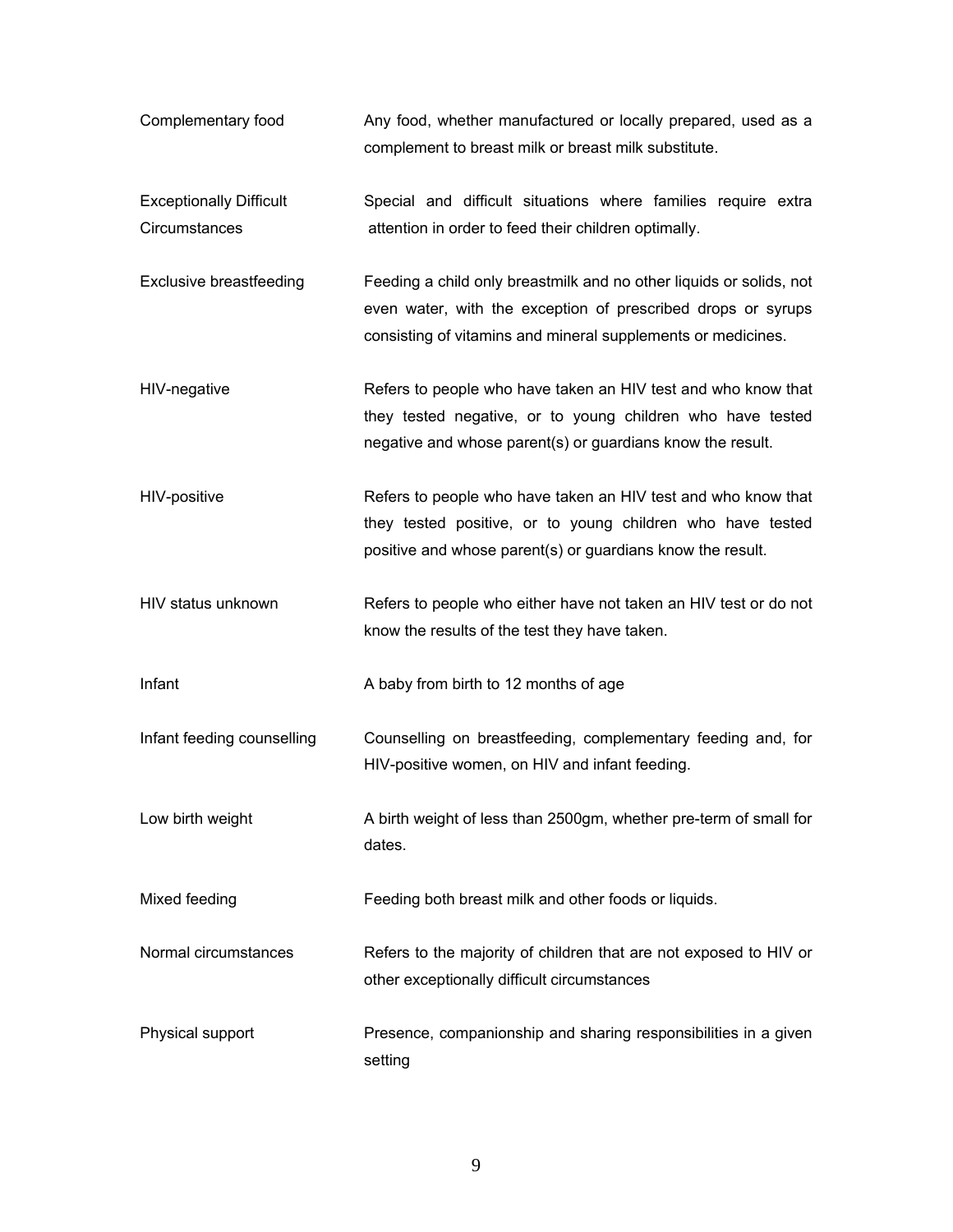| Complementary food                              | Any food, whether manufactured or locally prepared, used as a<br>complement to breast milk or breast milk substitute.                                                                               |
|-------------------------------------------------|-----------------------------------------------------------------------------------------------------------------------------------------------------------------------------------------------------|
| <b>Exceptionally Difficult</b><br>Circumstances | Special and difficult situations where families require extra<br>attention in order to feed their children optimally.                                                                               |
| <b>Exclusive breastfeeding</b>                  | Feeding a child only breastmilk and no other liquids or solids, not<br>even water, with the exception of prescribed drops or syrups<br>consisting of vitamins and mineral supplements or medicines. |
| HIV-negative                                    | Refers to people who have taken an HIV test and who know that<br>they tested negative, or to young children who have tested<br>negative and whose parent(s) or guardians know the result.           |
| HIV-positive                                    | Refers to people who have taken an HIV test and who know that<br>they tested positive, or to young children who have tested<br>positive and whose parent(s) or guardians know the result.           |
| HIV status unknown                              | Refers to people who either have not taken an HIV test or do not<br>know the results of the test they have taken.                                                                                   |
| Infant                                          | A baby from birth to 12 months of age                                                                                                                                                               |
| Infant feeding counselling                      | Counselling on breastfeeding, complementary feeding and, for<br>HIV-positive women, on HIV and infant feeding.                                                                                      |
| Low birth weight                                | A birth weight of less than 2500gm, whether pre-term of small for<br>dates.                                                                                                                         |
| Mixed feeding                                   | Feeding both breast milk and other foods or liquids.                                                                                                                                                |
| Normal circumstances                            | Refers to the majority of children that are not exposed to HIV or<br>other exceptionally difficult circumstances                                                                                    |
| Physical support                                | Presence, companionship and sharing responsibilities in a given<br>setting                                                                                                                          |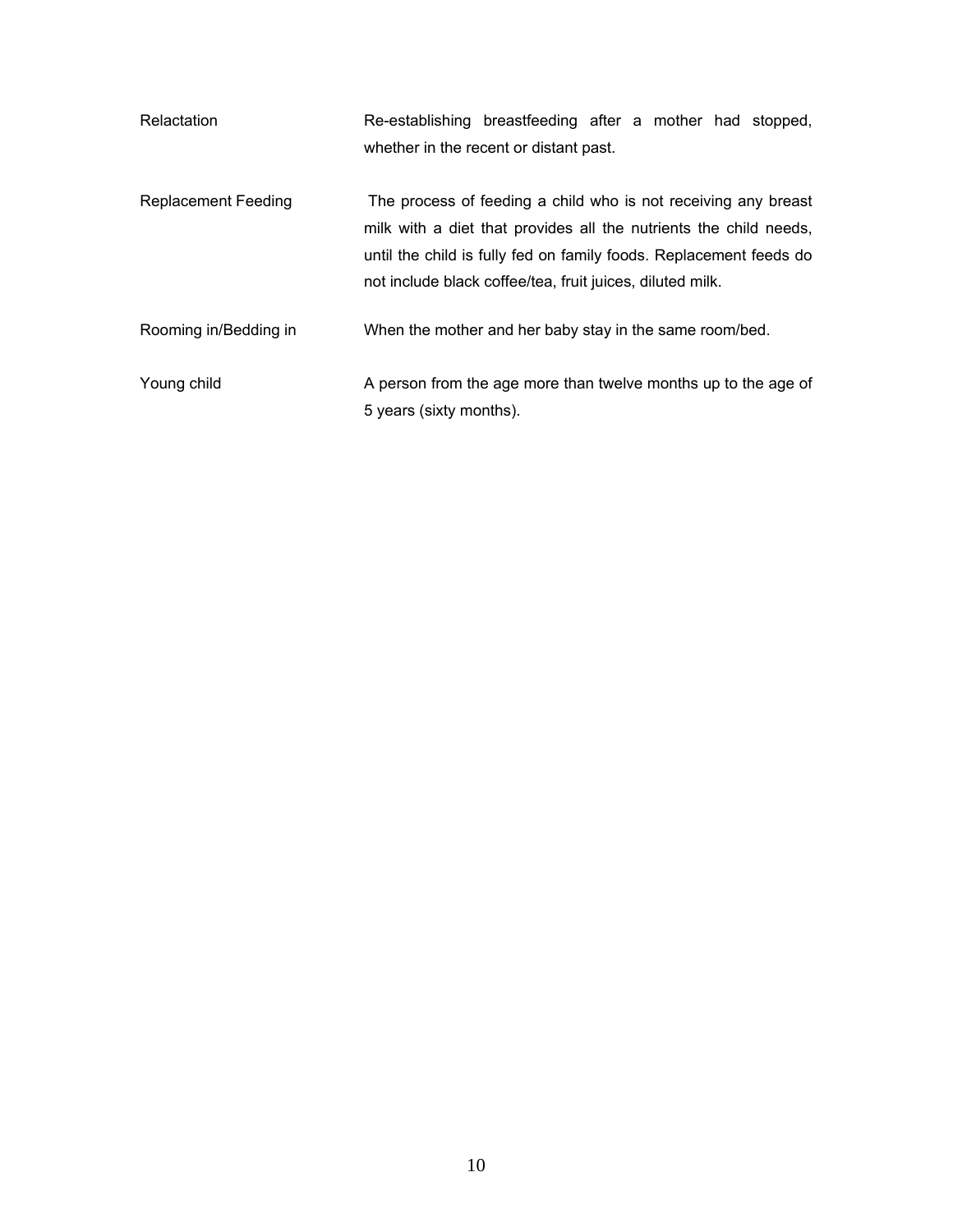| Relactation                | Re-establishing breastfeeding after a mother had stopped,                                                                                                                                                                                                              |
|----------------------------|------------------------------------------------------------------------------------------------------------------------------------------------------------------------------------------------------------------------------------------------------------------------|
|                            | whether in the recent or distant past.                                                                                                                                                                                                                                 |
| <b>Replacement Feeding</b> | The process of feeding a child who is not receiving any breast<br>milk with a diet that provides all the nutrients the child needs,<br>until the child is fully fed on family foods. Replacement feeds do<br>not include black coffee/tea, fruit juices, diluted milk. |
| Rooming in/Bedding in      | When the mother and her baby stay in the same room/bed.                                                                                                                                                                                                                |
| Young child                | A person from the age more than twelve months up to the age of                                                                                                                                                                                                         |
|                            | 5 years (sixty months).                                                                                                                                                                                                                                                |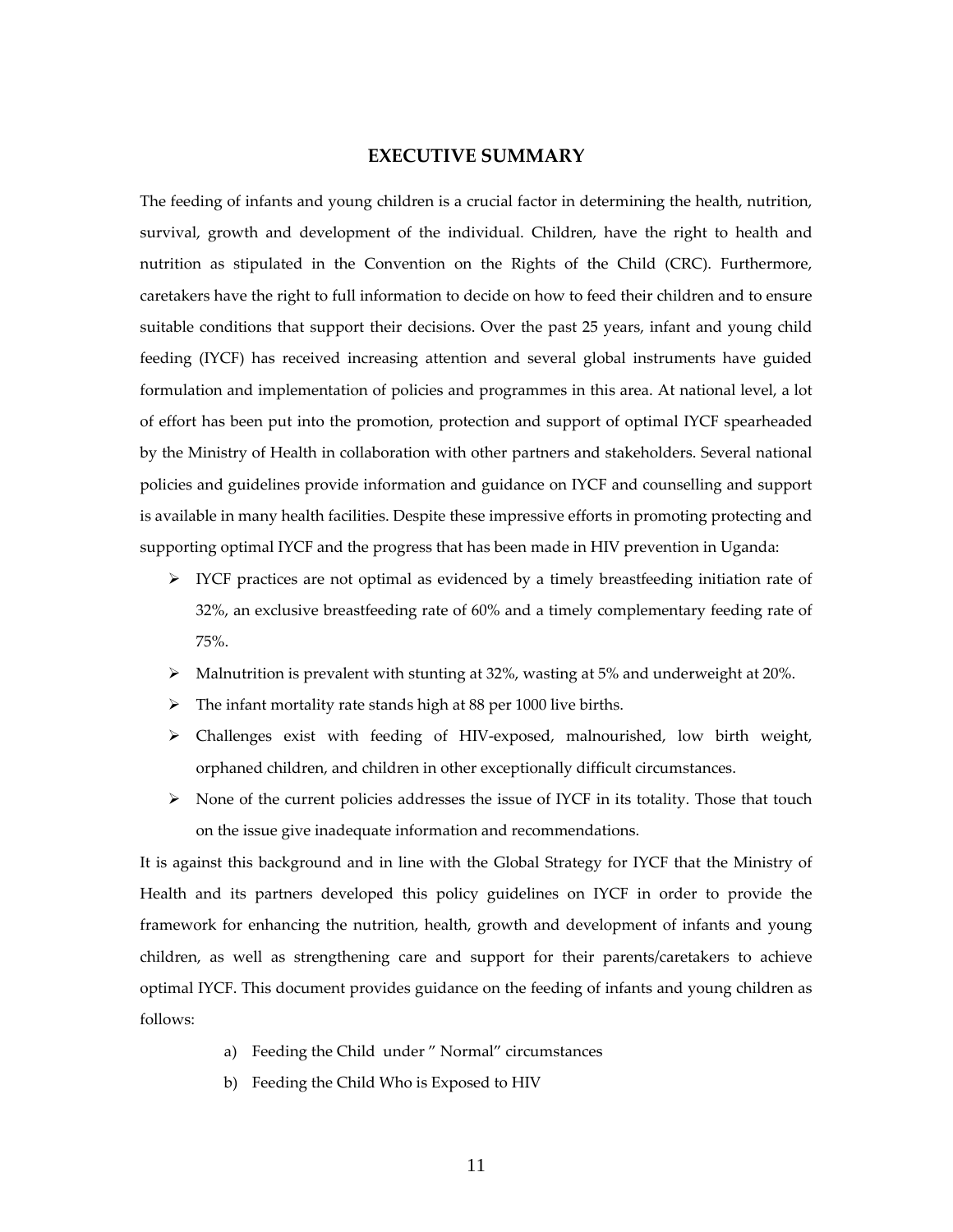# **EXECUTIVE SUMMARY**

The feeding of infants and young children is a crucial factor in determining the health, nutrition, survival, growth and development of the individual. Children, have the right to health and nutrition as stipulated in the Convention on the Rights of the Child (CRC). Furthermore, caretakers have the right to full information to decide on how to feed their children and to ensure suitable conditions that support their decisions. Over the past 25 years, infant and young child feeding (IYCF) has received increasing attention and several global instruments have guided formulation and implementation of policies and programmes in this area. At national level, a lot of effort has been put into the promotion, protection and support of optimal IYCF spearheaded by the Ministry of Health in collaboration with other partners and stakeholders. Several national policies and guidelines provide information and guidance on IYCF and counselling and support is available in many health facilities. Despite these impressive efforts in promoting protecting and supporting optimal IYCF and the progress that has been made in HIV prevention in Uganda:

- $\triangleright$  IYCF practices are not optimal as evidenced by a timely breastfeeding initiation rate of 32%, an exclusive breastfeeding rate of 60% and a timely complementary feeding rate of 75%.
- $\blacktriangleright$  Malnutrition is prevalent with stunting at 32%, wasting at 5% and underweight at 20%.
- $\triangleright$  The infant mortality rate stands high at 88 per 1000 live births.
- Challenges exist with feeding of HIV‐exposed, malnourished, low birth weight, orphaned children, and children in other exceptionally difficult circumstances.
- $\triangleright$  None of the current policies addresses the issue of IYCF in its totality. Those that touch on the issue give inadequate information and recommendations.

It is against this background and in line with the Global Strategy for IYCF that the Ministry of Health and its partners developed this policy guidelines on IYCF in order to provide the framework for enhancing the nutrition, health, growth and development of infants and young children, as well as strengthening care and support for their parents/caretakers to achieve optimal IYCF. This document provides guidance on the feeding of infants and young children as follows:

- a) Feeding the Child under " Normal" circumstances
- b) Feeding the Child Who is Exposed to HIV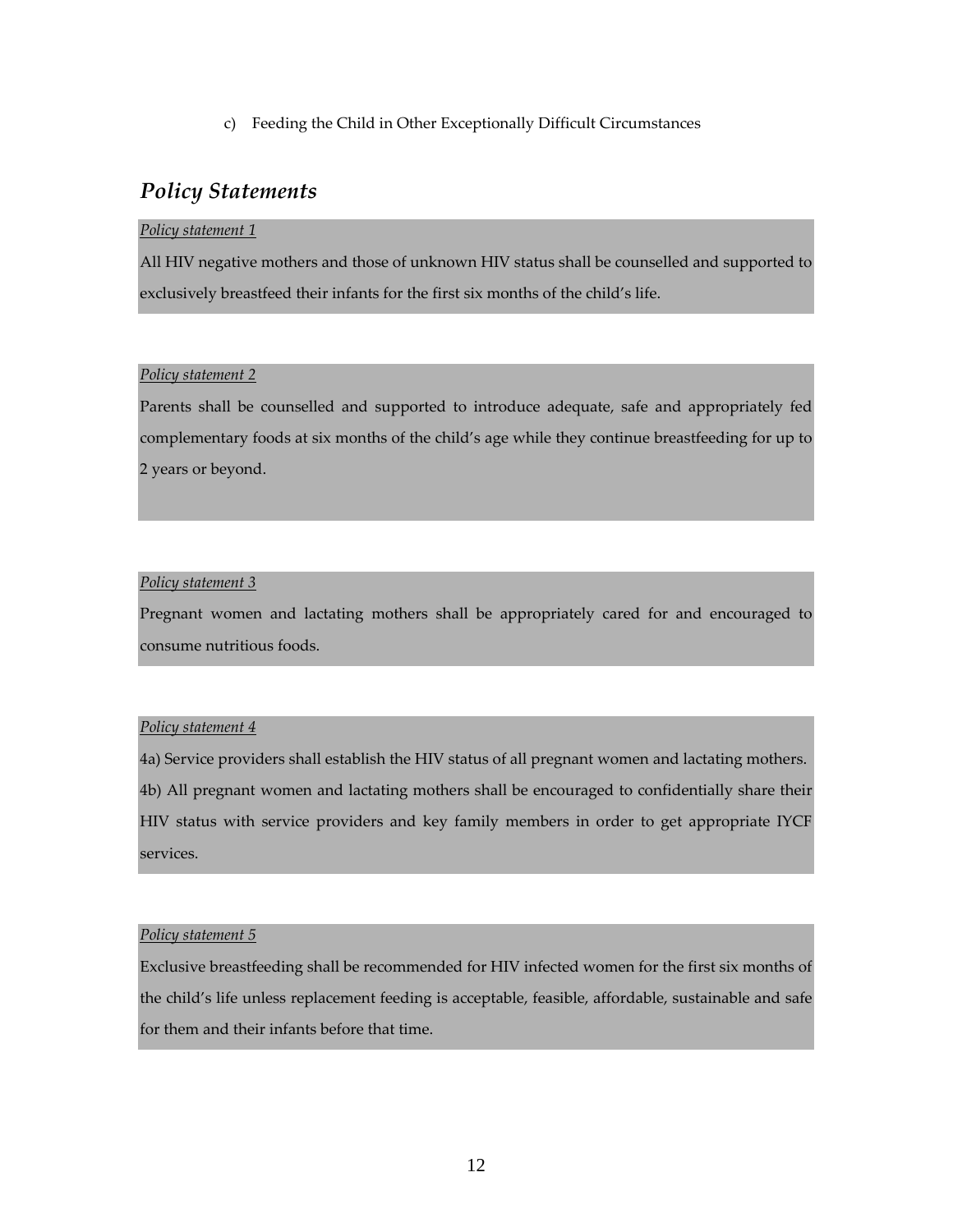c) Feeding the Child in Other Exceptionally Difficult Circumstances

# *Policy Statements*

#### *Policy statement 1*

All HIV negative mothers and those of unknown HIV status shall be counselled and supported to exclusively breastfeed their infants for the first six months of the child's life.

#### *Policy statement 2*

Parents shall be counselled and supported to introduce adequate, safe and appropriately fed complementary foods at six months of the child's age while they continue breastfeeding for up to 2 years or beyond.

# *Policy statement 3*

Pregnant women and lactating mothers shall be appropriately cared for and encouraged to consume nutritious foods.

# *Policy statement 4*

4a) Service providers shall establish the HIV status of all pregnant women and lactating mothers. 4b) All pregnant women and lactating mothers shall be encouraged to confidentially share their HIV status with service providers and key family members in order to get appropriate IYCF services.

#### *Policy statement 5*

Exclusive breastfeeding shall be recommended for HIV infected women for the first six months of the child's life unless replacement feeding is acceptable, feasible, affordable, sustainable and safe for them and their infants before that time.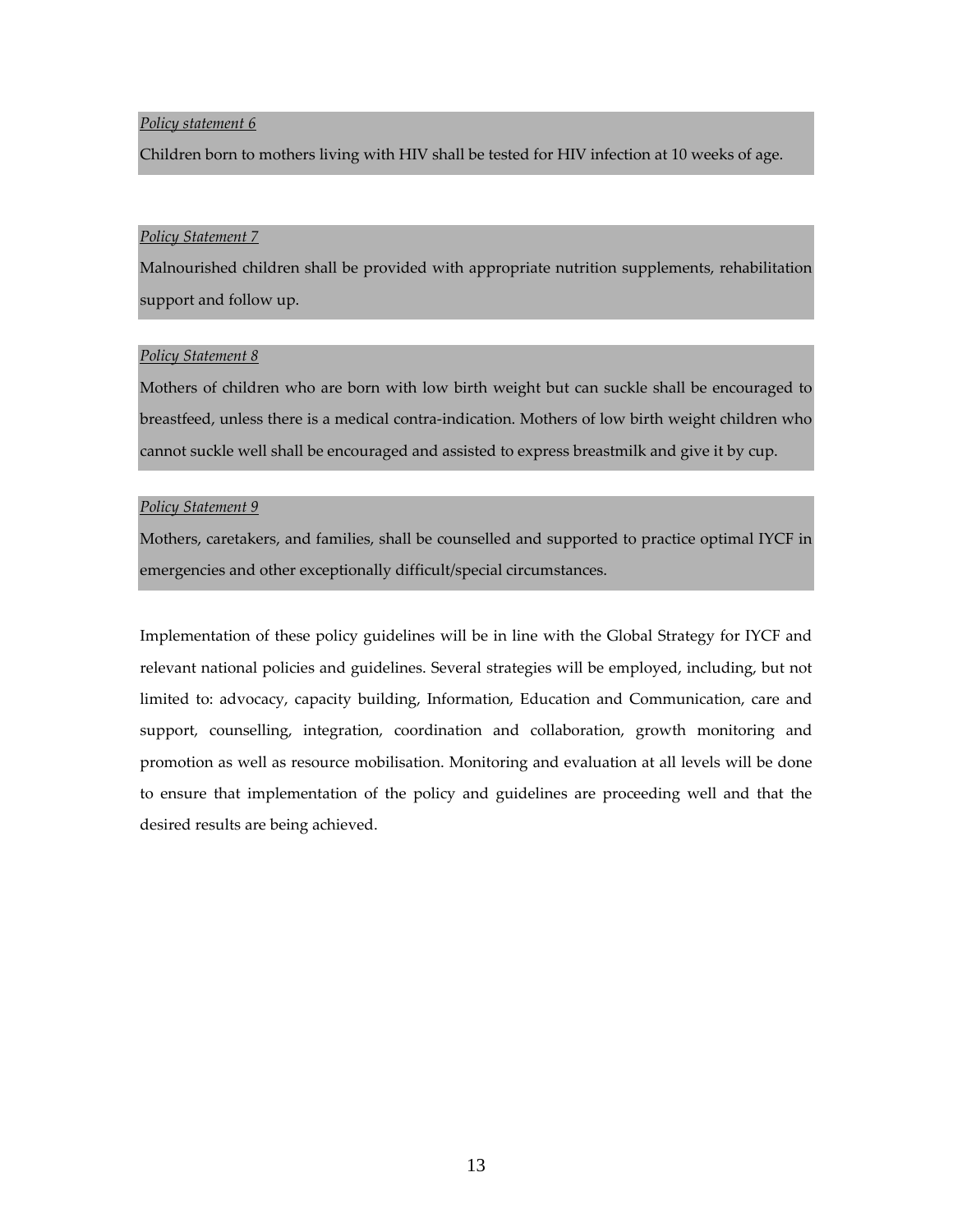#### *Policy statement 6*

Children born to mothers living with HIV shall be tested for HIV infection at 10 weeks of age.

#### *Policy Statement 7*

Malnourished children shall be provided with appropriate nutrition supplements, rehabilitation support and follow up.

#### *Policy Statement 8*

Mothers of children who are born with low birth weight but can suckle shall be encouraged to breastfeed, unless there is a medical contra‐indication. Mothers of low birth weight children who cannot suckle well shall be encouraged and assisted to express breastmilk and give it by cup.

#### *Policy Statement 9*

Mothers, caretakers, and families, shall be counselled and supported to practice optimal IYCF in emergencies and other exceptionally difficult/special circumstances.

Implementation of these policy guidelines will be in line with the Global Strategy for IYCF and relevant national policies and guidelines. Several strategies will be employed, including, but not limited to: advocacy, capacity building, Information, Education and Communication, care and support, counselling, integration, coordination and collaboration, growth monitoring and promotion as well as resource mobilisation. Monitoring and evaluation at all levels will be done to ensure that implementation of the policy and guidelines are proceeding well and that the desired results are being achieved.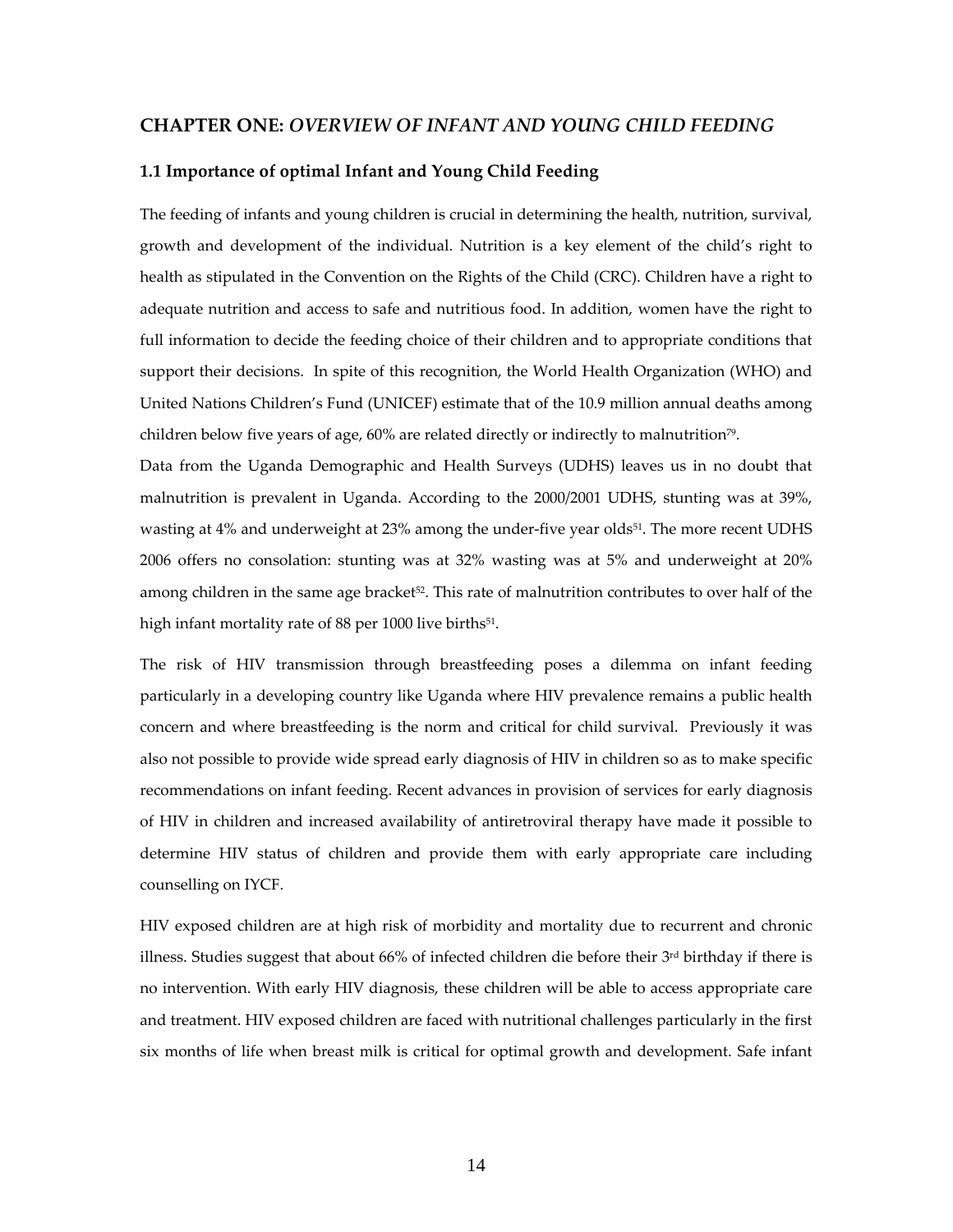#### **CHAPTER ONE:** *OVERVIEW OF INFANT AND YOUNG CHILD FEEDING*

#### **1.1 Importance of optimal Infant and Young Child Feeding**

The feeding of infants and young children is crucial in determining the health, nutrition, survival, growth and development of the individual. Nutrition is a key element of the child's right to health as stipulated in the Convention on the Rights of the Child (CRC). Children have a right to adequate nutrition and access to safe and nutritious food. In addition, women have the right to full information to decide the feeding choice of their children and to appropriate conditions that support their decisions. In spite of this recognition, the World Health Organization (WHO) and United Nations Children's Fund (UNICEF) estimate that of the 10.9 million annual deaths among children below five years of age,  $60\%$  are related directly or indirectly to malnutrition<sup>79</sup>.

Data from the Uganda Demographic and Health Surveys (UDHS) leaves us in no doubt that malnutrition is prevalent in Uganda. According to the 2000/2001 UDHS, stunting was at 39%, wasting at 4% and underweight at 23% among the under-five year olds<sup>51</sup>. The more recent UDHS 2006 offers no consolation: stunting was at 32% wasting was at 5% and underweight at 20% among children in the same age bracket<sup>52</sup>. This rate of malnutrition contributes to over half of the high infant mortality rate of 88 per 1000 live births<sup>51</sup>.

The risk of HIV transmission through breastfeeding poses a dilemma on infant feeding particularly in a developing country like Uganda where HIV prevalence remains a public health concern and where breastfeeding is the norm and critical for child survival. Previously it was also not possible to provide wide spread early diagnosis of HIV in children so as to make specific recommendations on infant feeding. Recent advances in provision of services for early diagnosis of HIV in children and increased availability of antiretroviral therapy have made it possible to determine HIV status of children and provide them with early appropriate care including counselling on IYCF.

HIV exposed children are at high risk of morbidity and mortality due to recurrent and chronic illness. Studies suggest that about 66% of infected children die before their 3rd birthday if there is no intervention. With early HIV diagnosis, these children will be able to access appropriate care and treatment. HIV exposed children are faced with nutritional challenges particularly in the first six months of life when breast milk is critical for optimal growth and development. Safe infant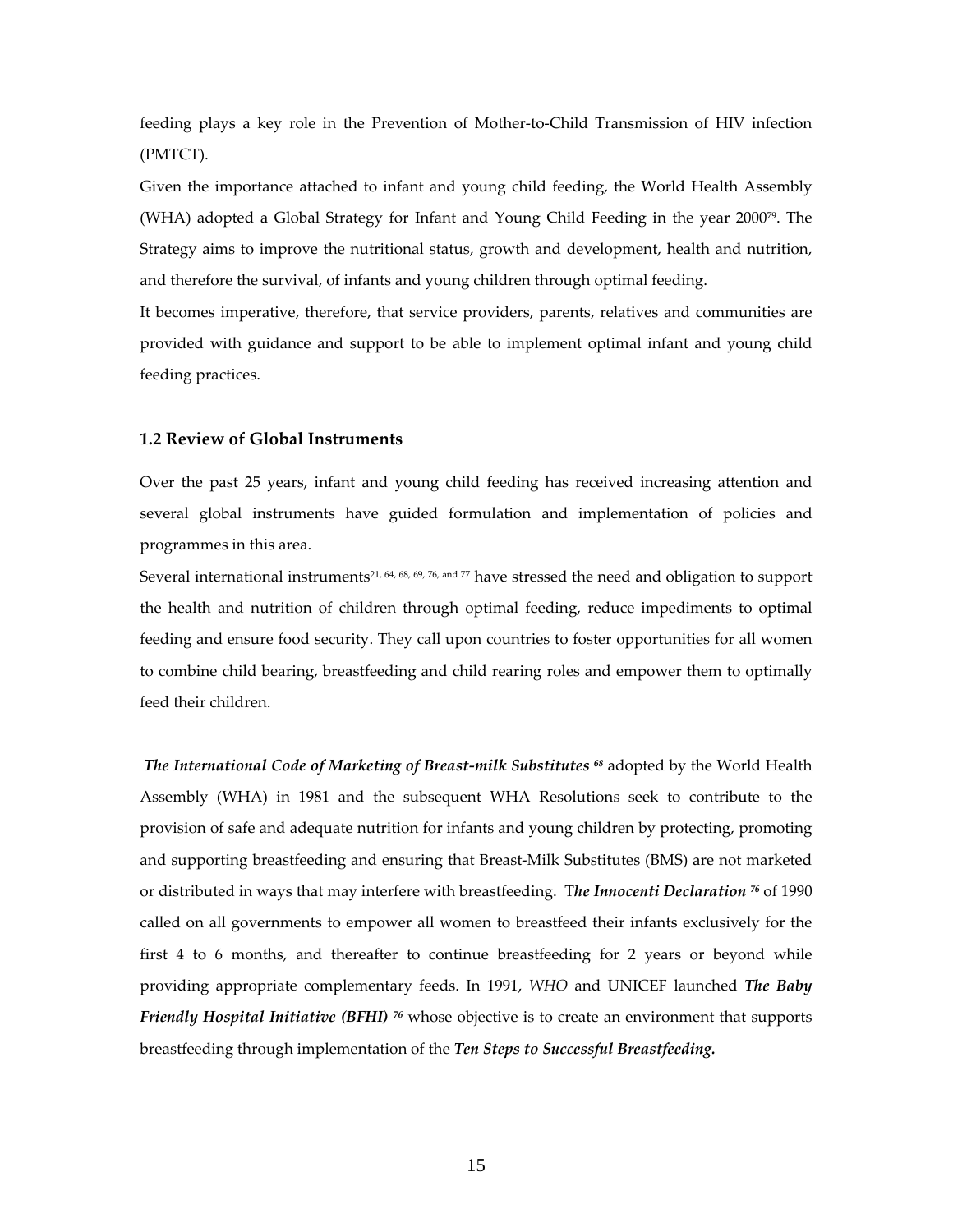feeding plays a key role in the Prevention of Mother‐to‐Child Transmission of HIV infection (PMTCT).

Given the importance attached to infant and young child feeding, the World Health Assembly (WHA) adopted a Global Strategy for Infant and Young Child Feeding in the year 200079. The Strategy aims to improve the nutritional status, growth and development, health and nutrition, and therefore the survival, of infants and young children through optimal feeding.

It becomes imperative, therefore, that service providers, parents, relatives and communities are provided with guidance and support to be able to implement optimal infant and young child feeding practices.

#### **1.2 Review of Global Instruments**

Over the past 25 years, infant and young child feeding has received increasing attention and several global instruments have guided formulation and implementation of policies and programmes in this area.

Several international instruments<sup>21, 64, 68, 69, 76, and 77</sup> have stressed the need and obligation to support the health and nutrition of children through optimal feeding, reduce impediments to optimal feeding and ensure food security. They call upon countries to foster opportunities for all women to combine child bearing, breastfeeding and child rearing roles and empower them to optimally feed their children.

*The International Code of Marketing of Breast‐milk Substitutes <sup>68</sup>* adopted by the World Health Assembly (WHA) in 1981 and the subsequent WHA Resolutions seek to contribute to the provision of safe and adequate nutrition for infants and young children by protecting, promoting and supporting breastfeeding and ensuring that Breast-Milk Substitutes (BMS) are not marketed or distributed in ways that may interfere with breastfeeding. T*he Innocenti Declaration <sup>76</sup>* of 1990 called on all governments to empower all women to breastfeed their infants exclusively for the first 4 to 6 months, and thereafter to continue breastfeeding for 2 years or beyond while providing appropriate complementary feeds. In 1991, *WHO* and UNICEF launched *The Baby Friendly Hospital Initiative (BFHI) <sup>76</sup>* whose objective is to create an environment that supports breastfeeding through implementation of the *Ten Steps to Successful Breastfeeding.*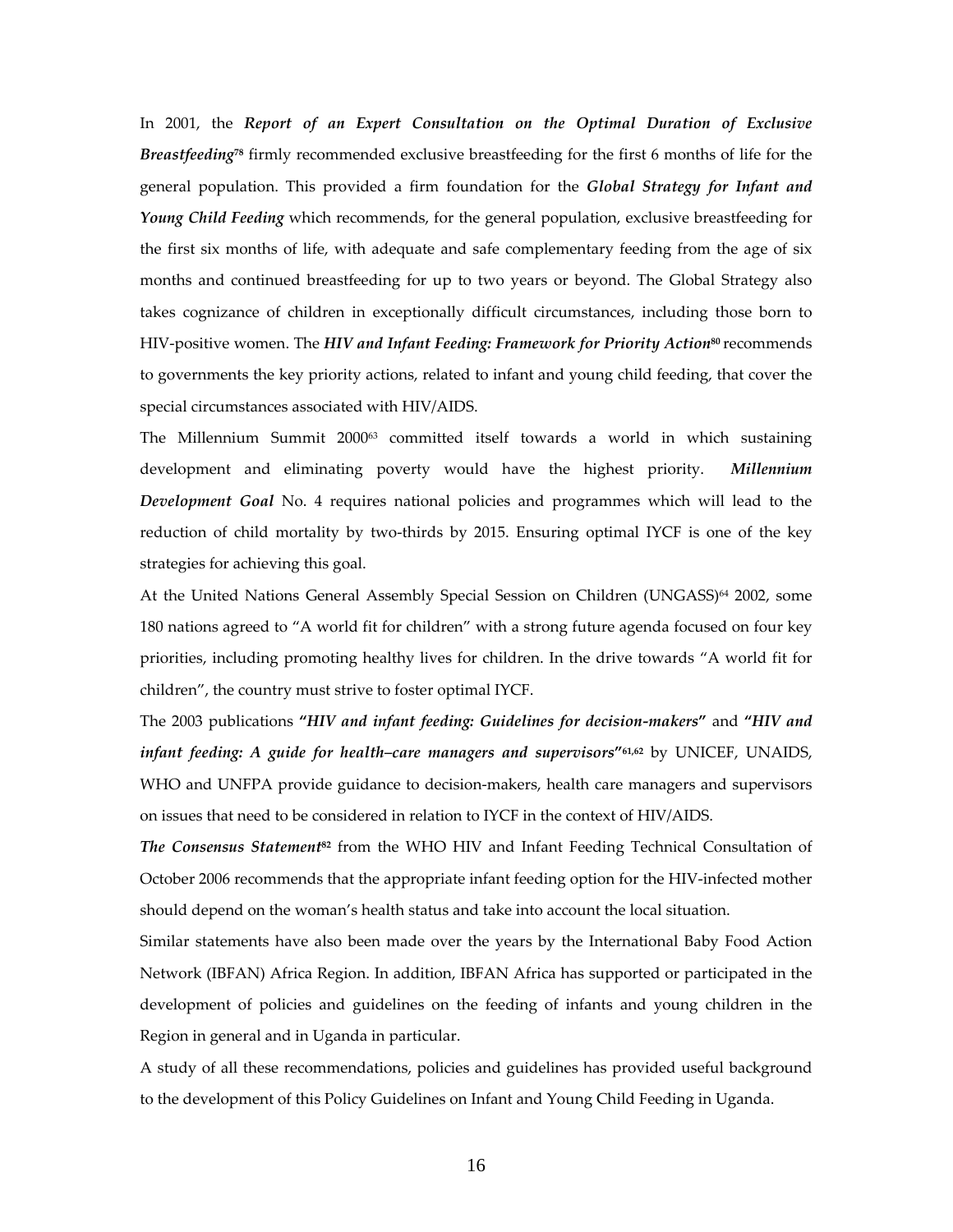In 2001, the *Report of an Expert Consultation on the Optimal Duration of Exclusive Breastfeeding***<sup>78</sup>** firmly recommended exclusive breastfeeding for the first 6 months of life for the general population. This provided a firm foundation for the *Global Strategy for Infant and Young Child Feeding* which recommends, for the general population, exclusive breastfeeding for the first six months of life, with adequate and safe complementary feeding from the age of six months and continued breastfeeding for up to two years or beyond. The Global Strategy also takes cognizance of children in exceptionally difficult circumstances, including those born to HIV‐positive women. The *HIV and Infant Feeding: Framework for Priority Action***<sup>80</sup>** recommends to governments the key priority actions, related to infant and young child feeding, that cover the special circumstances associated with HIV/AIDS.

The Millennium Summit 2000<sup>63</sup> committed itself towards a world in which sustaining development and eliminating poverty would have the highest priority. *Millennium Development Goal* No. 4 requires national policies and programmes which will lead to the reduction of child mortality by two-thirds by 2015. Ensuring optimal IYCF is one of the key strategies for achieving this goal.

At the United Nations General Assembly Special Session on Children (UNGASS)<sup>64</sup> 2002, some 180 nations agreed to "A world fit for children" with a strong future agenda focused on four key priorities, including promoting healthy lives for children. In the drive towards "A world fit for children", the country must strive to foster optimal IYCF.

The 2003 publications **"***HIV and infant feeding: Guidelines for decision‐makers***"** and **"***HIV and infant feeding: A guide for health–care managers and supervisors***"61,62** by UNICEF, UNAIDS, WHO and UNFPA provide guidance to decision-makers, health care managers and supervisors on issues that need to be considered in relation to IYCF in the context of HIV/AIDS.

*The Consensus Statement***<sup>82</sup>** from the WHO HIV and Infant Feeding Technical Consultation of October 2006 recommends that the appropriate infant feeding option for the HIV‐infected mother should depend on the woman's health status and take into account the local situation.

Similar statements have also been made over the years by the International Baby Food Action Network (IBFAN) Africa Region. In addition, IBFAN Africa has supported or participated in the development of policies and guidelines on the feeding of infants and young children in the Region in general and in Uganda in particular.

A study of all these recommendations, policies and guidelines has provided useful background to the development of this Policy Guidelines on Infant and Young Child Feeding in Uganda.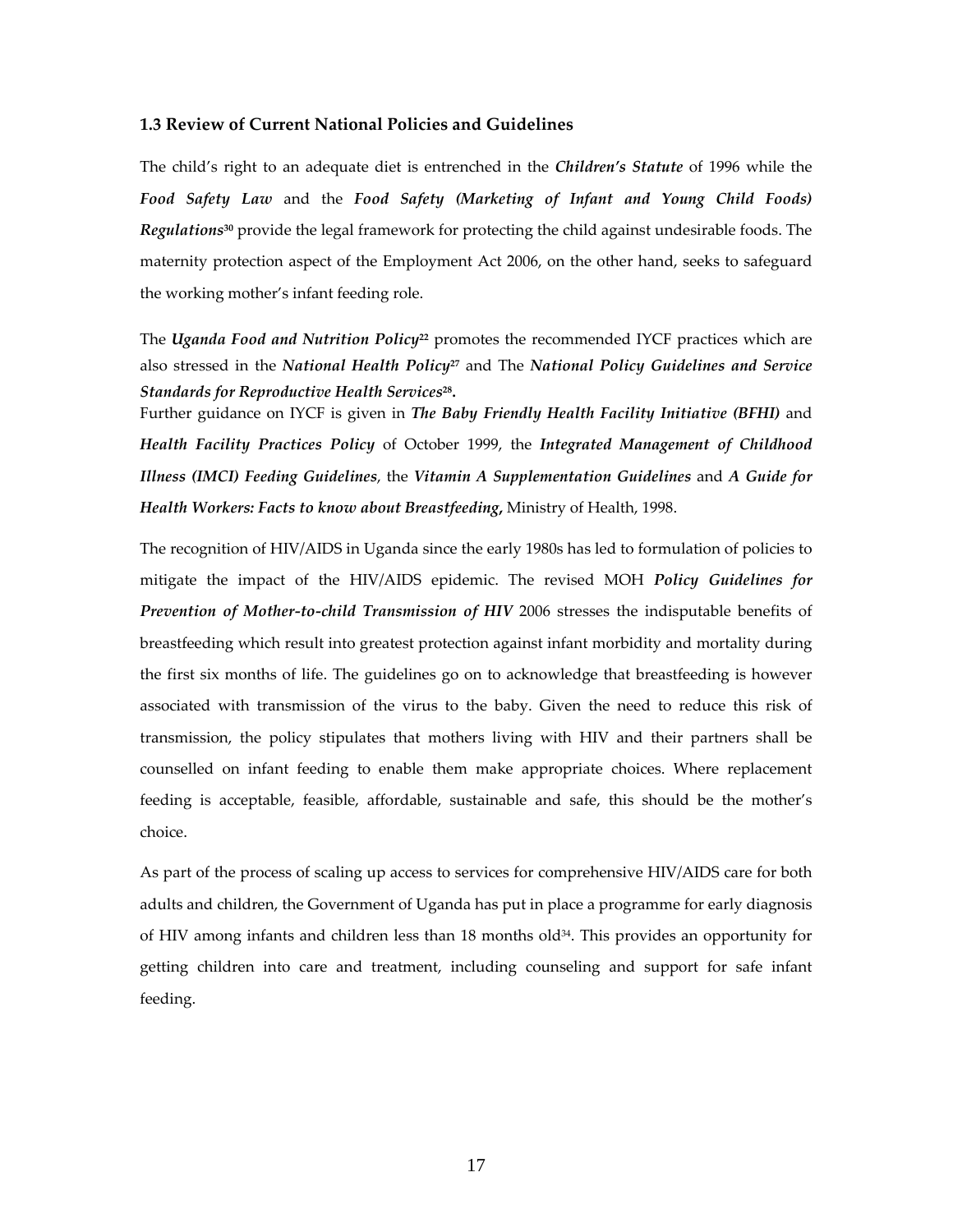#### **1.3 Review of Current National Policies and Guidelines**

The child's right to an adequate diet is entrenched in the *Children's Statute* of 1996 while the *Food Safety Law* and the *Food Safety (Marketing of Infant and Young Child Foods) Regulations***<sup>30</sup>** provide the legal framework for protecting the child against undesirable foods. The maternity protection aspect of the Employment Act 2006, on the other hand, seeks to safeguard the working mother's infant feeding role.

The *Uganda Food and Nutrition Policy***<sup>22</sup>** promotes the recommended IYCF practices which are also stressed in the *National Health Policy***<sup>27</sup>** and The *National Policy Guidelines and Service Standards for Reproductive Health Services***28.**

Further guidance on IYCF is given in *The Baby Friendly Health Facility Initiative (BFHI)* and *Health Facility Practices Policy* of October 1999, the *Integrated Management of Childhood Illness (IMCI) Feeding Guidelines*, the *Vitamin A Supplementation Guidelines* and *A Guide for Health Workers: Facts to know about Breastfeeding***,** Ministry of Health, 1998.

The recognition of HIV/AIDS in Uganda since the early 1980s has led to formulation of policies to mitigate the impact of the HIV/AIDS epidemic. The revised MOH *Policy Guidelines for Prevention of Mother‐to‐child Transmission of HIV* 2006 stresses the indisputable benefits of breastfeeding which result into greatest protection against infant morbidity and mortality during the first six months of life. The guidelines go on to acknowledge that breastfeeding is however associated with transmission of the virus to the baby. Given the need to reduce this risk of transmission, the policy stipulates that mothers living with HIV and their partners shall be counselled on infant feeding to enable them make appropriate choices. Where replacement feeding is acceptable, feasible, affordable, sustainable and safe, this should be the mother's choice.

As part of the process of scaling up access to services for comprehensive HIV/AIDS care for both adults and children, the Government of Uganda has put in place a programme for early diagnosis of HIV among infants and children less than 18 months old<sup>34</sup>. This provides an opportunity for getting children into care and treatment, including counseling and support for safe infant feeding.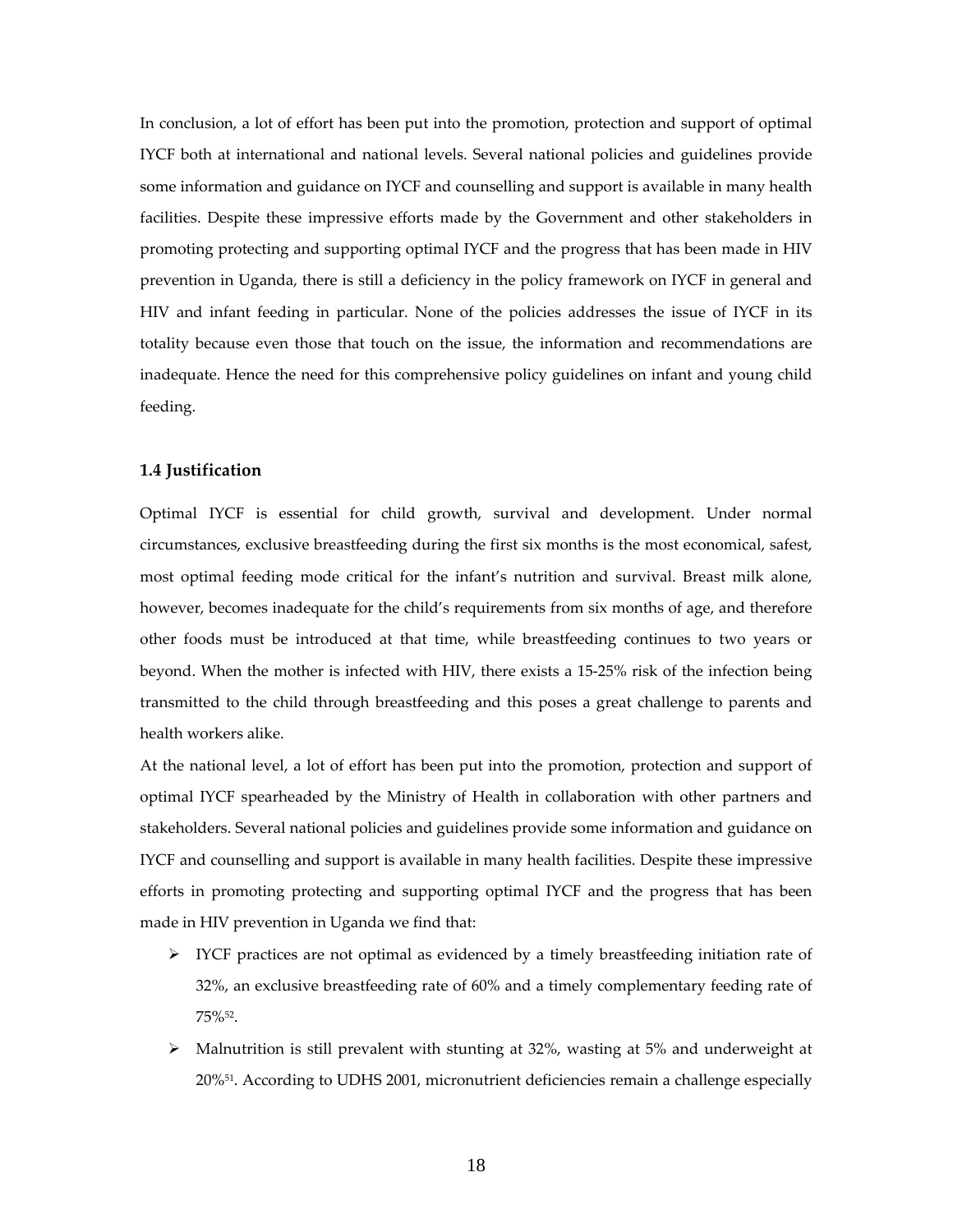In conclusion, a lot of effort has been put into the promotion, protection and support of optimal IYCF both at international and national levels. Several national policies and guidelines provide some information and guidance on IYCF and counselling and support is available in many health facilities. Despite these impressive efforts made by the Government and other stakeholders in promoting protecting and supporting optimal IYCF and the progress that has been made in HIV prevention in Uganda, there is still a deficiency in the policy framework on IYCF in general and HIV and infant feeding in particular. None of the policies addresses the issue of IYCF in its totality because even those that touch on the issue, the information and recommendations are inadequate. Hence the need for this comprehensive policy guidelines on infant and young child feeding.

# **1.4 Justification**

Optimal IYCF is essential for child growth, survival and development. Under normal circumstances, exclusive breastfeeding during the first six months is the most economical, safest, most optimal feeding mode critical for the infant's nutrition and survival. Breast milk alone, however, becomes inadequate for the child's requirements from six months of age, and therefore other foods must be introduced at that time, while breastfeeding continues to two years or beyond. When the mother is infected with HIV, there exists a 15‐25% risk of the infection being transmitted to the child through breastfeeding and this poses a great challenge to parents and health workers alike.

At the national level, a lot of effort has been put into the promotion, protection and support of optimal IYCF spearheaded by the Ministry of Health in collaboration with other partners and stakeholders. Several national policies and guidelines provide some information and guidance on IYCF and counselling and support is available in many health facilities. Despite these impressive efforts in promoting protecting and supporting optimal IYCF and the progress that has been made in HIV prevention in Uganda we find that:

- $\triangleright$  IYCF practices are not optimal as evidenced by a timely breastfeeding initiation rate of 32%, an exclusive breastfeeding rate of 60% and a timely complementary feeding rate of 75%52.
- $\triangleright$  Malnutrition is still prevalent with stunting at 32%, wasting at 5% and underweight at 20%51. According to UDHS 2001, micronutrient deficiencies remain a challenge especially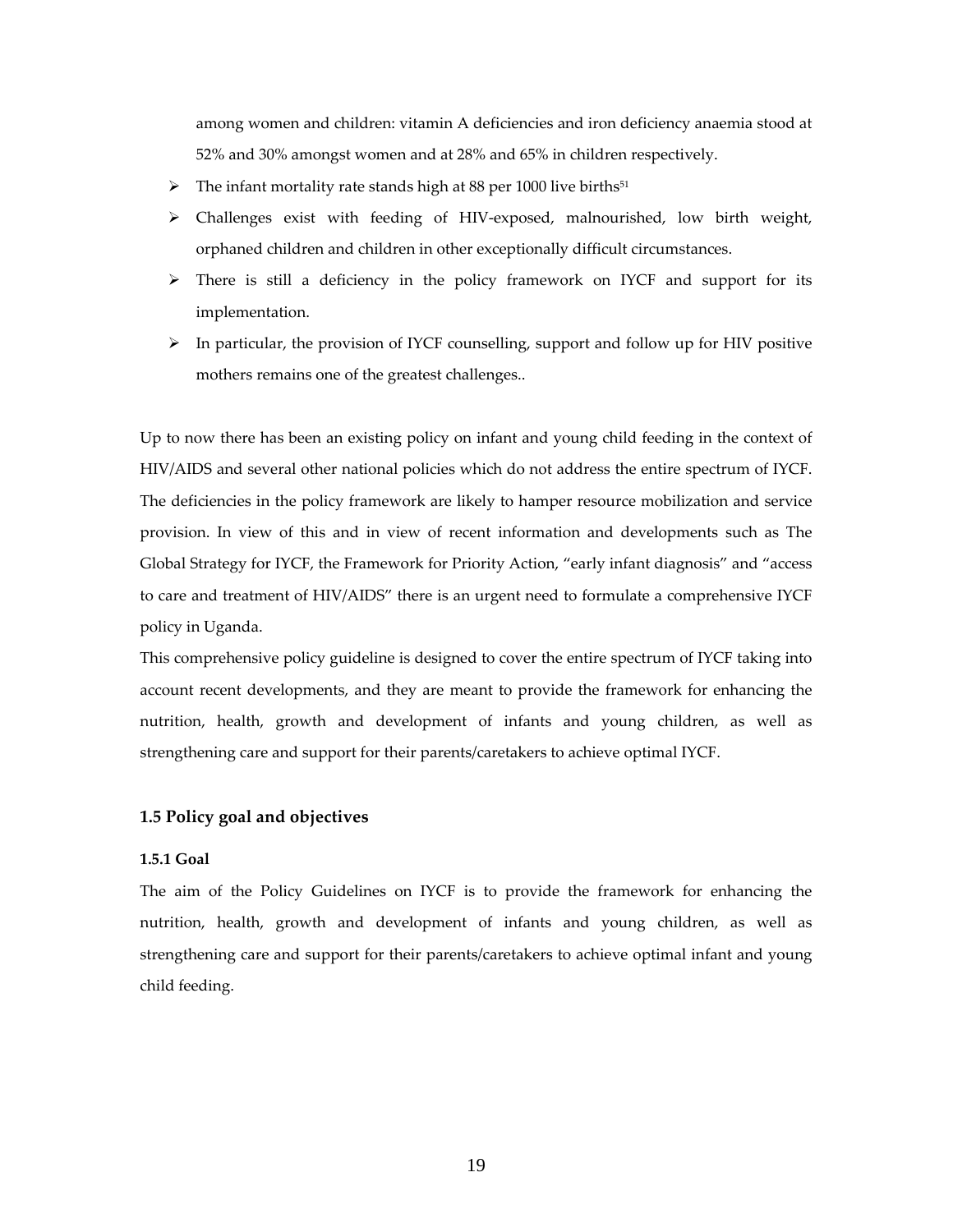among women and children: vitamin A deficiencies and iron deficiency anaemia stood at 52% and 30% amongst women and at 28% and 65% in children respectively.

- $\triangleright$  The infant mortality rate stands high at 88 per 1000 live births<sup>51</sup>
- Challenges exist with feeding of HIV‐exposed, malnourished, low birth weight, orphaned children and children in other exceptionally difficult circumstances.
- $\triangleright$  There is still a deficiency in the policy framework on IYCF and support for its implementation.
- $\triangleright$  In particular, the provision of IYCF counselling, support and follow up for HIV positive mothers remains one of the greatest challenges..

Up to now there has been an existing policy on infant and young child feeding in the context of HIV/AIDS and several other national policies which do not address the entire spectrum of IYCF. The deficiencies in the policy framework are likely to hamper resource mobilization and service provision. In view of this and in view of recent information and developments such as The Global Strategy for IYCF, the Framework for Priority Action, "early infant diagnosis" and "access to care and treatment of HIV/AIDS" there is an urgent need to formulate a comprehensive IYCF policy in Uganda.

This comprehensive policy guideline is designed to cover the entire spectrum of IYCF taking into account recent developments, and they are meant to provide the framework for enhancing the nutrition, health, growth and development of infants and young children, as well as strengthening care and support for their parents/caretakers to achieve optimal IYCF.

#### **1.5 Policy goal and objectives**

#### **1.5.1 Goal**

The aim of the Policy Guidelines on IYCF is to provide the framework for enhancing the nutrition, health, growth and development of infants and young children, as well as strengthening care and support for their parents/caretakers to achieve optimal infant and young child feeding.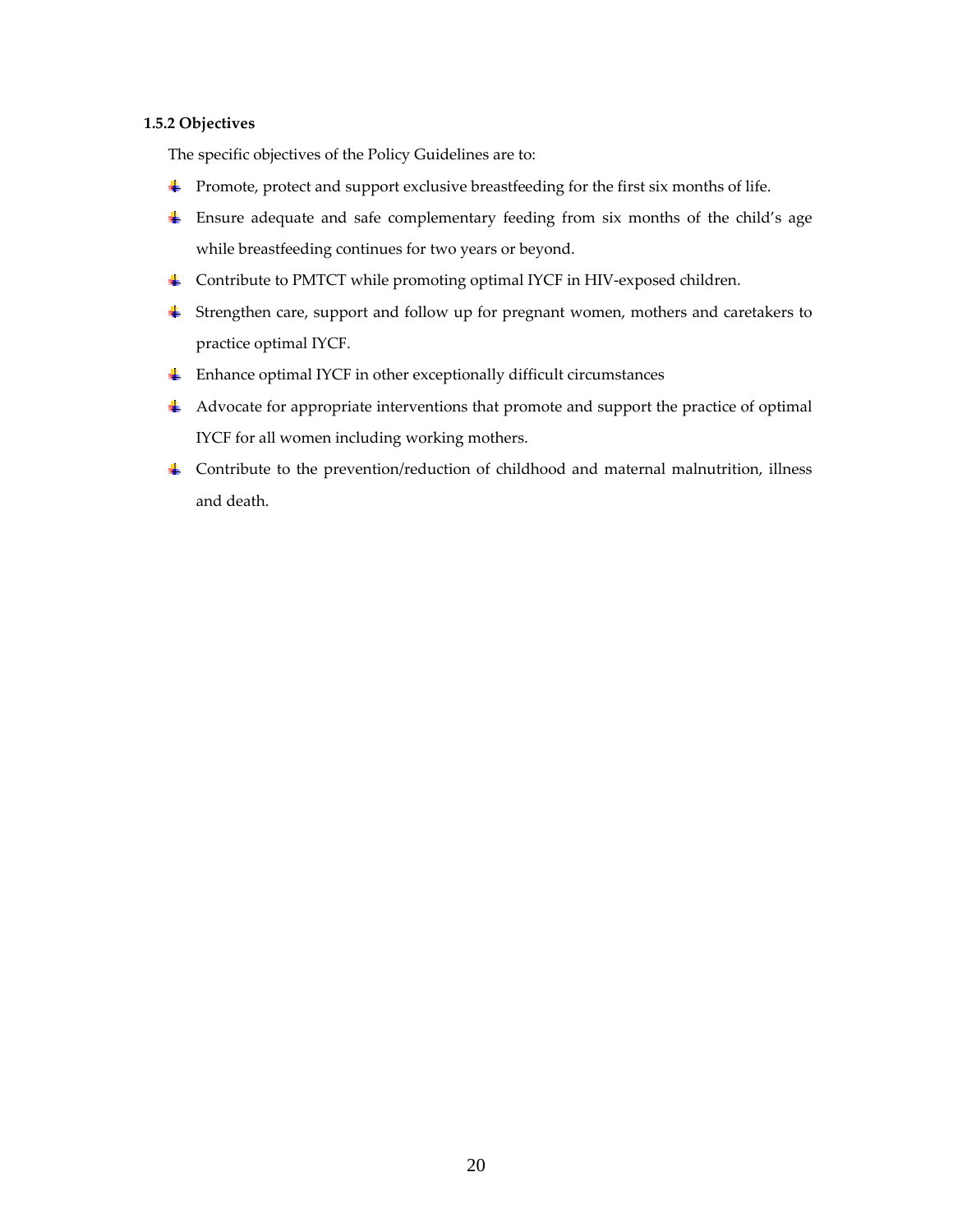# **1.5.2 Objectives**

The specific objectives of the Policy Guidelines are to:

- Promote, protect and support exclusive breastfeeding for the first six months of life.
- Ensure adequate and safe complementary feeding from six months of the child's age while breastfeeding continues for two years or beyond.
- Contribute to PMTCT while promoting optimal IYCF in HIV‐exposed children.
- Strengthen care, support and follow up for pregnant women, mothers and caretakers to practice optimal IYCF.
- $\triangleq$  Enhance optimal IYCF in other exceptionally difficult circumstances
- Advocate for appropriate interventions that promote and support the practice of optimal IYCF for all women including working mothers.
- Contribute to the prevention/reduction of childhood and maternal malnutrition, illness and death.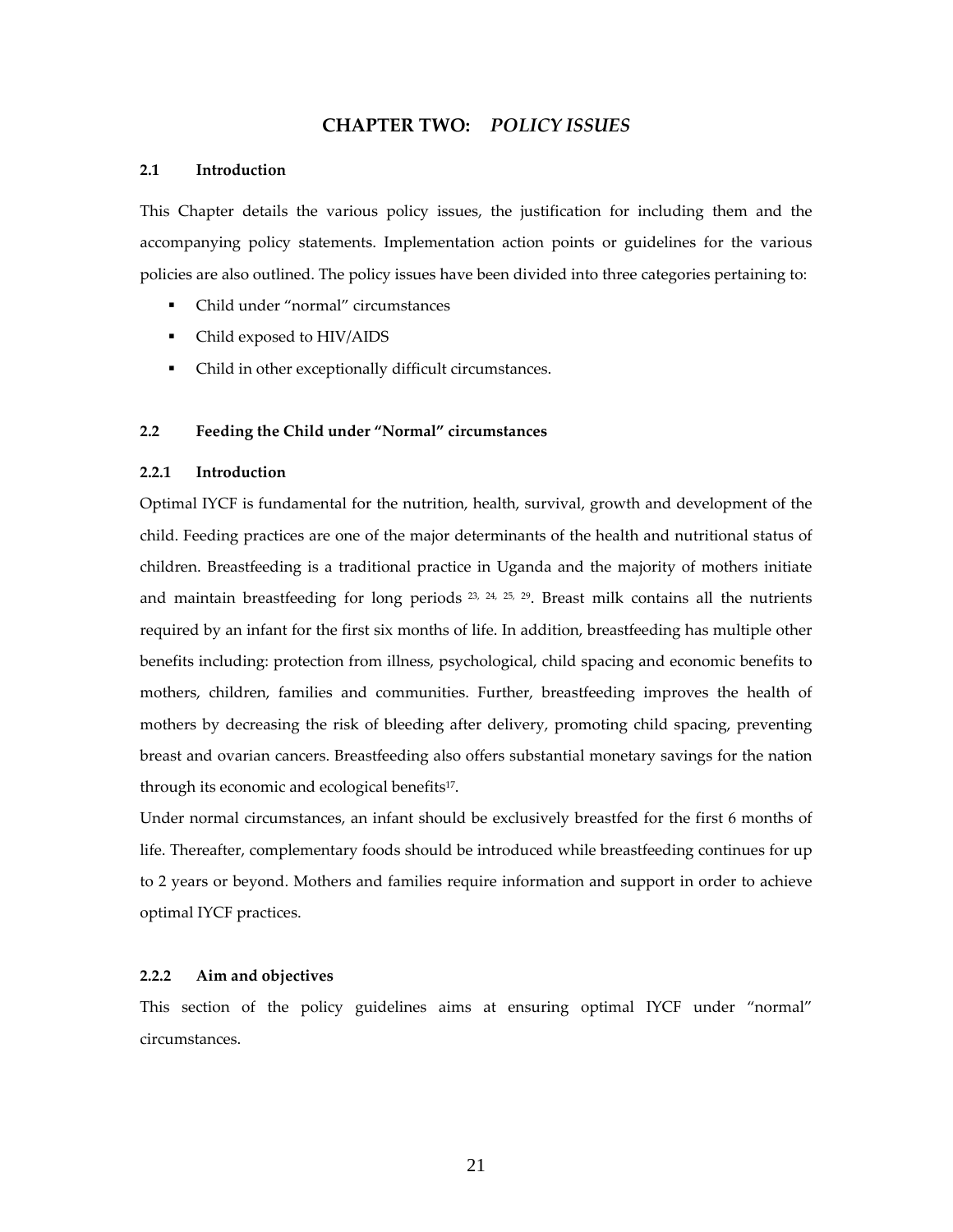# **CHAPTER TWO:** *POLICY ISSUES*

#### **2.1 Introduction**

This Chapter details the various policy issues, the justification for including them and the accompanying policy statements. Implementation action points or guidelines for the various policies are also outlined. The policy issues have been divided into three categories pertaining to:

- Child under "normal" circumstances
- Child exposed to HIV/AIDS
- Child in other exceptionally difficult circumstances.

#### **2.2 Feeding the Child under "Normal" circumstances**

#### **2.2.1 Introduction**

Optimal IYCF is fundamental for the nutrition, health, survival, growth and development of the child. Feeding practices are one of the major determinants of the health and nutritional status of children. Breastfeeding is a traditional practice in Uganda and the majority of mothers initiate and maintain breastfeeding for long periods  $23$ ,  $24$ ,  $25$ ,  $29$ . Breast milk contains all the nutrients required by an infant for the first six months of life. In addition, breastfeeding has multiple other benefits including: protection from illness, psychological, child spacing and economic benefits to mothers, children, families and communities. Further, breastfeeding improves the health of mothers by decreasing the risk of bleeding after delivery, promoting child spacing, preventing breast and ovarian cancers. Breastfeeding also offers substantial monetary savings for the nation through its economic and ecological benefits17.

Under normal circumstances, an infant should be exclusively breastfed for the first 6 months of life. Thereafter, complementary foods should be introduced while breastfeeding continues for up to 2 years or beyond. Mothers and families require information and support in order to achieve optimal IYCF practices.

#### **2.2.2 Aim and objectives**

This section of the policy guidelines aims at ensuring optimal IYCF under "normal" circumstances.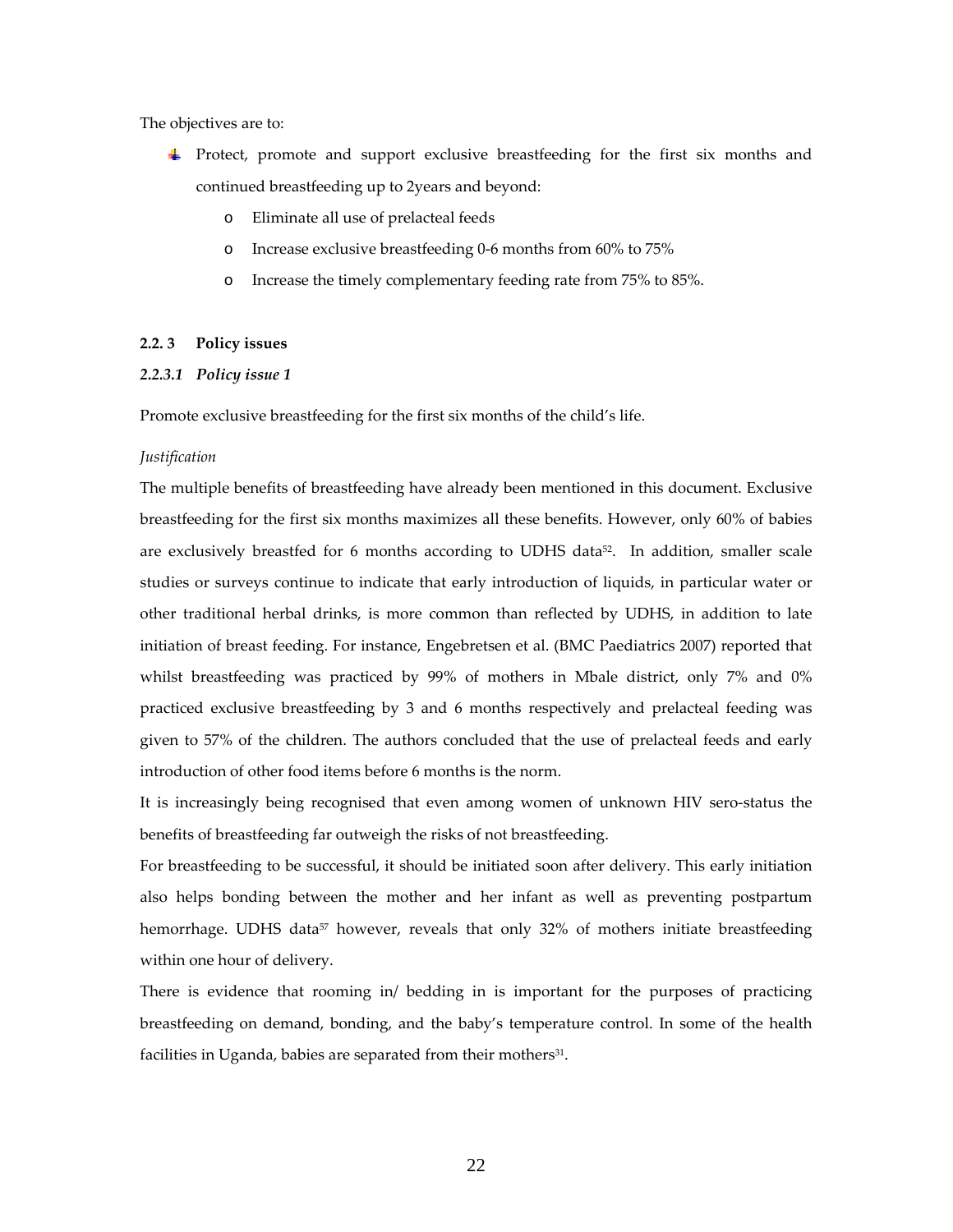The objectives are to:

- Protect, promote and support exclusive breastfeeding for the first six months and continued breastfeeding up to 2years and beyond:
	- o Eliminate all use of prelacteal feeds
	- o Increase exclusive breastfeeding 0‐6 months from 60% to 75%
	- o Increase the timely complementary feeding rate from 75% to 85%.

#### **2.2. 3 Policy issues**

# *2.2.3.1 Policy issue 1*

Promote exclusive breastfeeding for the first six months of the child's life.

#### *Justification*

The multiple benefits of breastfeeding have already been mentioned in this document. Exclusive breastfeeding for the first six months maximizes all these benefits. However, only 60% of babies are exclusively breastfed for 6 months according to UDHS data<sup>52</sup>. In addition, smaller scale studies or surveys continue to indicate that early introduction of liquids, in particular water or other traditional herbal drinks, is more common than reflected by UDHS, in addition to late initiation of breast feeding. For instance, Engebretsen et al. (BMC Paediatrics 2007) reported that whilst breastfeeding was practiced by 99% of mothers in Mbale district, only 7% and 0% practiced exclusive breastfeeding by 3 and 6 months respectively and prelacteal feeding was given to 57% of the children. The authors concluded that the use of prelacteal feeds and early introduction of other food items before 6 months is the norm.

It is increasingly being recognised that even among women of unknown HIV sero‐status the benefits of breastfeeding far outweigh the risks of not breastfeeding.

For breastfeeding to be successful, it should be initiated soon after delivery. This early initiation also helps bonding between the mother and her infant as well as preventing postpartum hemorrhage. UDHS data<sup>57</sup> however, reveals that only 32% of mothers initiate breastfeeding within one hour of delivery.

There is evidence that rooming in/ bedding in is important for the purposes of practicing breastfeeding on demand, bonding, and the baby's temperature control. In some of the health facilities in Uganda, babies are separated from their mothers<sup>31</sup>.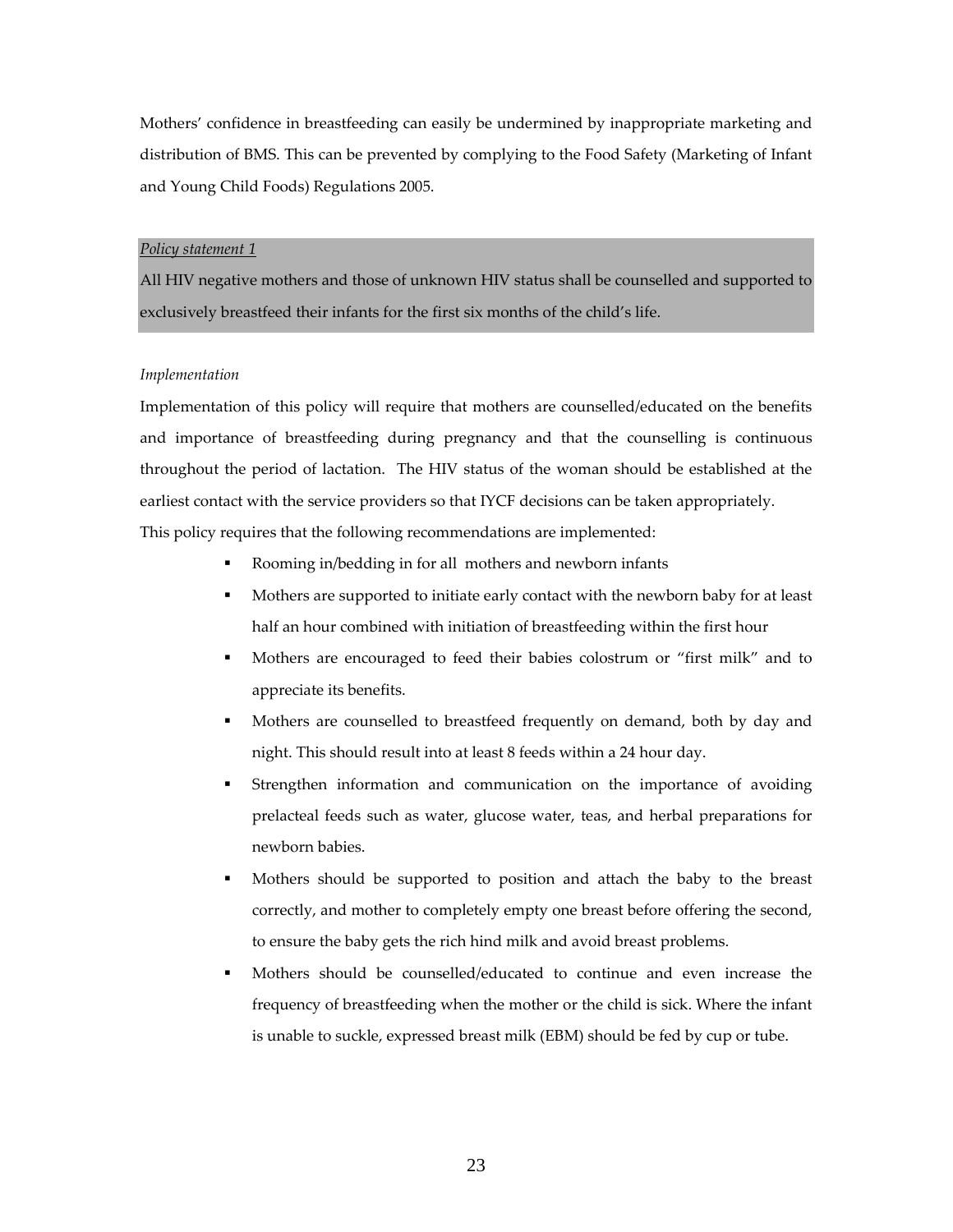Mothers' confidence in breastfeeding can easily be undermined by inappropriate marketing and distribution of BMS. This can be prevented by complying to the Food Safety (Marketing of Infant and Young Child Foods) Regulations 2005.

#### *Policy statement 1*

All HIV negative mothers and those of unknown HIV status shall be counselled and supported to exclusively breastfeed their infants for the first six months of the child's life.

#### *Implementation*

Implementation of this policy will require that mothers are counselled/educated on the benefits and importance of breastfeeding during pregnancy and that the counselling is continuous throughout the period of lactation. The HIV status of the woman should be established at the earliest contact with the service providers so that IYCF decisions can be taken appropriately.

This policy requires that the following recommendations are implemented:

- Rooming in/bedding in for all mothers and newborn infants
- Mothers are supported to initiate early contact with the newborn baby for at least half an hour combined with initiation of breastfeeding within the first hour
- Mothers are encouraged to feed their babies colostrum or "first milk" and to appreciate its benefits.
- Mothers are counselled to breastfeed frequently on demand, both by day and night. This should result into at least 8 feeds within a 24 hour day.
- Strengthen information and communication on the importance of avoiding prelacteal feeds such as water, glucose water, teas, and herbal preparations for newborn babies.
- Mothers should be supported to position and attach the baby to the breast correctly, and mother to completely empty one breast before offering the second, to ensure the baby gets the rich hind milk and avoid breast problems.
- Mothers should be counselled/educated to continue and even increase the frequency of breastfeeding when the mother or the child is sick. Where the infant is unable to suckle, expressed breast milk (EBM) should be fed by cup or tube.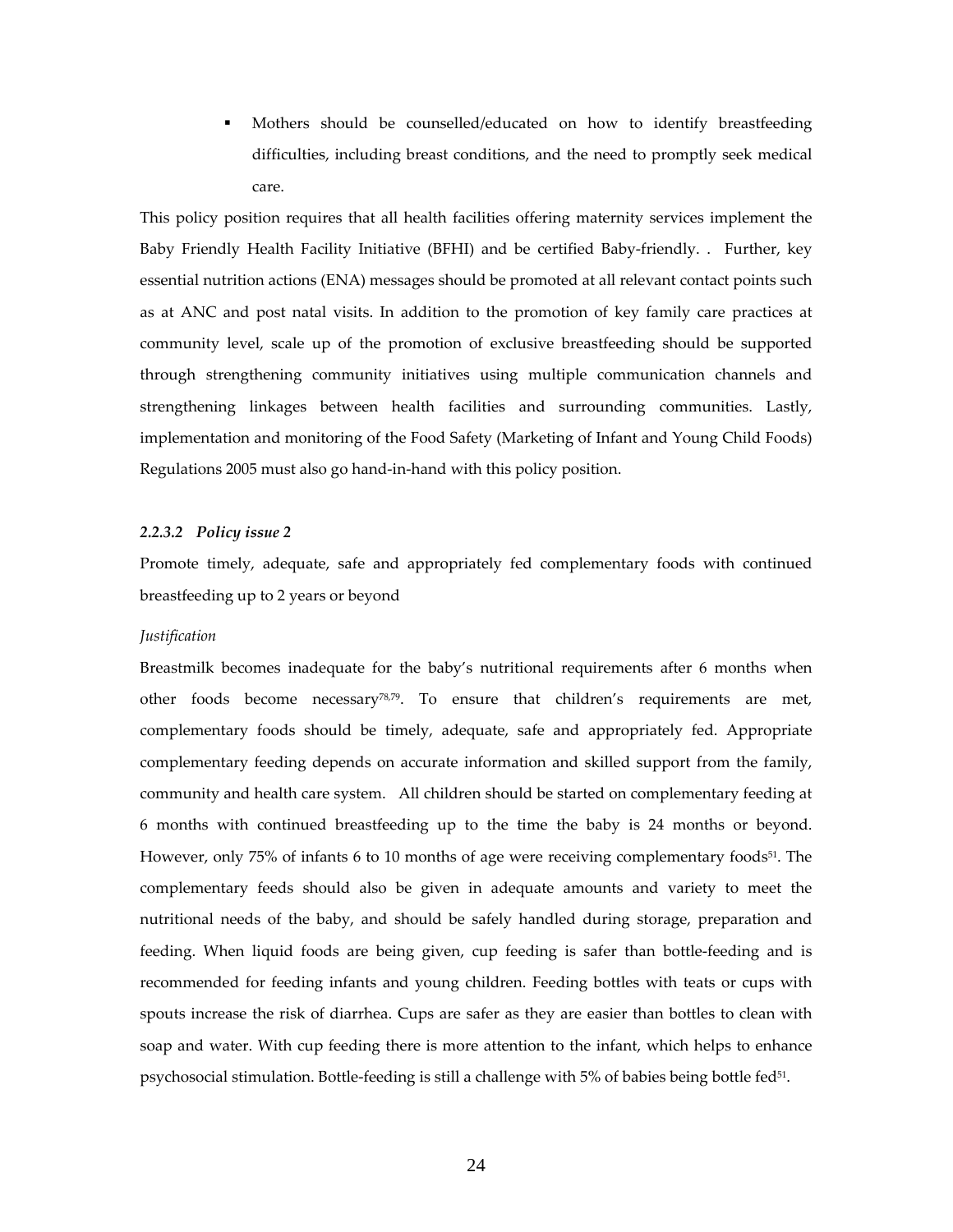Mothers should be counselled/educated on how to identify breastfeeding difficulties, including breast conditions, and the need to promptly seek medical care.

This policy position requires that all health facilities offering maternity services implement the Baby Friendly Health Facility Initiative (BFHI) and be certified Baby‐friendly. . Further, key essential nutrition actions (ENA) messages should be promoted at all relevant contact points such as at ANC and post natal visits. In addition to the promotion of key family care practices at community level, scale up of the promotion of exclusive breastfeeding should be supported through strengthening community initiatives using multiple communication channels and strengthening linkages between health facilities and surrounding communities. Lastly, implementation and monitoring of the Food Safety (Marketing of Infant and Young Child Foods) Regulations 2005 must also go hand‐in‐hand with this policy position.

#### *2.2.3.2 Policy issue 2*

Promote timely, adequate, safe and appropriately fed complementary foods with continued breastfeeding up to 2 years or beyond

#### *Justification*

Breastmilk becomes inadequate for the baby's nutritional requirements after 6 months when other foods become necessary78,79. To ensure that children's requirements are met, complementary foods should be timely, adequate, safe and appropriately fed. Appropriate complementary feeding depends on accurate information and skilled support from the family, community and health care system. All children should be started on complementary feeding at 6 months with continued breastfeeding up to the time the baby is 24 months or beyond. However, only 75% of infants 6 to 10 months of age were receiving complementary foods<sup>51</sup>. The complementary feeds should also be given in adequate amounts and variety to meet the nutritional needs of the baby, and should be safely handled during storage, preparation and feeding. When liquid foods are being given, cup feeding is safer than bottle‐feeding and is recommended for feeding infants and young children. Feeding bottles with teats or cups with spouts increase the risk of diarrhea. Cups are safer as they are easier than bottles to clean with soap and water. With cup feeding there is more attention to the infant, which helps to enhance psychosocial stimulation. Bottle-feeding is still a challenge with 5% of babies being bottle fed<sup>51</sup>.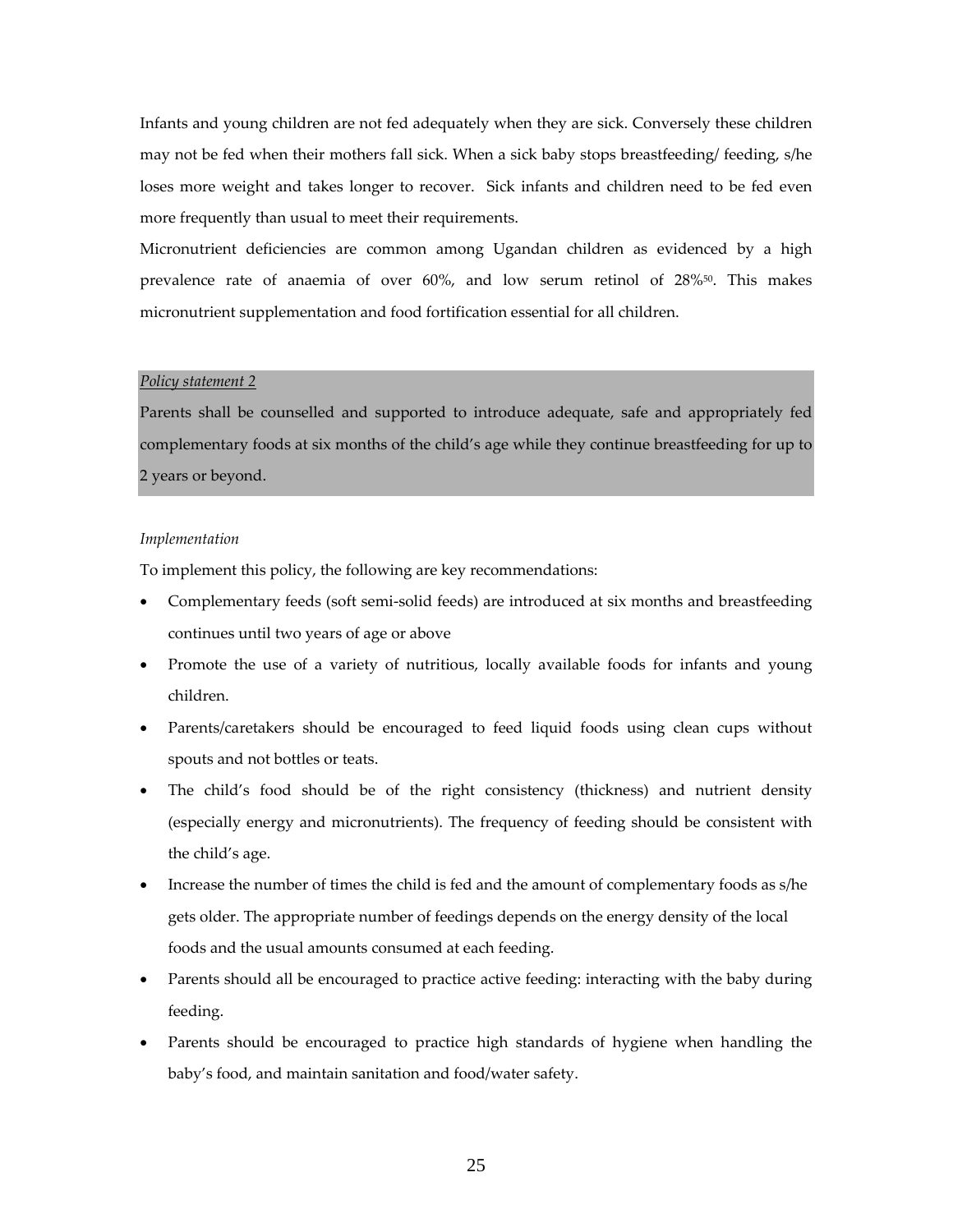Infants and young children are not fed adequately when they are sick. Conversely these children may not be fed when their mothers fall sick. When a sick baby stops breastfeeding/ feeding, s/he loses more weight and takes longer to recover. Sick infants and children need to be fed even more frequently than usual to meet their requirements.

Micronutrient deficiencies are common among Ugandan children as evidenced by a high prevalence rate of anaemia of over 60%, and low serum retinol of 28%50. This makes micronutrient supplementation and food fortification essential for all children.

#### *Policy statement 2*

Parents shall be counselled and supported to introduce adequate, safe and appropriately fed complementary foods at six months of the child's age while they continue breastfeeding for up to 2 years or beyond.

#### *Implementation*

To implement this policy, the following are key recommendations:

- Complementary feeds (soft semi‐solid feeds) are introduced at six months and breastfeeding continues until two years of age or above
- Promote the use of a variety of nutritious, locally available foods for infants and young children.
- Parents/caretakers should be encouraged to feed liquid foods using clean cups without spouts and not bottles or teats.
- The child's food should be of the right consistency (thickness) and nutrient density (especially energy and micronutrients). The frequency of feeding should be consistent with the child's age.
- Increase the number of times the child is fed and the amount of complementary foods as s/he gets older. The appropriate number of feedings depends on the energy density of the local foods and the usual amounts consumed at each feeding.
- Parents should all be encouraged to practice active feeding: interacting with the baby during feeding.
- Parents should be encouraged to practice high standards of hygiene when handling the baby's food, and maintain sanitation and food/water safety.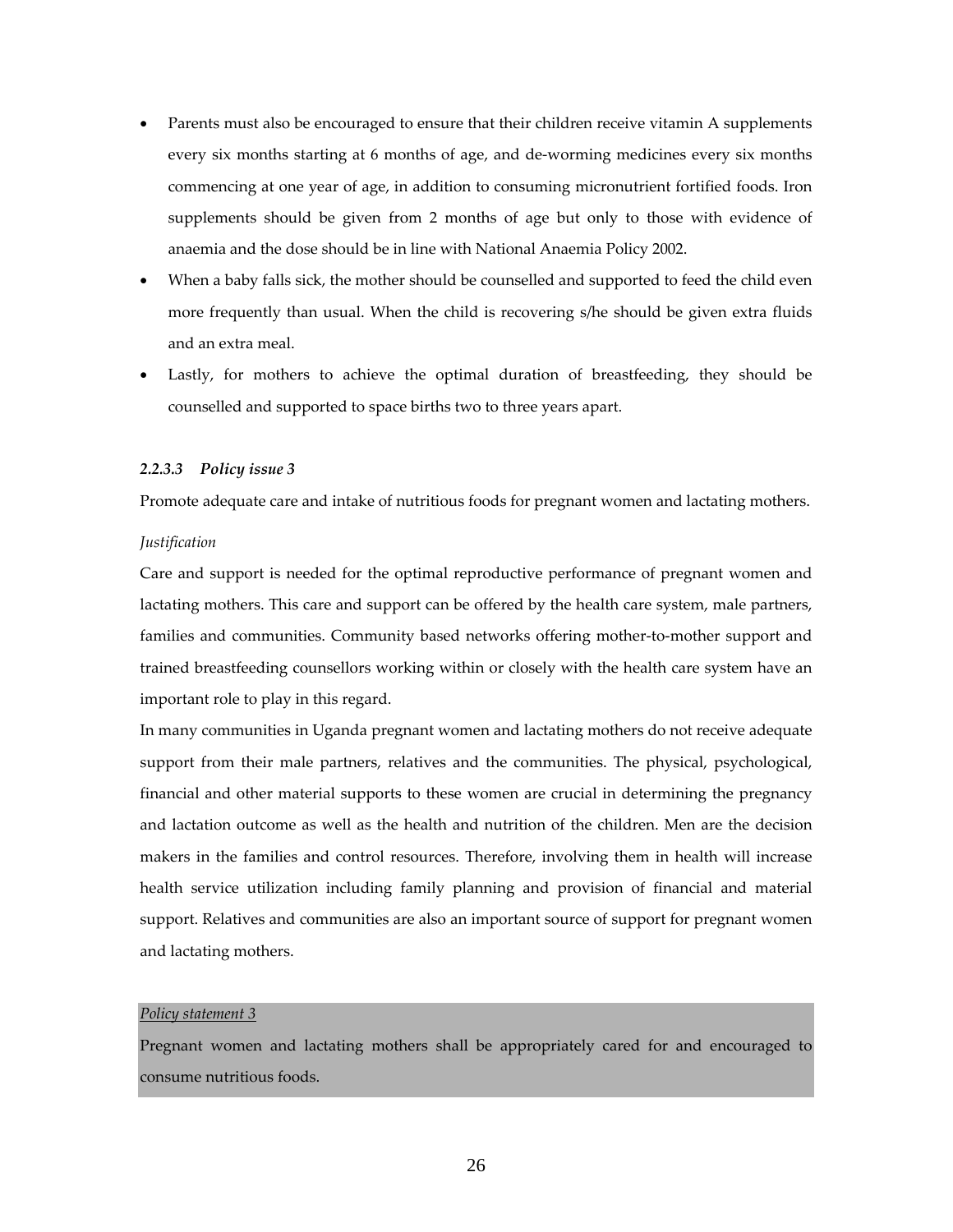- Parents must also be encouraged to ensure that their children receive vitamin A supplements every six months starting at 6 months of age, and de-worming medicines every six months commencing at one year of age, in addition to consuming micronutrient fortified foods. Iron supplements should be given from 2 months of age but only to those with evidence of anaemia and the dose should be in line with National Anaemia Policy 2002.
- When a baby falls sick, the mother should be counselled and supported to feed the child even more frequently than usual. When the child is recovering s/he should be given extra fluids and an extra meal.
- Lastly, for mothers to achieve the optimal duration of breastfeeding, they should be counselled and supported to space births two to three years apart.

#### *2.2.3.3 Policy issue 3*

Promote adequate care and intake of nutritious foods for pregnant women and lactating mothers.

#### *Justification*

Care and support is needed for the optimal reproductive performance of pregnant women and lactating mothers. This care and support can be offered by the health care system, male partners, families and communities. Community based networks offering mother-to-mother support and trained breastfeeding counsellors working within or closely with the health care system have an important role to play in this regard.

In many communities in Uganda pregnant women and lactating mothers do not receive adequate support from their male partners, relatives and the communities. The physical, psychological, financial and other material supports to these women are crucial in determining the pregnancy and lactation outcome as well as the health and nutrition of the children. Men are the decision makers in the families and control resources. Therefore, involving them in health will increase health service utilization including family planning and provision of financial and material support. Relatives and communities are also an important source of support for pregnant women and lactating mothers.

#### *Policy statement 3*

Pregnant women and lactating mothers shall be appropriately cared for and encouraged to consume nutritious foods.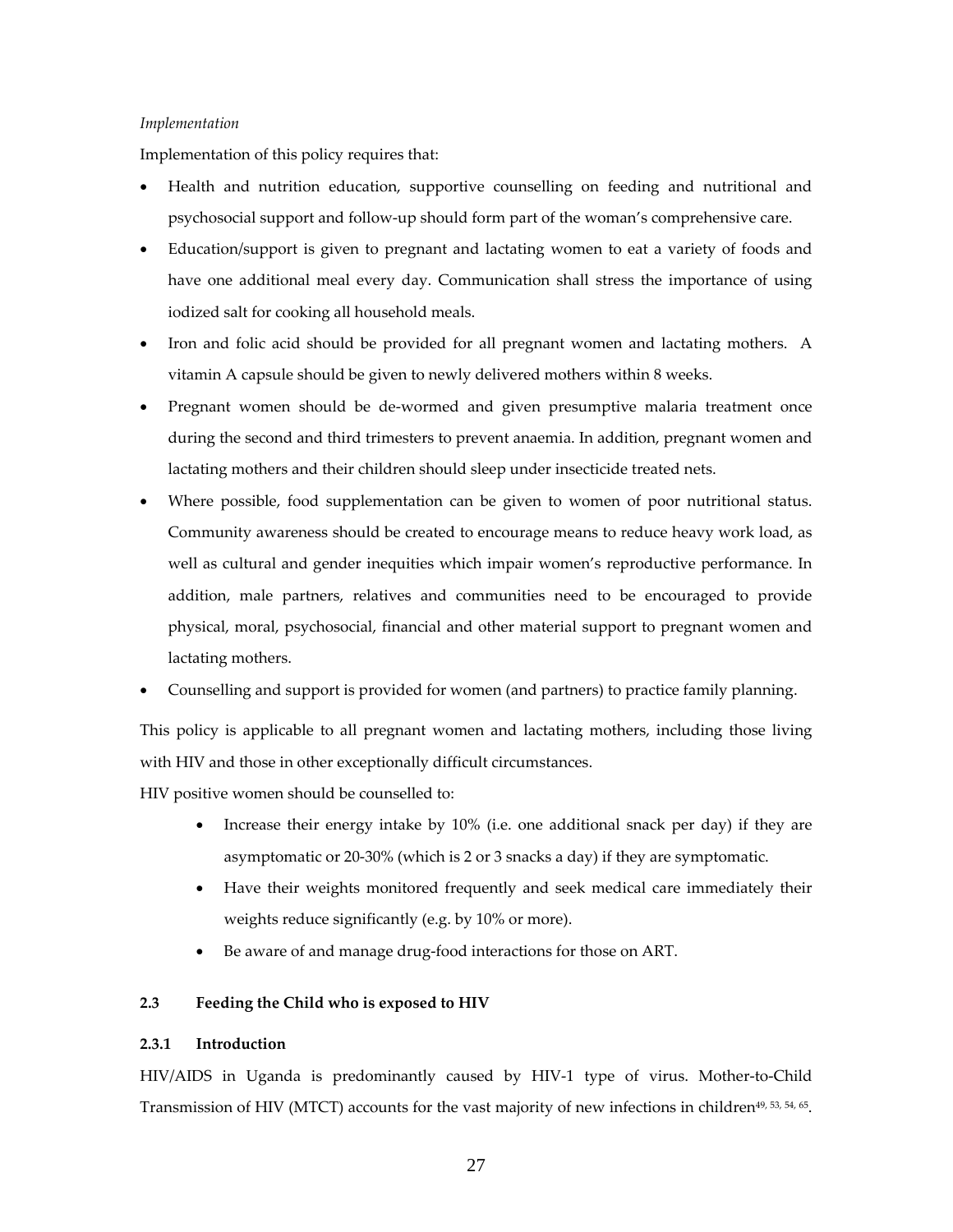#### *Implementation*

Implementation of this policy requires that:

- Health and nutrition education, supportive counselling on feeding and nutritional and psychosocial support and follow‐up should form part of the woman's comprehensive care.
- Education/support is given to pregnant and lactating women to eat a variety of foods and have one additional meal every day. Communication shall stress the importance of using iodized salt for cooking all household meals.
- Iron and folic acid should be provided for all pregnant women and lactating mothers. A vitamin A capsule should be given to newly delivered mothers within 8 weeks.
- Pregnant women should be de-wormed and given presumptive malaria treatment once during the second and third trimesters to prevent anaemia. In addition, pregnant women and lactating mothers and their children should sleep under insecticide treated nets.
- Where possible, food supplementation can be given to women of poor nutritional status. Community awareness should be created to encourage means to reduce heavy work load, as well as cultural and gender inequities which impair women's reproductive performance. In addition, male partners, relatives and communities need to be encouraged to provide physical, moral, psychosocial, financial and other material support to pregnant women and lactating mothers.
- Counselling and support is provided for women (and partners) to practice family planning.

This policy is applicable to all pregnant women and lactating mothers, including those living with HIV and those in other exceptionally difficult circumstances.

HIV positive women should be counselled to:

- Increase their energy intake by 10% (i.e. one additional snack per day) if they are asymptomatic or 20‐30% (which is 2 or 3 snacks a day) if they are symptomatic.
- Have their weights monitored frequently and seek medical care immediately their weights reduce significantly (e.g. by 10% or more).
- Be aware of and manage drug‐food interactions for those on ART.

#### **2.3 Feeding the Child who is exposed to HIV**

#### **2.3.1 Introduction**

HIV/AIDS in Uganda is predominantly caused by HIV‐1 type of virus. Mother‐to‐Child Transmission of HIV (MTCT) accounts for the vast majority of new infections in children<sup>49, 53, 54, 65</sup>.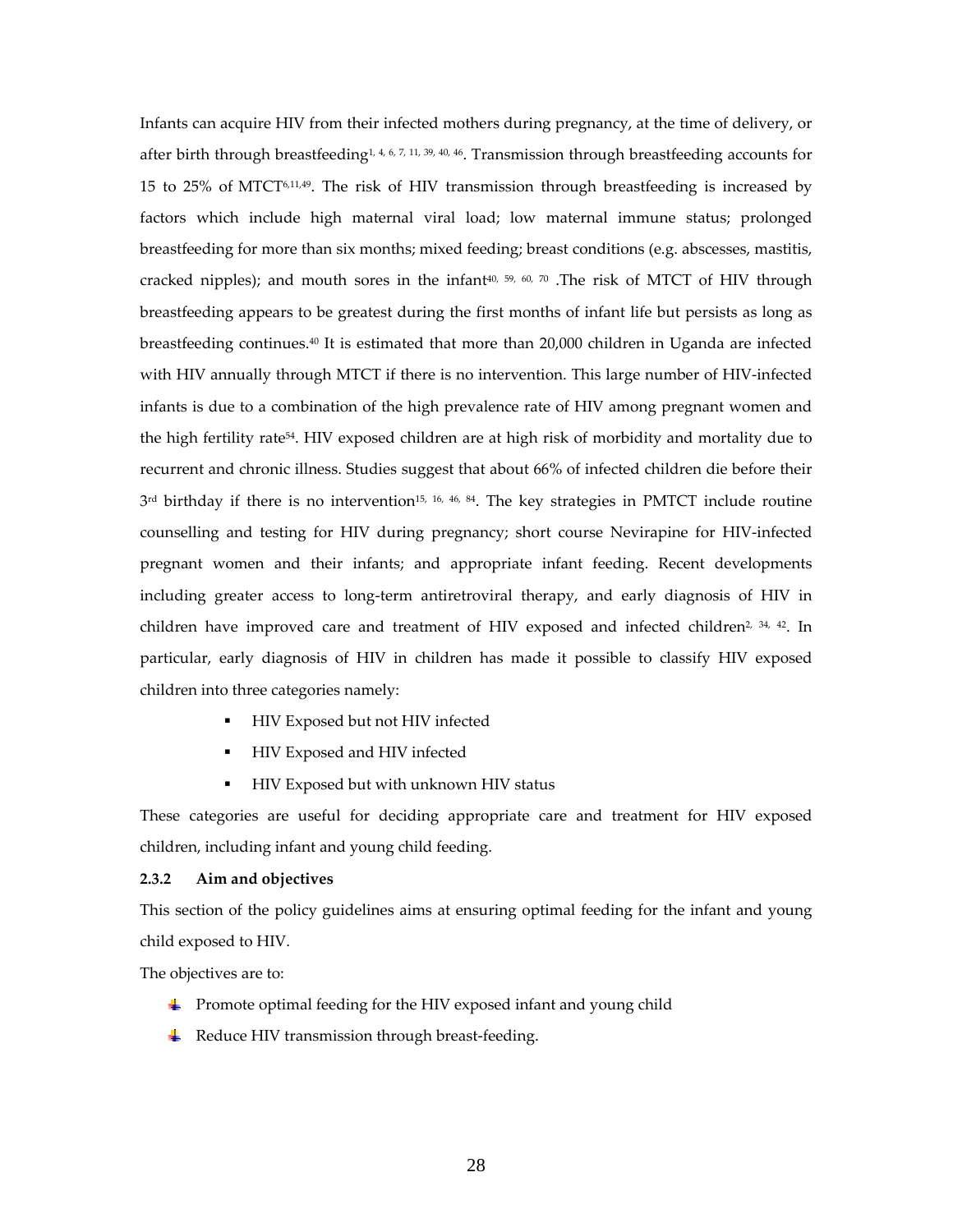Infants can acquire HIV from their infected mothers during pregnancy, at the time of delivery, or after birth through breastfeeding1, 4, 6, 7, 11, 39, 40, 46. Transmission through breastfeeding accounts for 15 to 25% of MTCT<sup>6,11,49</sup>. The risk of HIV transmission through breastfeeding is increased by factors which include high maternal viral load; low maternal immune status; prolonged breastfeeding for more than six months; mixed feeding; breast conditions (e.g. abscesses, mastitis, cracked nipples); and mouth sores in the infant<sup>40, 59, 60, 70</sup>. The risk of MTCT of HIV through breastfeeding appears to be greatest during the first months of infant life but persists as long as breastfeeding continues. $40$  It is estimated that more than 20,000 children in Uganda are infected with HIV annually through MTCT if there is no intervention. This large number of HIV-infected infants is due to a combination of the high prevalence rate of HIV among pregnant women and the high fertility rate54. HIV exposed children are at high risk of morbidity and mortality due to recurrent and chronic illness. Studies suggest that about 66% of infected children die before their 3<sup>rd</sup> birthday if there is no intervention<sup>15, 16, 46, 84</sup>. The key strategies in PMTCT include routine counselling and testing for HIV during pregnancy; short course Nevirapine for HIV‐infected pregnant women and their infants; and appropriate infant feeding. Recent developments including greater access to long‐term antiretroviral therapy, and early diagnosis of HIV in children have improved care and treatment of HIV exposed and infected children<sup>2, 34, 42</sup>. In particular, early diagnosis of HIV in children has made it possible to classify HIV exposed children into three categories namely:

- **HIV Exposed but not HIV infected**
- **HIV Exposed and HIV infected**
- **HIV Exposed but with unknown HIV status**

These categories are useful for deciding appropriate care and treatment for HIV exposed children, including infant and young child feeding.

#### **2.3.2 Aim and objectives**

This section of the policy guidelines aims at ensuring optimal feeding for the infant and young child exposed to HIV.

The objectives are to:

- $\downarrow$  Promote optimal feeding for the HIV exposed infant and young child
- $\overline{\mathbf{H}}$  Reduce HIV transmission through breast-feeding.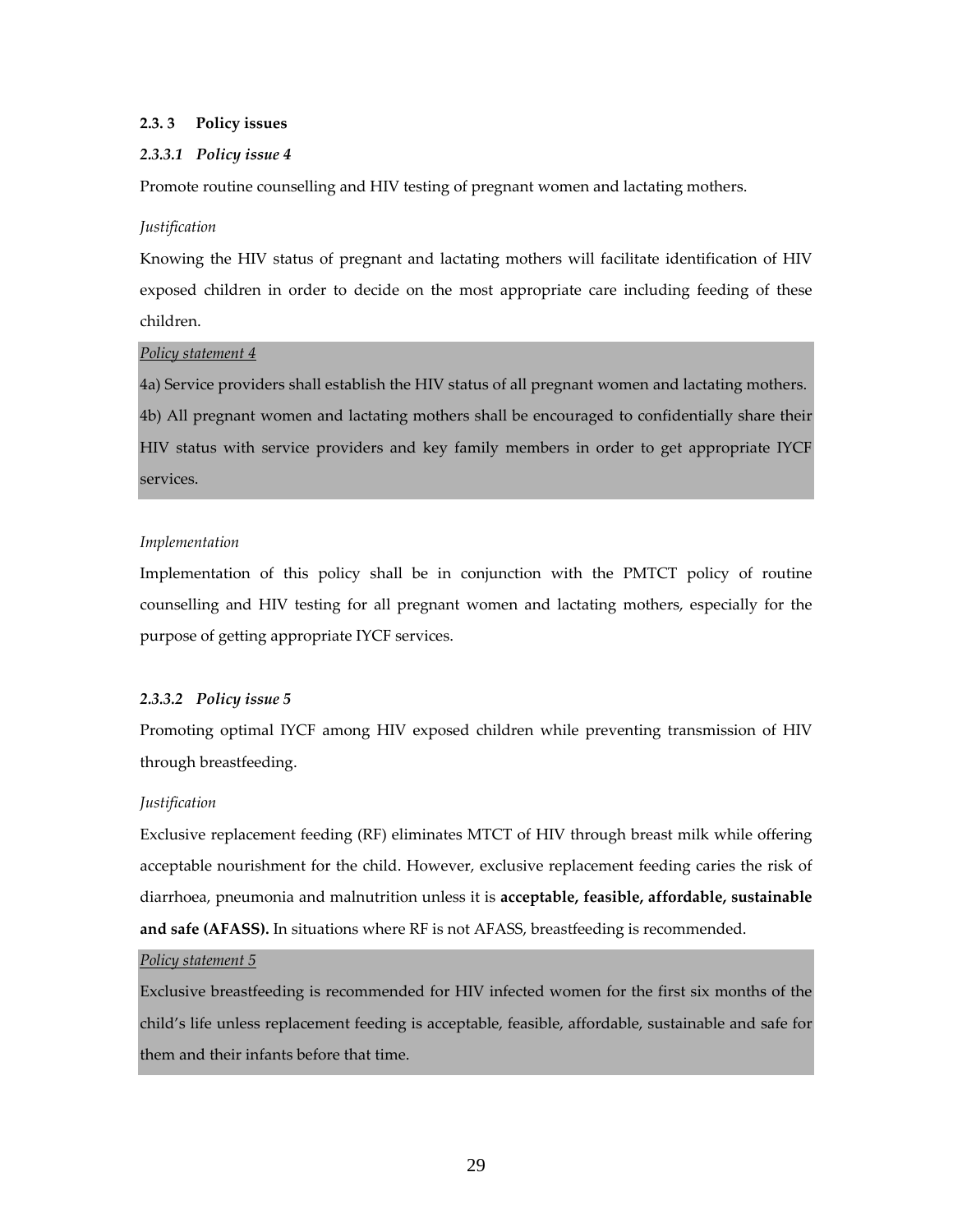#### **2.3. 3 Policy issues**

#### *2.3.3.1 Policy issue 4*

Promote routine counselling and HIV testing of pregnant women and lactating mothers.

#### *Justification*

Knowing the HIV status of pregnant and lactating mothers will facilitate identification of HIV exposed children in order to decide on the most appropriate care including feeding of these children.

#### *Policy statement 4*

4a) Service providers shall establish the HIV status of all pregnant women and lactating mothers. 4b) All pregnant women and lactating mothers shall be encouraged to confidentially share their HIV status with service providers and key family members in order to get appropriate IYCF services.

#### *Implementation*

Implementation of this policy shall be in conjunction with the PMTCT policy of routine counselling and HIV testing for all pregnant women and lactating mothers, especially for the purpose of getting appropriate IYCF services.

#### *2.3.3.2 Policy issue 5*

Promoting optimal IYCF among HIV exposed children while preventing transmission of HIV through breastfeeding.

#### *Justification*

Exclusive replacement feeding (RF) eliminates MTCT of HIV through breast milk while offering acceptable nourishment for the child. However, exclusive replacement feeding caries the risk of diarrhoea, pneumonia and malnutrition unless it is **acceptable, feasible, affordable, sustainable and safe (AFASS).** In situations where RF is not AFASS, breastfeeding is recommended.

# *Policy statement 5*

Exclusive breastfeeding is recommended for HIV infected women for the first six months of the child's life unless replacement feeding is acceptable, feasible, affordable, sustainable and safe for them and their infants before that time.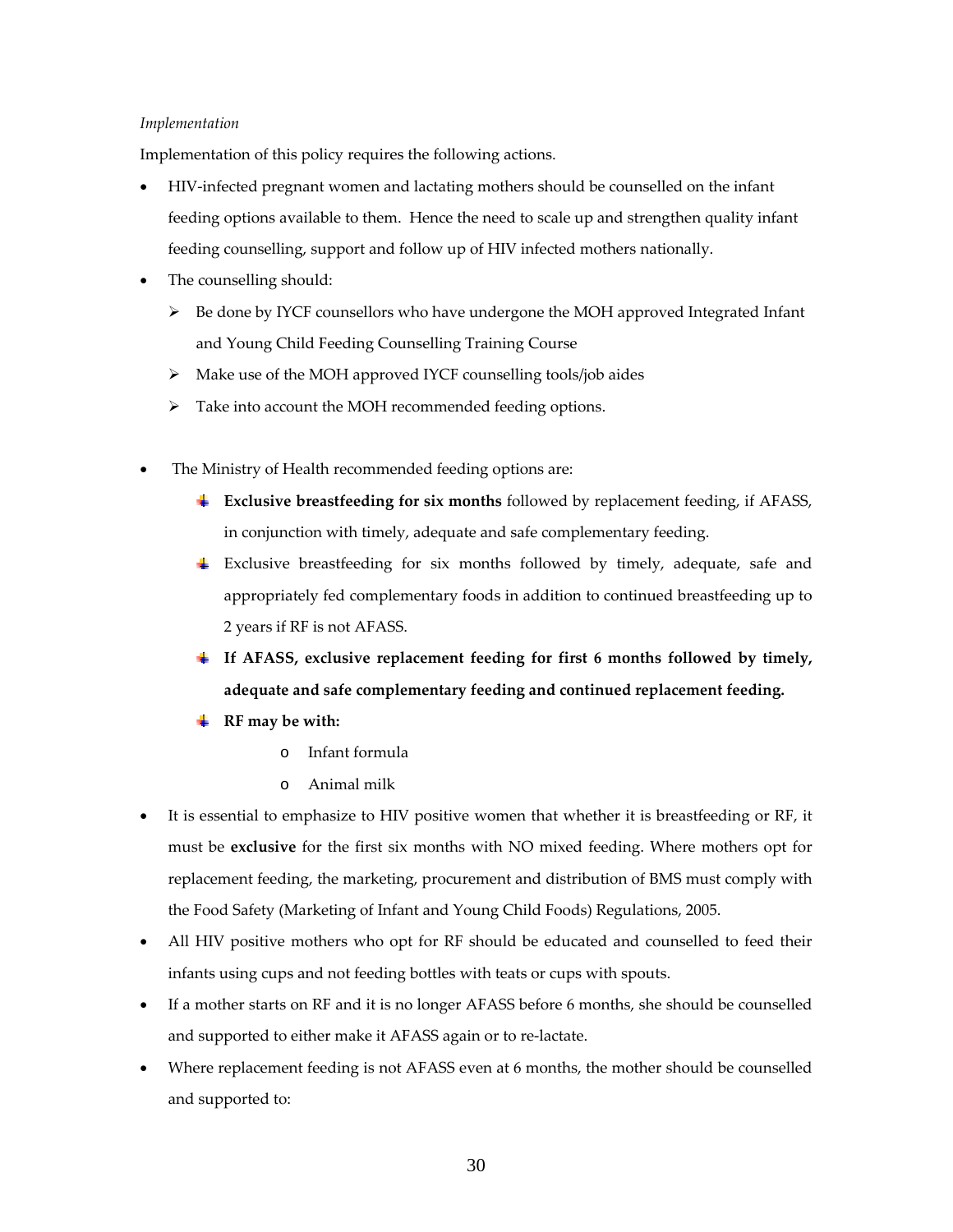#### *Implementation*

Implementation of this policy requires the following actions.

- HIV‐infected pregnant women and lactating mothers should be counselled on the infant feeding options available to them. Hence the need to scale up and strengthen quality infant feeding counselling, support and follow up of HIV infected mothers nationally.
- The counselling should:
	- $\triangleright$  Be done by IYCF counsellors who have undergone the MOH approved Integrated Infant and Young Child Feeding Counselling Training Course
	- Make use of the MOH approved IYCF counselling tools/job aides
	- > Take into account the MOH recommended feeding options.
- The Ministry of Health recommended feeding options are:
	- **Exclusive breastfeeding for six months** followed by replacement feeding, if AFASS, in conjunction with timely, adequate and safe complementary feeding.
	- Exclusive breastfeeding for six months followed by timely, adequate, safe and appropriately fed complementary foods in addition to continued breastfeeding up to 2 years if RF is not AFASS.
	- **If AFASS, exclusive replacement feeding for first 6 months followed by timely, adequate and safe complementary feeding and continued replacement feeding.**
	- **RF may be with:**
		- o Infant formula
		- o Animal milk
- It is essential to emphasize to HIV positive women that whether it is breastfeeding or RF, it must be **exclusive** for the first six months with NO mixed feeding. Where mothers opt for replacement feeding, the marketing, procurement and distribution of BMS must comply with the Food Safety (Marketing of Infant and Young Child Foods) Regulations, 2005.
- All HIV positive mothers who opt for RF should be educated and counselled to feed their infants using cups and not feeding bottles with teats or cups with spouts.
- If a mother starts on RF and it is no longer AFASS before 6 months, she should be counselled and supported to either make it AFASS again or to re‐lactate.
- Where replacement feeding is not AFASS even at 6 months, the mother should be counselled and supported to: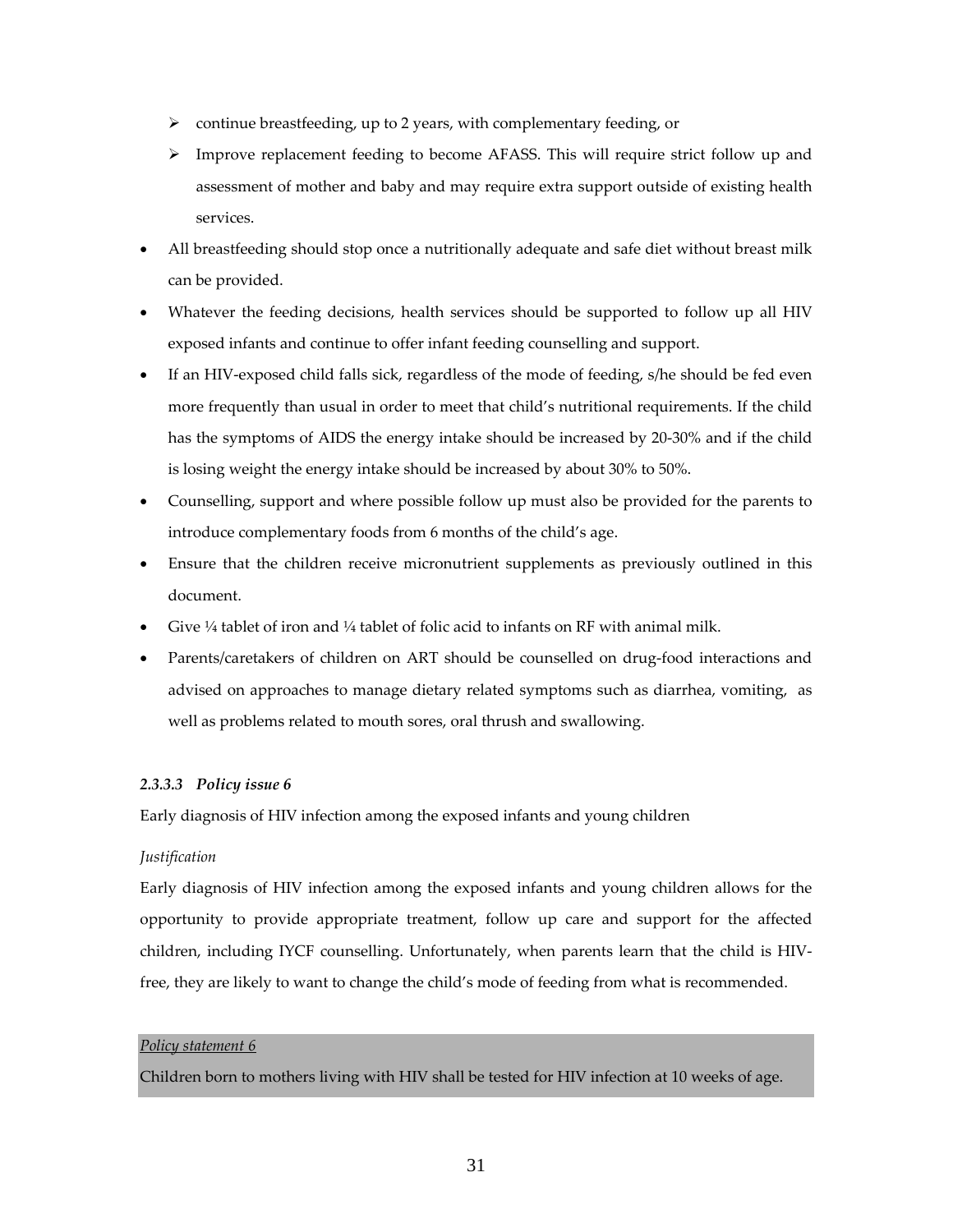- $\triangleright$  continue breastfeeding, up to 2 years, with complementary feeding, or
- $\triangleright$  Improve replacement feeding to become AFASS. This will require strict follow up and assessment of mother and baby and may require extra support outside of existing health services.
- All breastfeeding should stop once a nutritionally adequate and safe diet without breast milk can be provided.
- Whatever the feeding decisions, health services should be supported to follow up all HIV exposed infants and continue to offer infant feeding counselling and support.
- If an HIV‐exposed child falls sick, regardless of the mode of feeding, s/he should be fed even more frequently than usual in order to meet that child's nutritional requirements. If the child has the symptoms of AIDS the energy intake should be increased by 20-30% and if the child is losing weight the energy intake should be increased by about 30% to 50%.
- Counselling, support and where possible follow up must also be provided for the parents to introduce complementary foods from 6 months of the child's age.
- Ensure that the children receive micronutrient supplements as previously outlined in this document.
- Give ¼ tablet of iron and ¼ tablet of folic acid to infants on RF with animal milk.
- Parents/caretakers of children on ART should be counselled on drug-food interactions and advised on approaches to manage dietary related symptoms such as diarrhea, vomiting, as well as problems related to mouth sores, oral thrush and swallowing.

#### *2.3.3.3 Policy issue 6*

Early diagnosis of HIV infection among the exposed infants and young children

#### *Justification*

Early diagnosis of HIV infection among the exposed infants and young children allows for the opportunity to provide appropriate treatment, follow up care and support for the affected children, including IYCF counselling. Unfortunately, when parents learn that the child is HIV‐ free, they are likely to want to change the child's mode of feeding from what is recommended.

#### *Policy statement 6*

Children born to mothers living with HIV shall be tested for HIV infection at 10 weeks of age.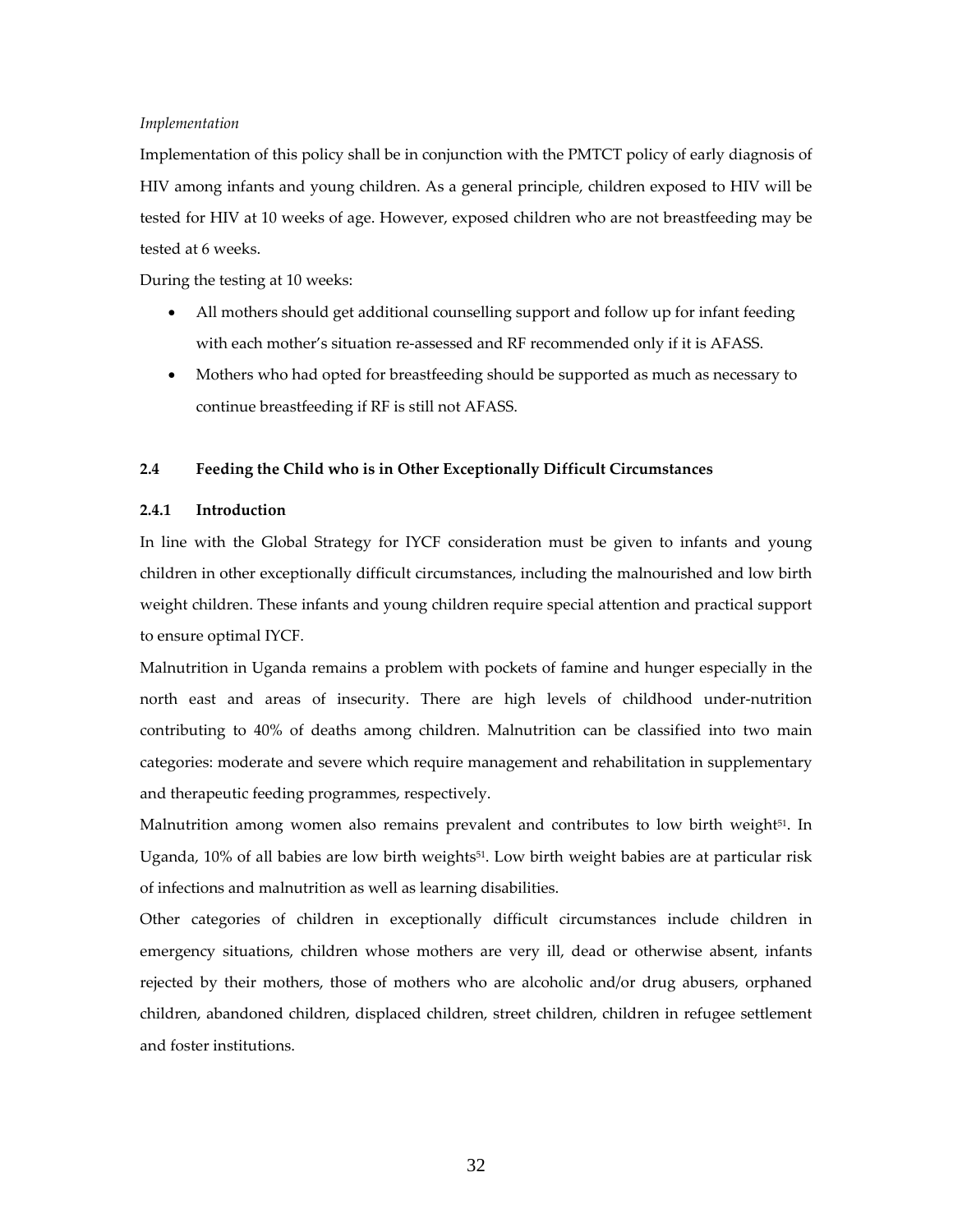#### *Implementation*

Implementation of this policy shall be in conjunction with the PMTCT policy of early diagnosis of HIV among infants and young children. As a general principle, children exposed to HIV will be tested for HIV at 10 weeks of age. However, exposed children who are not breastfeeding may be tested at 6 weeks.

During the testing at 10 weeks:

- All mothers should get additional counselling support and follow up for infant feeding with each mother's situation re-assessed and RF recommended only if it is AFASS.
- Mothers who had opted for breastfeeding should be supported as much as necessary to continue breastfeeding if RF is still not AFASS.

#### **2.4 Feeding the Child who is in Other Exceptionally Difficult Circumstances**

#### **2.4.1 Introduction**

In line with the Global Strategy for IYCF consideration must be given to infants and young children in other exceptionally difficult circumstances, including the malnourished and low birth weight children. These infants and young children require special attention and practical support to ensure optimal IYCF.

Malnutrition in Uganda remains a problem with pockets of famine and hunger especially in the north east and areas of insecurity. There are high levels of childhood under-nutrition contributing to 40% of deaths among children. Malnutrition can be classified into two main categories: moderate and severe which require management and rehabilitation in supplementary and therapeutic feeding programmes, respectively.

Malnutrition among women also remains prevalent and contributes to low birth weight<sup>51</sup>. In Uganda, 10% of all babies are low birth weights<sup>51</sup>. Low birth weight babies are at particular risk of infections and malnutrition as well as learning disabilities.

Other categories of children in exceptionally difficult circumstances include children in emergency situations, children whose mothers are very ill, dead or otherwise absent, infants rejected by their mothers, those of mothers who are alcoholic and/or drug abusers, orphaned children, abandoned children, displaced children, street children, children in refugee settlement and foster institutions.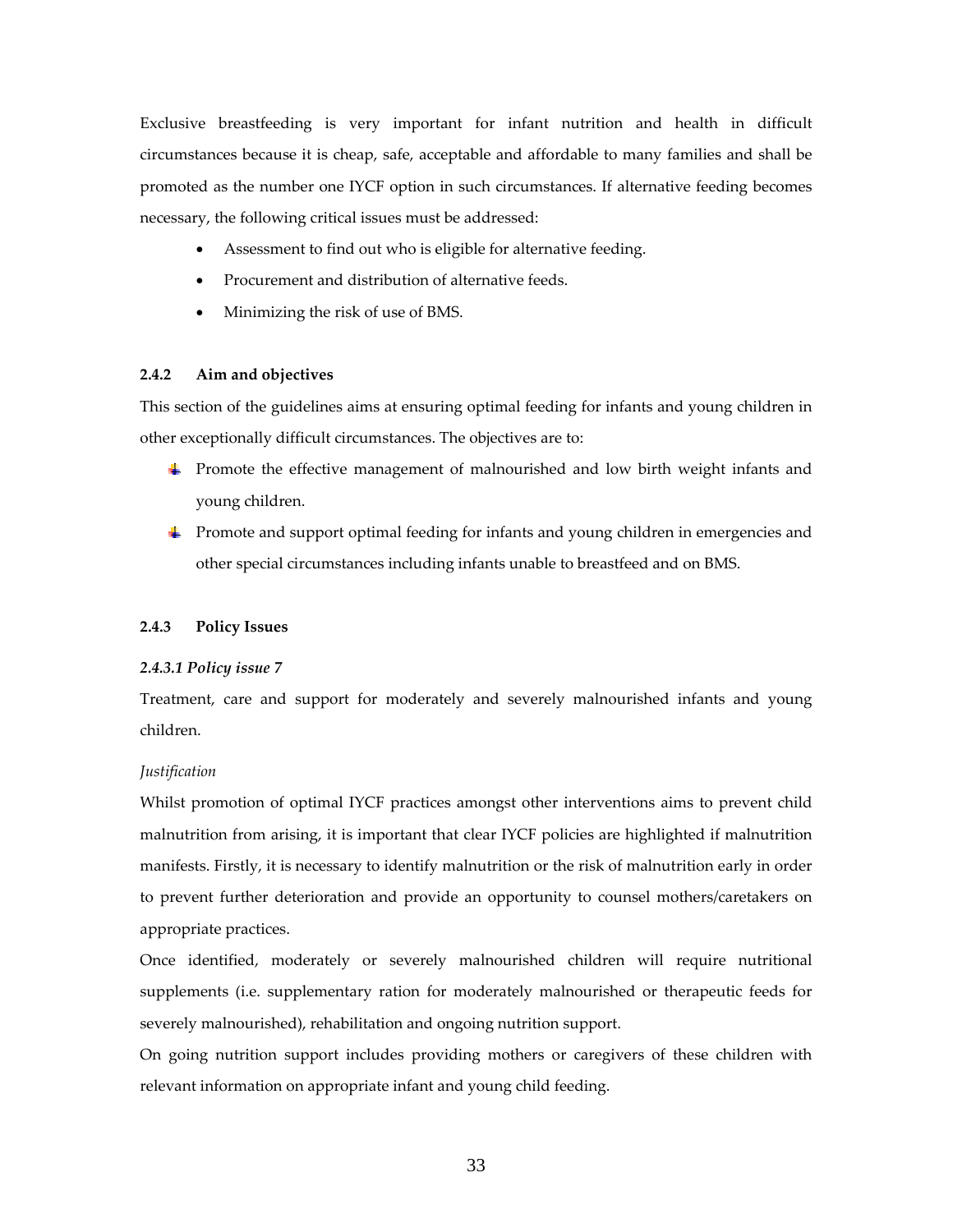Exclusive breastfeeding is very important for infant nutrition and health in difficult circumstances because it is cheap, safe, acceptable and affordable to many families and shall be promoted as the number one IYCF option in such circumstances. If alternative feeding becomes necessary, the following critical issues must be addressed:

- Assessment to find out who is eligible for alternative feeding.
- Procurement and distribution of alternative feeds.
- Minimizing the risk of use of BMS.

#### **2.4.2 Aim and objectives**

This section of the guidelines aims at ensuring optimal feeding for infants and young children in other exceptionally difficult circumstances. The objectives are to:

- **Promote the effective management of malnourished and low birth weight infants and** young children.
- **F** Promote and support optimal feeding for infants and young children in emergencies and other special circumstances including infants unable to breastfeed and on BMS.

#### **2.4.3 Policy Issues**

#### *2.4.3.1 Policy issue 7*

Treatment, care and support for moderately and severely malnourished infants and young children.

#### *Justification*

Whilst promotion of optimal IYCF practices amongst other interventions aims to prevent child malnutrition from arising, it is important that clear IYCF policies are highlighted if malnutrition manifests. Firstly, it is necessary to identify malnutrition or the risk of malnutrition early in order to prevent further deterioration and provide an opportunity to counsel mothers/caretakers on appropriate practices.

Once identified, moderately or severely malnourished children will require nutritional supplements (i.e. supplementary ration for moderately malnourished or therapeutic feeds for severely malnourished), rehabilitation and ongoing nutrition support.

On going nutrition support includes providing mothers or caregivers of these children with relevant information on appropriate infant and young child feeding.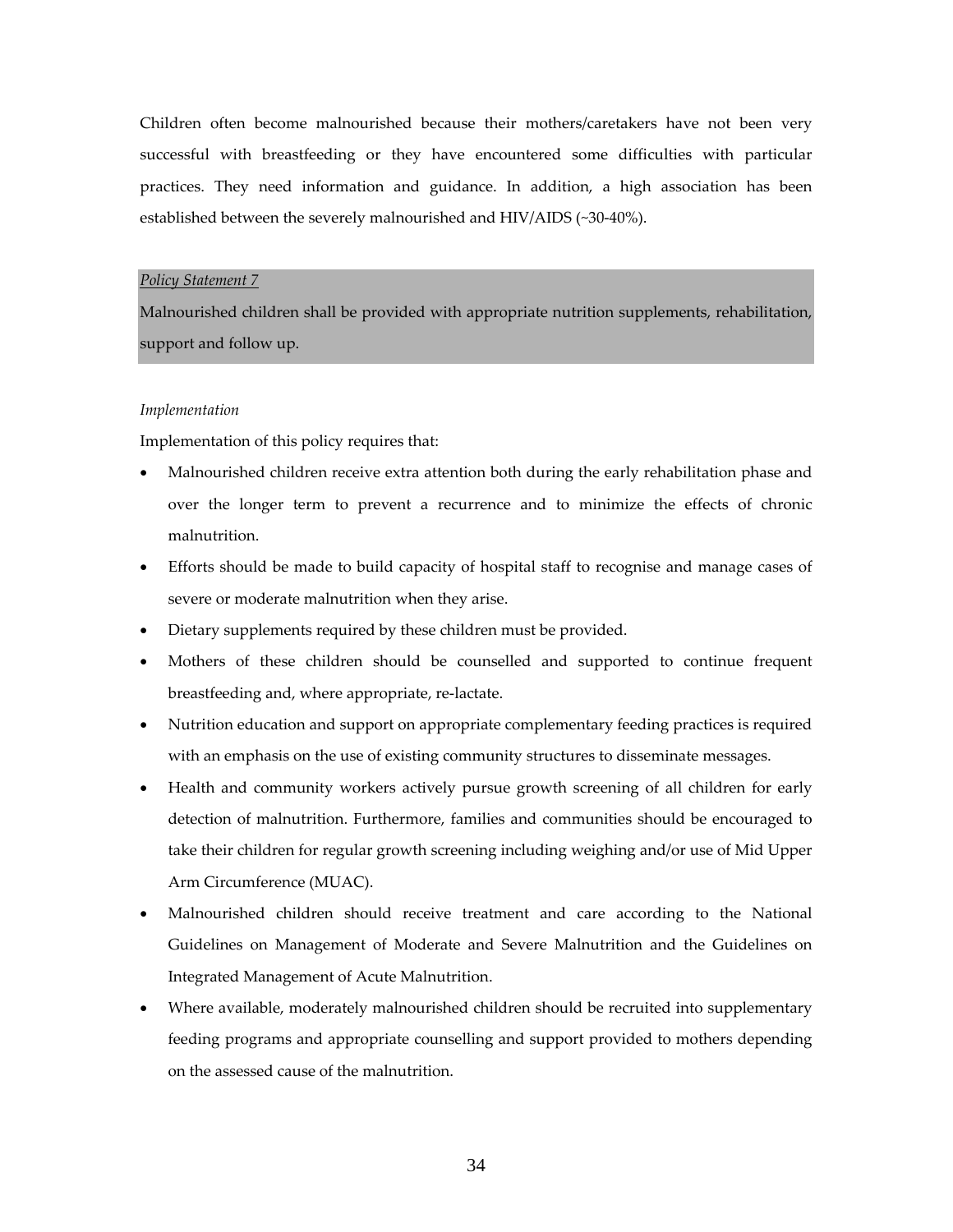Children often become malnourished because their mothers/caretakers have not been very successful with breastfeeding or they have encountered some difficulties with particular practices. They need information and guidance. In addition, a high association has been established between the severely malnourished and HIV/AIDS (~30‐40%).

#### *Policy Statement 7*

Malnourished children shall be provided with appropriate nutrition supplements, rehabilitation, support and follow up.

#### *Implementation*

Implementation of this policy requires that:

- Malnourished children receive extra attention both during the early rehabilitation phase and over the longer term to prevent a recurrence and to minimize the effects of chronic malnutrition.
- Efforts should be made to build capacity of hospital staff to recognise and manage cases of severe or moderate malnutrition when they arise.
- Dietary supplements required by these children must be provided.
- Mothers of these children should be counselled and supported to continue frequent breastfeeding and, where appropriate, re‐lactate.
- Nutrition education and support on appropriate complementary feeding practices is required with an emphasis on the use of existing community structures to disseminate messages.
- Health and community workers actively pursue growth screening of all children for early detection of malnutrition. Furthermore, families and communities should be encouraged to take their children for regular growth screening including weighing and/or use of Mid Upper Arm Circumference (MUAC).
- Malnourished children should receive treatment and care according to the National Guidelines on Management of Moderate and Severe Malnutrition and the Guidelines on Integrated Management of Acute Malnutrition.
- Where available, moderately malnourished children should be recruited into supplementary feeding programs and appropriate counselling and support provided to mothers depending on the assessed cause of the malnutrition.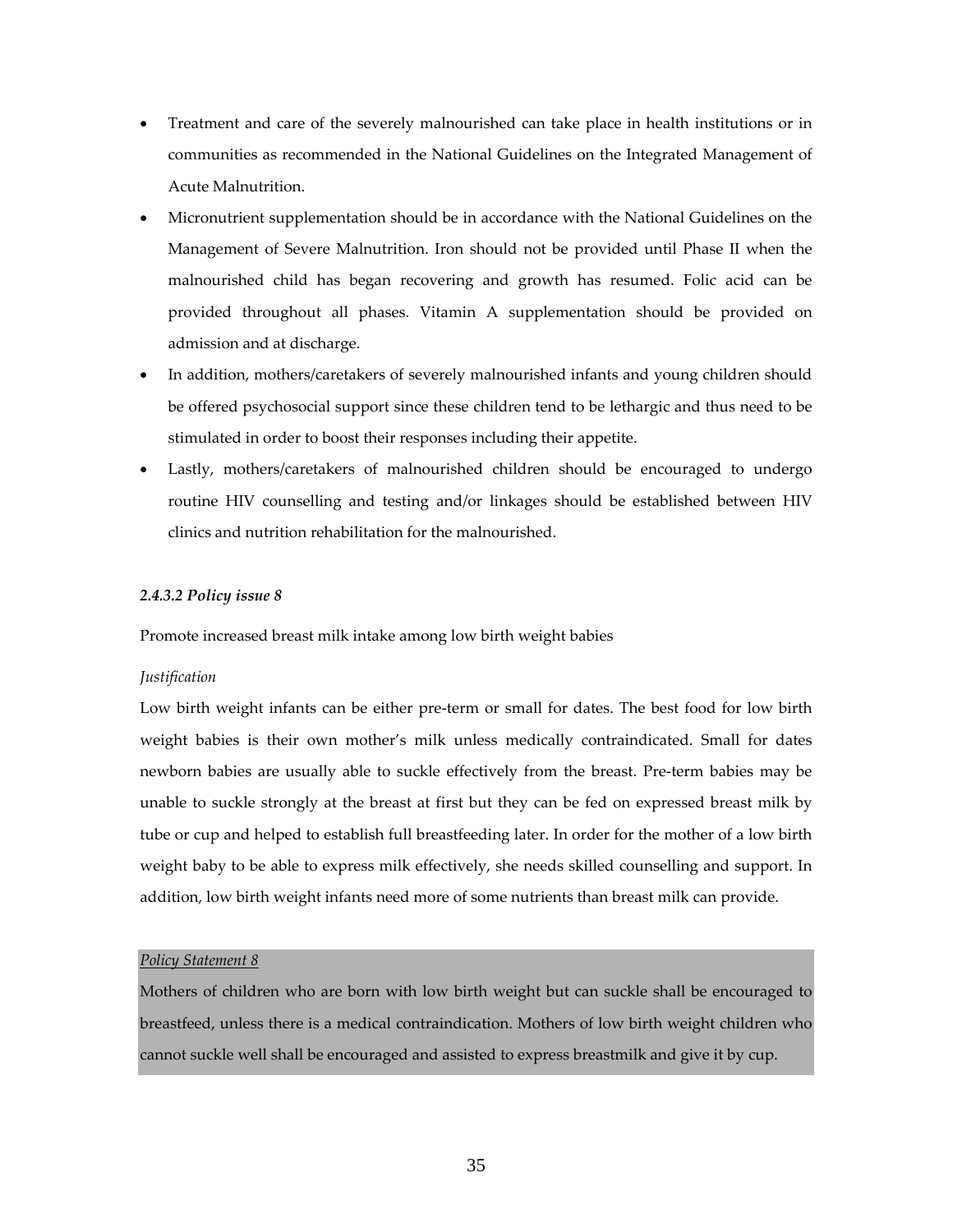- Treatment and care of the severely malnourished can take place in health institutions or in communities as recommended in the National Guidelines on the Integrated Management of Acute Malnutrition.
- Micronutrient supplementation should be in accordance with the National Guidelines on the Management of Severe Malnutrition. Iron should not be provided until Phase II when the malnourished child has began recovering and growth has resumed. Folic acid can be provided throughout all phases. Vitamin A supplementation should be provided on admission and at discharge.
- In addition, mothers/caretakers of severely malnourished infants and young children should be offered psychosocial support since these children tend to be lethargic and thus need to be stimulated in order to boost their responses including their appetite.
- Lastly, mothers/caretakers of malnourished children should be encouraged to undergo routine HIV counselling and testing and/or linkages should be established between HIV clinics and nutrition rehabilitation for the malnourished.

# *2.4.3.2 Policy issue 8*

Promote increased breast milk intake among low birth weight babies

# *Justification*

Low birth weight infants can be either pre-term or small for dates. The best food for low birth weight babies is their own mother's milk unless medically contraindicated. Small for dates newborn babies are usually able to suckle effectively from the breast. Pre‐term babies may be unable to suckle strongly at the breast at first but they can be fed on expressed breast milk by tube or cup and helped to establish full breastfeeding later. In order for the mother of a low birth weight baby to be able to express milk effectively, she needs skilled counselling and support. In addition, low birth weight infants need more of some nutrients than breast milk can provide.

# *Policy Statement 8*

Mothers of children who are born with low birth weight but can suckle shall be encouraged to breastfeed, unless there is a medical contraindication. Mothers of low birth weight children who cannot suckle well shall be encouraged and assisted to express breastmilk and give it by cup.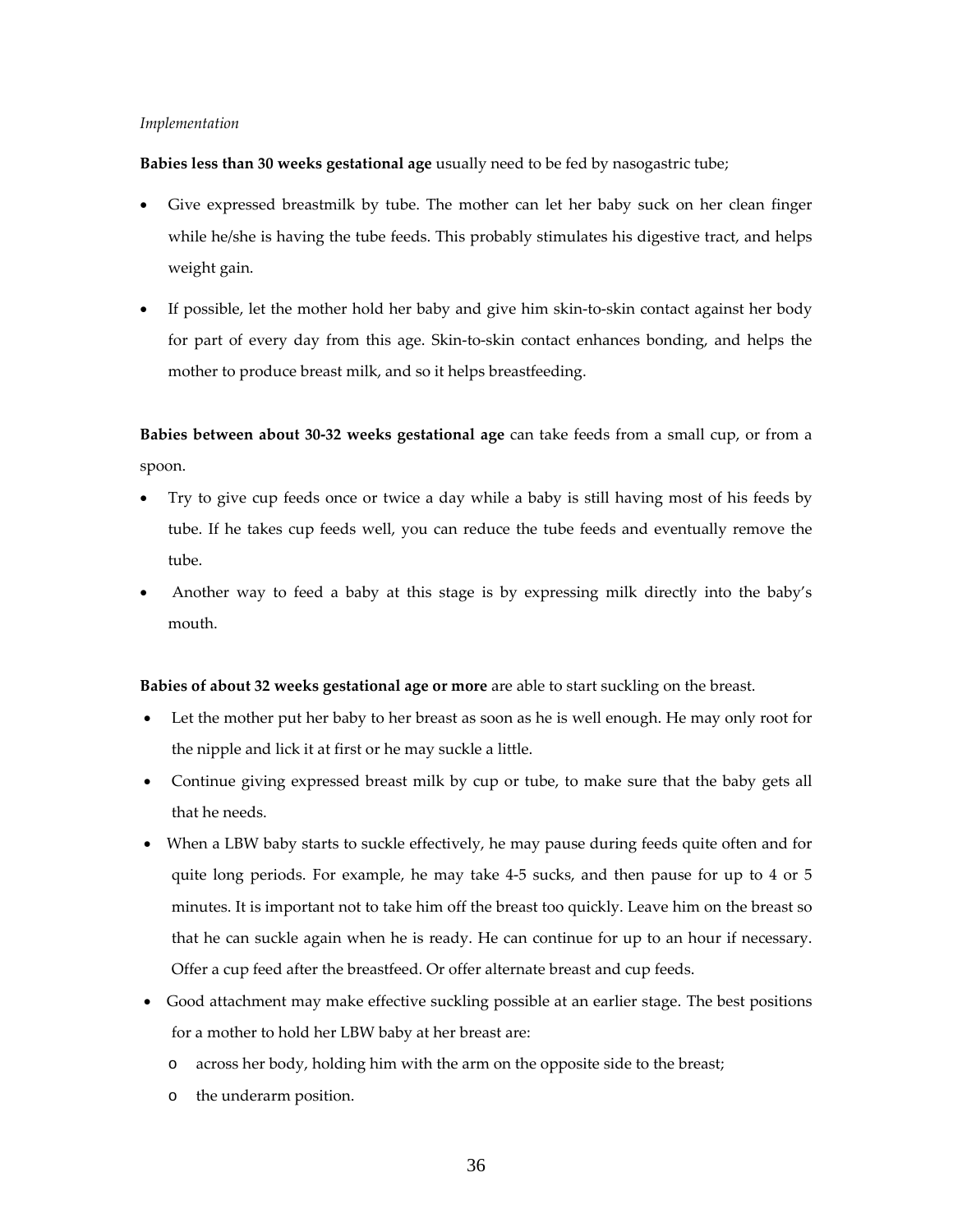#### *Implementation*

**Babies less than 30 weeks gestational age** usually need to be fed by nasogastric tube;

- Give expressed breastmilk by tube. The mother can let her baby suck on her clean finger while he/she is having the tube feeds. This probably stimulates his digestive tract, and helps weight gain.
- If possible, let the mother hold her baby and give him skin‐to‐skin contact against her body for part of every day from this age. Skin‐to‐skin contact enhances bonding, and helps the mother to produce breast milk, and so it helps breastfeeding.

**Babies between about 30‐32 weeks gestational age** can take feeds from a small cup, or from a spoon.

- Try to give cup feeds once or twice a day while a baby is still having most of his feeds by tube. If he takes cup feeds well, you can reduce the tube feeds and eventually remove the tube.
- Another way to feed a baby at this stage is by expressing milk directly into the baby's mouth.

#### **Babies of about 32 weeks gestational age or more** are able to start suckling on the breast.

- Let the mother put her baby to her breast as soon as he is well enough. He may only root for the nipple and lick it at first or he may suckle a little.
- Continue giving expressed breast milk by cup or tube, to make sure that the baby gets all that he needs.
- When a LBW baby starts to suckle effectively, he may pause during feeds quite often and for quite long periods. For example, he may take 4‐5 sucks, and then pause for up to 4 or 5 minutes. It is important not to take him off the breast too quickly. Leave him on the breast so that he can suckle again when he is ready. He can continue for up to an hour if necessary. Offer a cup feed after the breastfeed. Or offer alternate breast and cup feeds.
- Good attachment may make effective suckling possible at an earlier stage. The best positions for a mother to hold her LBW baby at her breast are:
	- o across her body, holding him with the arm on the opposite side to the breast;
	- o the underarm position.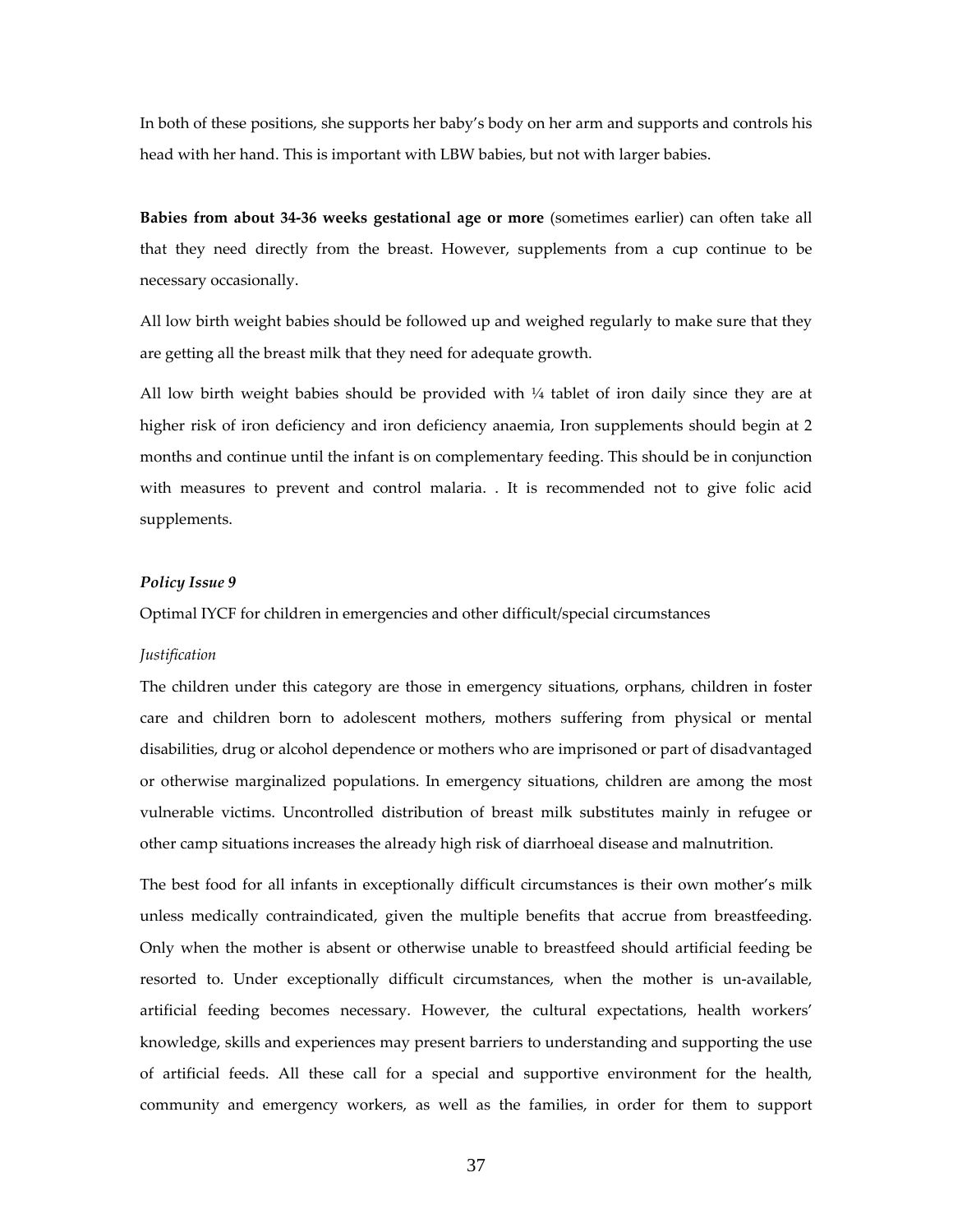In both of these positions, she supports her baby's body on her arm and supports and controls his head with her hand. This is important with LBW babies, but not with larger babies.

**Babies from about 34‐36 weeks gestational age or more** (sometimes earlier) can often take all that they need directly from the breast. However, supplements from a cup continue to be necessary occasionally.

All low birth weight babies should be followed up and weighed regularly to make sure that they are getting all the breast milk that they need for adequate growth.

All low birth weight babies should be provided with  $\frac{1}{4}$  tablet of iron daily since they are at higher risk of iron deficiency and iron deficiency anaemia, Iron supplements should begin at 2 months and continue until the infant is on complementary feeding. This should be in conjunction with measures to prevent and control malaria. . It is recommended not to give folic acid supplements.

#### *Policy Issue 9*

Optimal IYCF for children in emergencies and other difficult/special circumstances

#### *Justification*

The children under this category are those in emergency situations, orphans, children in foster care and children born to adolescent mothers, mothers suffering from physical or mental disabilities, drug or alcohol dependence or mothers who are imprisoned or part of disadvantaged or otherwise marginalized populations. In emergency situations, children are among the most vulnerable victims. Uncontrolled distribution of breast milk substitutes mainly in refugee or other camp situations increases the already high risk of diarrhoeal disease and malnutrition.

The best food for all infants in exceptionally difficult circumstances is their own mother's milk unless medically contraindicated, given the multiple benefits that accrue from breastfeeding. Only when the mother is absent or otherwise unable to breastfeed should artificial feeding be resorted to. Under exceptionally difficult circumstances, when the mother is un‐available, artificial feeding becomes necessary. However, the cultural expectations, health workers' knowledge, skills and experiences may present barriers to understanding and supporting the use of artificial feeds. All these call for a special and supportive environment for the health, community and emergency workers, as well as the families, in order for them to support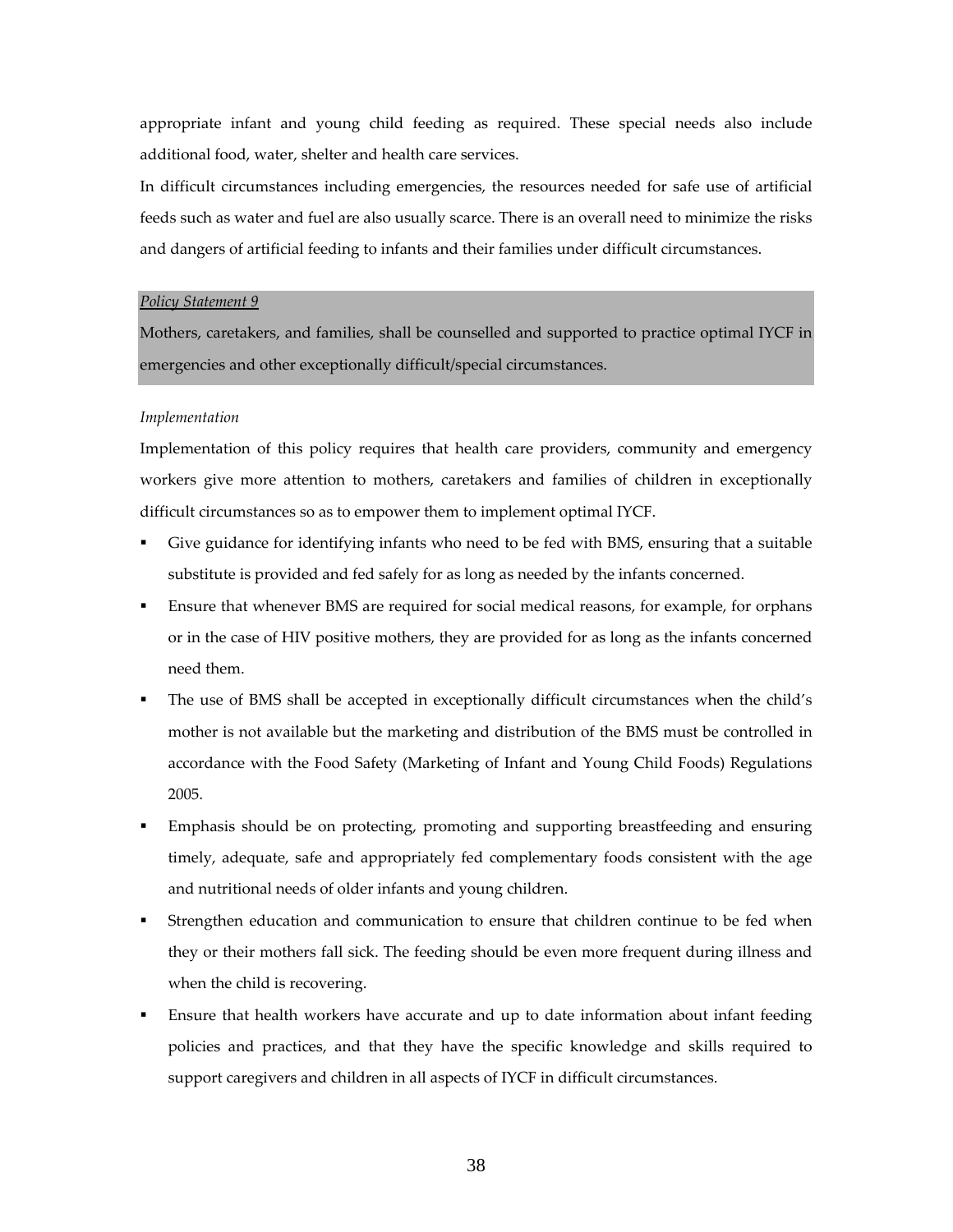appropriate infant and young child feeding as required. These special needs also include additional food, water, shelter and health care services.

In difficult circumstances including emergencies, the resources needed for safe use of artificial feeds such as water and fuel are also usually scarce. There is an overall need to minimize the risks and dangers of artificial feeding to infants and their families under difficult circumstances.

#### *Policy Statement 9*

Mothers, caretakers, and families, shall be counselled and supported to practice optimal IYCF in emergencies and other exceptionally difficult/special circumstances.

#### *Implementation*

Implementation of this policy requires that health care providers, community and emergency workers give more attention to mothers, caretakers and families of children in exceptionally difficult circumstances so as to empower them to implement optimal IYCF.

- Give guidance for identifying infants who need to be fed with BMS, ensuring that a suitable substitute is provided and fed safely for as long as needed by the infants concerned.
- Ensure that whenever BMS are required for social medical reasons, for example, for orphans or in the case of HIV positive mothers, they are provided for as long as the infants concerned need them.
- The use of BMS shall be accepted in exceptionally difficult circumstances when the child's mother is not available but the marketing and distribution of the BMS must be controlled in accordance with the Food Safety (Marketing of Infant and Young Child Foods) Regulations 2005.
- Emphasis should be on protecting, promoting and supporting breastfeeding and ensuring timely, adequate, safe and appropriately fed complementary foods consistent with the age and nutritional needs of older infants and young children.
- Strengthen education and communication to ensure that children continue to be fed when they or their mothers fall sick. The feeding should be even more frequent during illness and when the child is recovering.
- Ensure that health workers have accurate and up to date information about infant feeding policies and practices, and that they have the specific knowledge and skills required to support caregivers and children in all aspects of IYCF in difficult circumstances.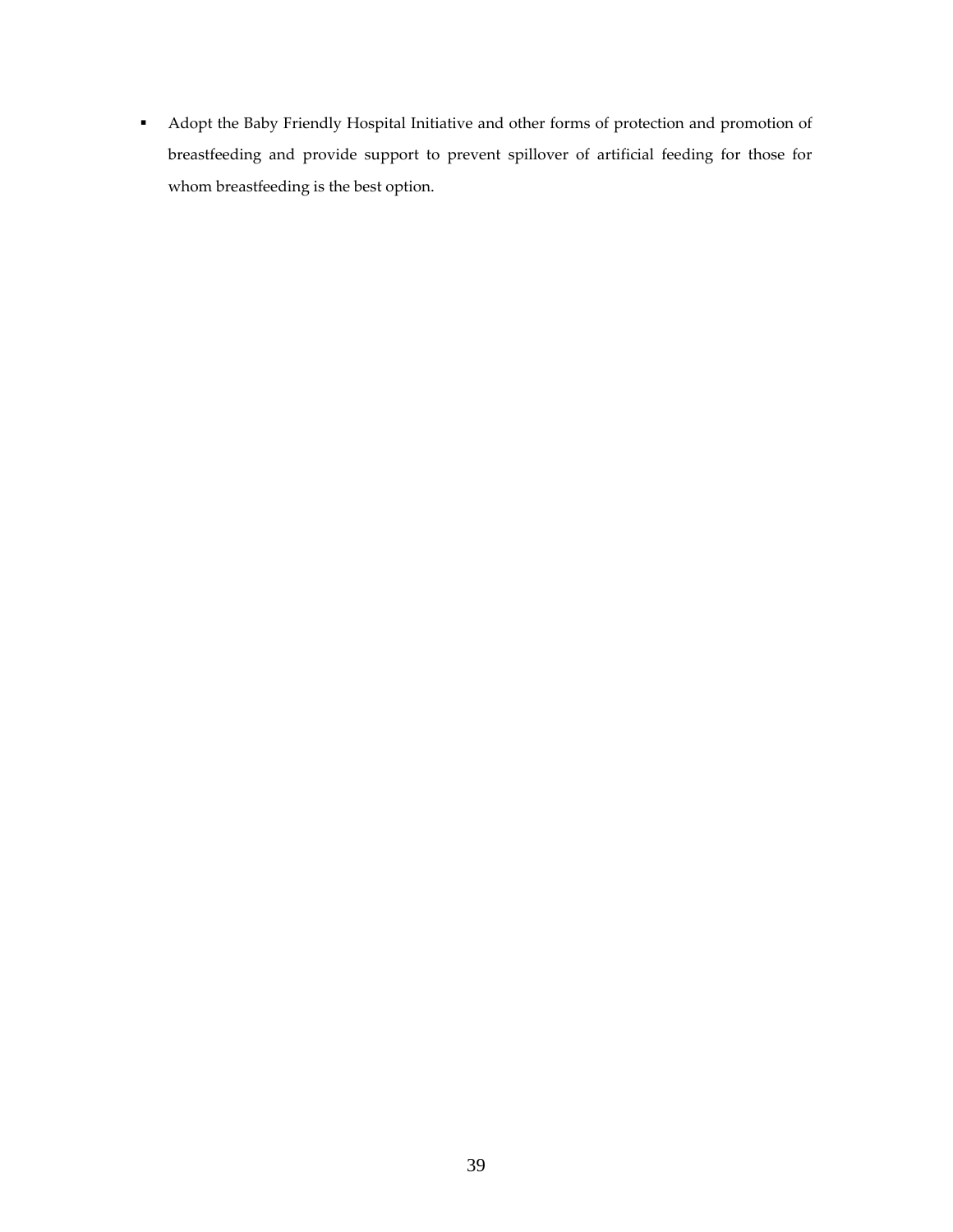Adopt the Baby Friendly Hospital Initiative and other forms of protection and promotion of breastfeeding and provide support to prevent spillover of artificial feeding for those for whom breastfeeding is the best option.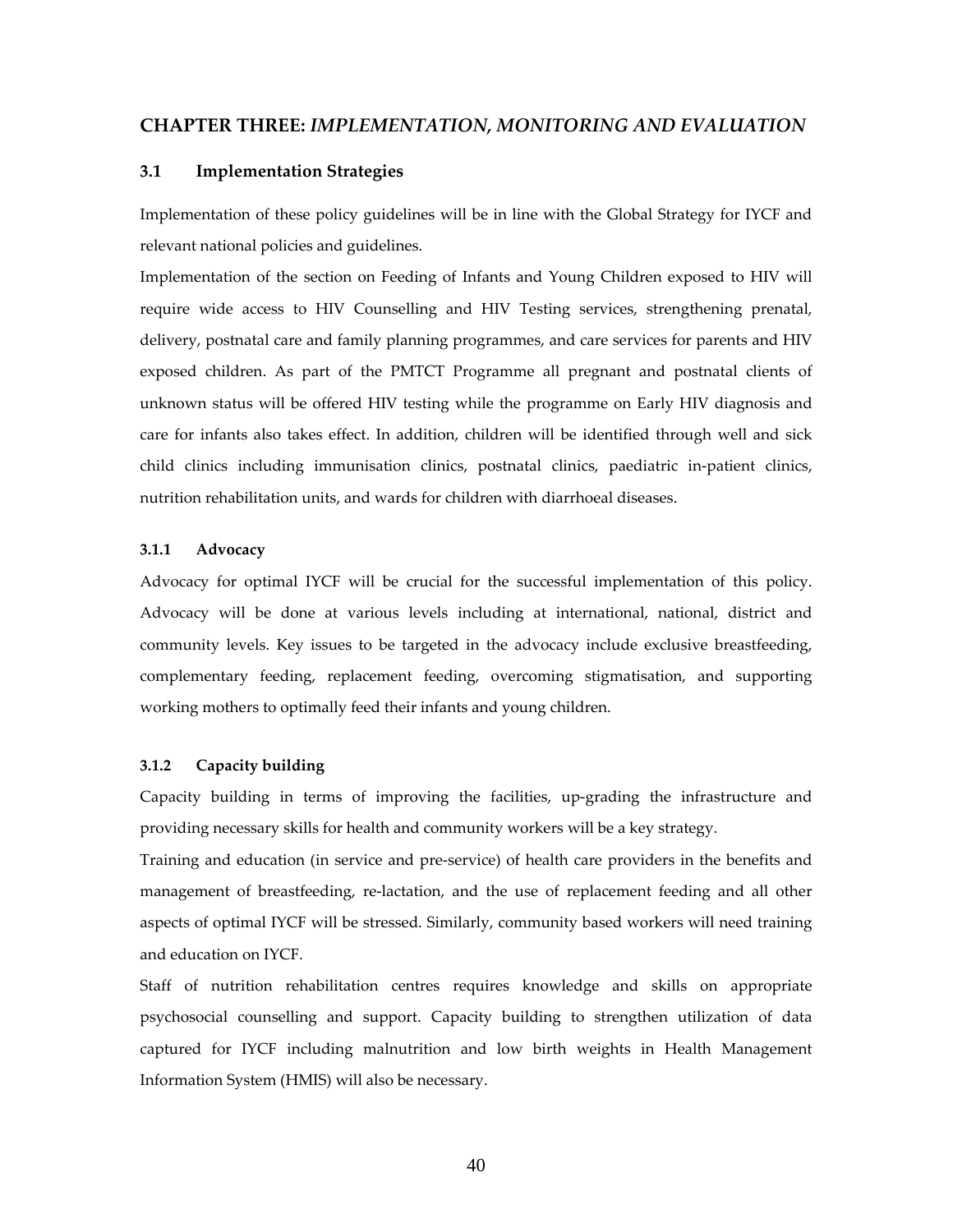# **CHAPTER THREE:** *IMPLEMENTATION, MONITORING AND EVALUATION*

#### **3.1 Implementation Strategies**

Implementation of these policy guidelines will be in line with the Global Strategy for IYCF and relevant national policies and guidelines.

Implementation of the section on Feeding of Infants and Young Children exposed to HIV will require wide access to HIV Counselling and HIV Testing services, strengthening prenatal, delivery, postnatal care and family planning programmes, and care services for parents and HIV exposed children. As part of the PMTCT Programme all pregnant and postnatal clients of unknown status will be offered HIV testing while the programme on Early HIV diagnosis and care for infants also takes effect. In addition, children will be identified through well and sick child clinics including immunisation clinics, postnatal clinics, paediatric in‐patient clinics, nutrition rehabilitation units, and wards for children with diarrhoeal diseases.

#### **3.1.1 Advocacy**

Advocacy for optimal IYCF will be crucial for the successful implementation of this policy. Advocacy will be done at various levels including at international, national, district and community levels. Key issues to be targeted in the advocacy include exclusive breastfeeding, complementary feeding, replacement feeding, overcoming stigmatisation, and supporting working mothers to optimally feed their infants and young children.

#### **3.1.2 Capacity building**

Capacity building in terms of improving the facilities, up‐grading the infrastructure and providing necessary skills for health and community workers will be a key strategy.

Training and education (in service and pre‐service) of health care providers in the benefits and management of breastfeeding, re‐lactation, and the use of replacement feeding and all other aspects of optimal IYCF will be stressed. Similarly, community based workers will need training and education on IYCF.

Staff of nutrition rehabilitation centres requires knowledge and skills on appropriate psychosocial counselling and support. Capacity building to strengthen utilization of data captured for IYCF including malnutrition and low birth weights in Health Management Information System (HMIS) will also be necessary.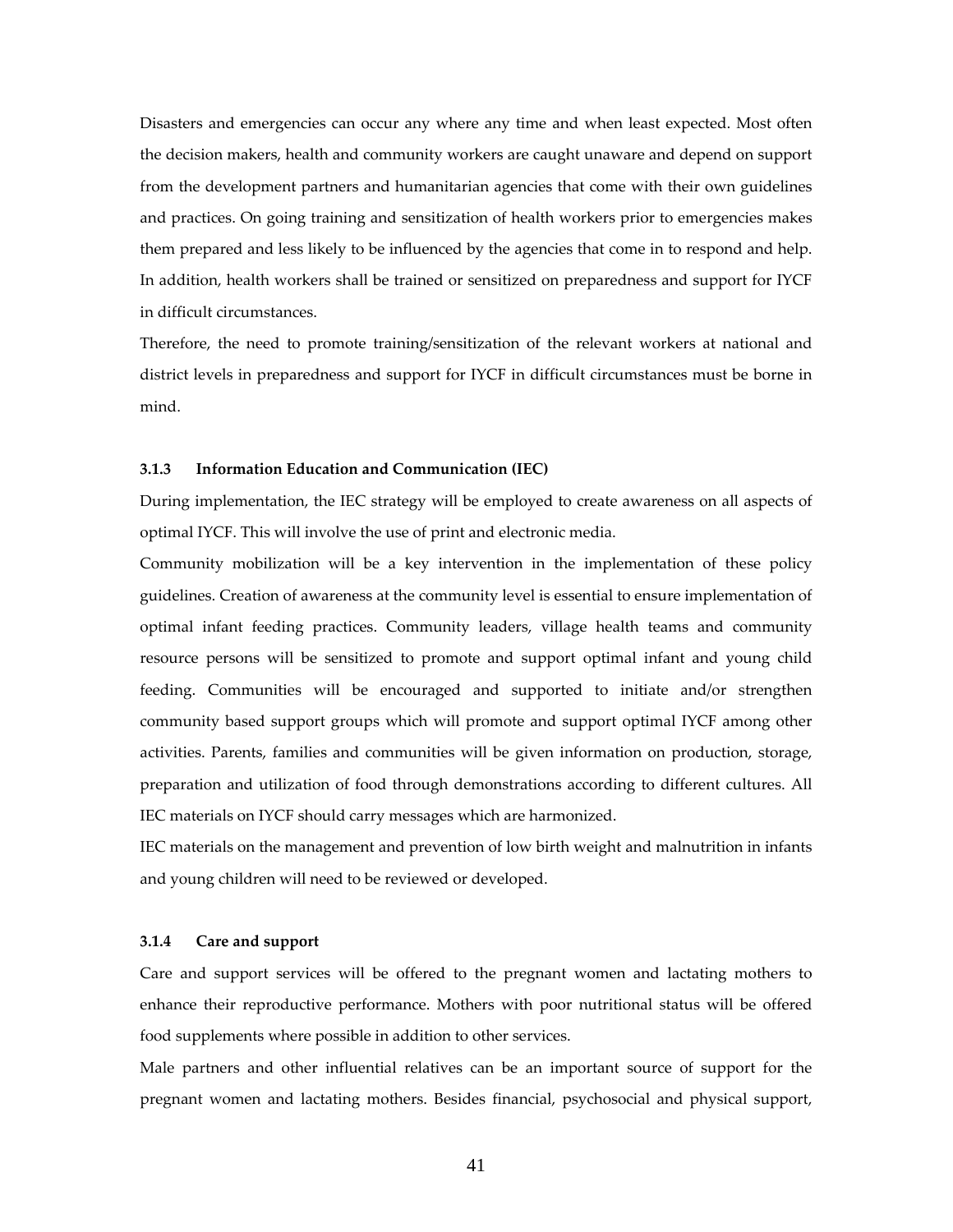Disasters and emergencies can occur any where any time and when least expected. Most often the decision makers, health and community workers are caught unaware and depend on support from the development partners and humanitarian agencies that come with their own guidelines and practices. On going training and sensitization of health workers prior to emergencies makes them prepared and less likely to be influenced by the agencies that come in to respond and help. In addition, health workers shall be trained or sensitized on preparedness and support for IYCF in difficult circumstances.

Therefore, the need to promote training/sensitization of the relevant workers at national and district levels in preparedness and support for IYCF in difficult circumstances must be borne in mind.

#### **3.1.3 Information Education and Communication (IEC)**

During implementation, the IEC strategy will be employed to create awareness on all aspects of optimal IYCF. This will involve the use of print and electronic media.

Community mobilization will be a key intervention in the implementation of these policy guidelines. Creation of awareness at the community level is essential to ensure implementation of optimal infant feeding practices. Community leaders, village health teams and community resource persons will be sensitized to promote and support optimal infant and young child feeding. Communities will be encouraged and supported to initiate and/or strengthen community based support groups which will promote and support optimal IYCF among other activities. Parents, families and communities will be given information on production, storage, preparation and utilization of food through demonstrations according to different cultures. All IEC materials on IYCF should carry messages which are harmonized.

IEC materials on the management and prevention of low birth weight and malnutrition in infants and young children will need to be reviewed or developed.

# **3.1.4 Care and support**

Care and support services will be offered to the pregnant women and lactating mothers to enhance their reproductive performance. Mothers with poor nutritional status will be offered food supplements where possible in addition to other services.

Male partners and other influential relatives can be an important source of support for the pregnant women and lactating mothers. Besides financial, psychosocial and physical support,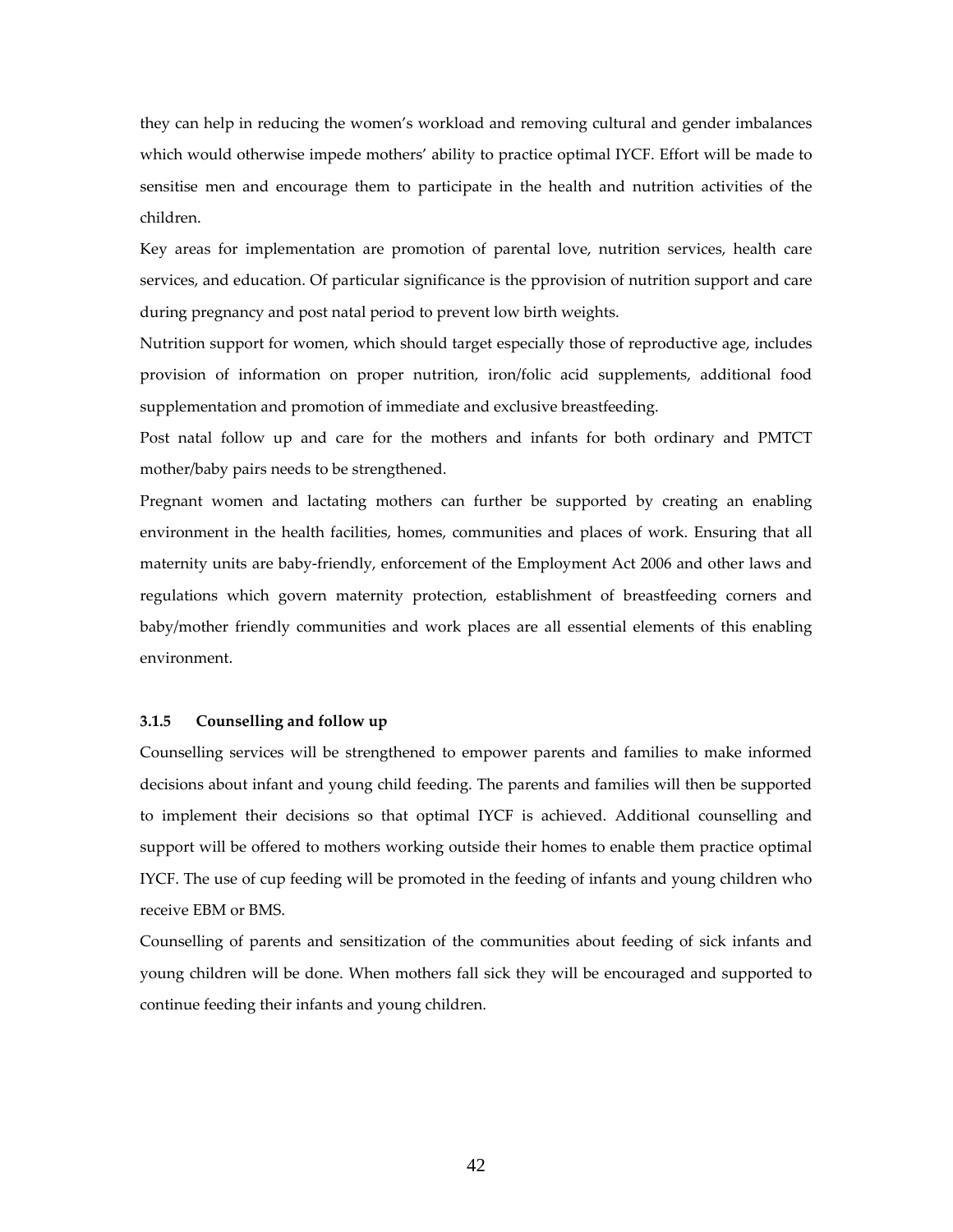they can help in reducing the women's workload and removing cultural and gender imbalances which would otherwise impede mothers' ability to practice optimal IYCF. Effort will be made to sensitise men and encourage them to participate in the health and nutrition activities of the children.

Key areas for implementation are promotion of parental love, nutrition services, health care services, and education. Of particular significance is the pprovision of nutrition support and care during pregnancy and post natal period to prevent low birth weights.

Nutrition support for women, which should target especially those of reproductive age, includes provision of information on proper nutrition, iron/folic acid supplements, additional food supplementation and promotion of immediate and exclusive breastfeeding.

Post natal follow up and care for the mothers and infants for both ordinary and PMTCT mother/baby pairs needs to be strengthened.

Pregnant women and lactating mothers can further be supported by creating an enabling environment in the health facilities, homes, communities and places of work. Ensuring that all maternity units are baby‐friendly, enforcement of the Employment Act 2006 and other laws and regulations which govern maternity protection, establishment of breastfeeding corners and baby/mother friendly communities and work places are all essential elements of this enabling environment.

#### **3.1.5 Counselling and follow up**

Counselling services will be strengthened to empower parents and families to make informed decisions about infant and young child feeding. The parents and families will then be supported to implement their decisions so that optimal IYCF is achieved. Additional counselling and support will be offered to mothers working outside their homes to enable them practice optimal IYCF. The use of cup feeding will be promoted in the feeding of infants and young children who receive EBM or BMS.

Counselling of parents and sensitization of the communities about feeding of sick infants and young children will be done. When mothers fall sick they will be encouraged and supported to continue feeding their infants and young children.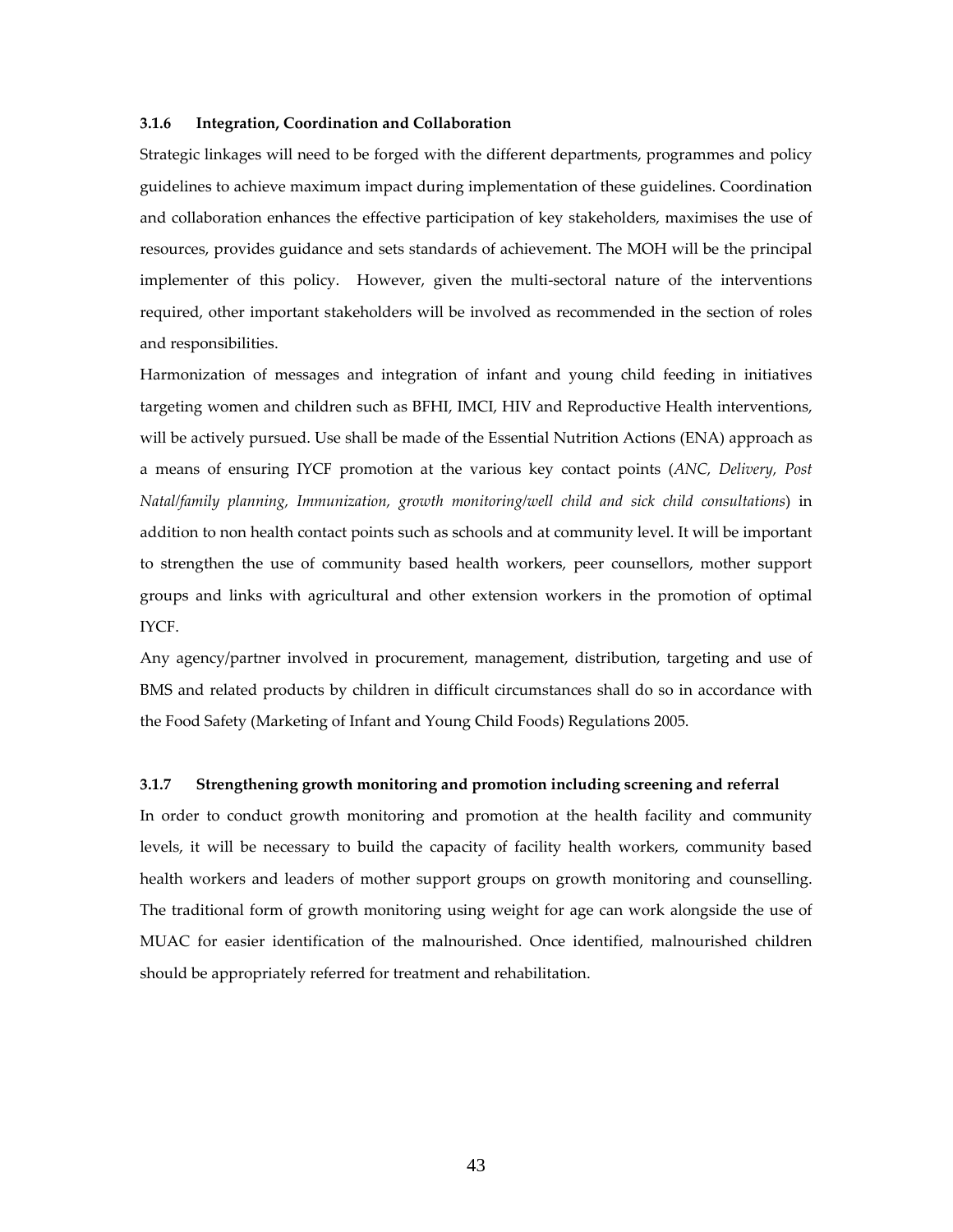#### **3.1.6 Integration, Coordination and Collaboration**

Strategic linkages will need to be forged with the different departments, programmes and policy guidelines to achieve maximum impact during implementation of these guidelines. Coordination and collaboration enhances the effective participation of key stakeholders, maximises the use of resources, provides guidance and sets standards of achievement. The MOH will be the principal implementer of this policy. However, given the multi-sectoral nature of the interventions required, other important stakeholders will be involved as recommended in the section of roles and responsibilities.

Harmonization of messages and integration of infant and young child feeding in initiatives targeting women and children such as BFHI, IMCI, HIV and Reproductive Health interventions, will be actively pursued. Use shall be made of the Essential Nutrition Actions (ENA) approach as a means of ensuring IYCF promotion at the various key contact points (*ANC, Delivery, Post Natal/family planning, Immunization, growth monitoring/well child and sick child consultations*) in addition to non health contact points such as schools and at community level. It will be important to strengthen the use of community based health workers, peer counsellors, mother support groups and links with agricultural and other extension workers in the promotion of optimal IYCF.

Any agency/partner involved in procurement, management, distribution, targeting and use of BMS and related products by children in difficult circumstances shall do so in accordance with the Food Safety (Marketing of Infant and Young Child Foods) Regulations 2005.

#### **3.1.7 Strengthening growth monitoring and promotion including screening and referral**

In order to conduct growth monitoring and promotion at the health facility and community levels, it will be necessary to build the capacity of facility health workers, community based health workers and leaders of mother support groups on growth monitoring and counselling. The traditional form of growth monitoring using weight for age can work alongside the use of MUAC for easier identification of the malnourished. Once identified, malnourished children should be appropriately referred for treatment and rehabilitation.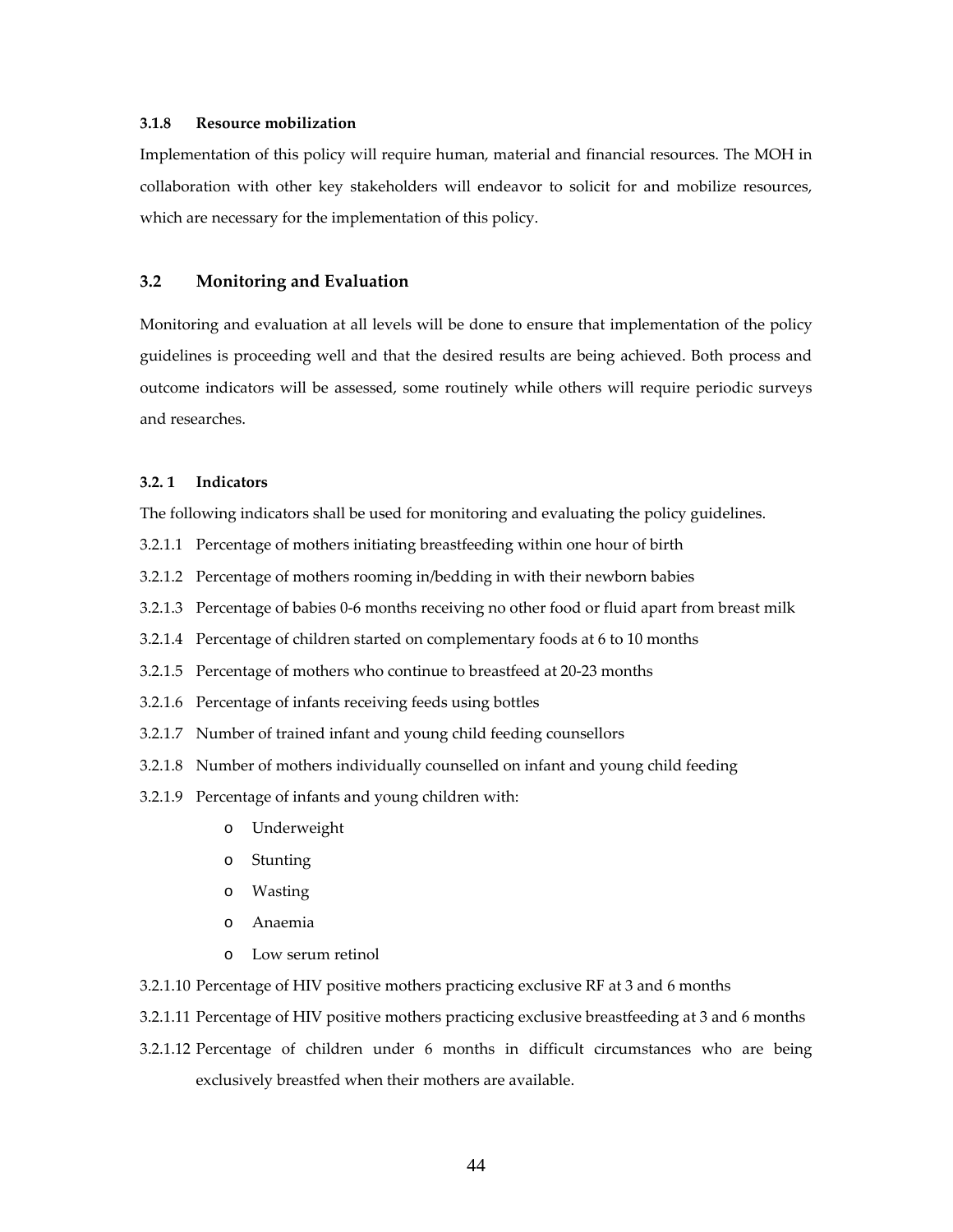#### **3.1.8 Resource mobilization**

Implementation of this policy will require human, material and financial resources. The MOH in collaboration with other key stakeholders will endeavor to solicit for and mobilize resources, which are necessary for the implementation of this policy.

# **3.2 Monitoring and Evaluation**

Monitoring and evaluation at all levels will be done to ensure that implementation of the policy guidelines is proceeding well and that the desired results are being achieved. Both process and outcome indicators will be assessed, some routinely while others will require periodic surveys and researches.

#### **3.2. 1 Indicators**

The following indicators shall be used for monitoring and evaluating the policy guidelines.

- 3.2.1.1 Percentage of mothers initiating breastfeeding within one hour of birth
- 3.2.1.2 Percentage of mothers rooming in/bedding in with their newborn babies
- 3.2.1.3 Percentage of babies 0-6 months receiving no other food or fluid apart from breast milk
- 3.2.1.4 Percentage of children started on complementary foods at 6 to 10 months
- 3.2.1.5 Percentage of mothers who continue to breastfeed at 20‐23 months
- 3.2.1.6 Percentage of infants receiving feeds using bottles
- 3.2.1.7 Number of trained infant and young child feeding counsellors
- 3.2.1.8 Number of mothers individually counselled on infant and young child feeding
- 3.2.1.9 Percentage of infants and young children with:
	- o Underweight
	- o Stunting
	- o Wasting
	- o Anaemia
	- o Low serum retinol
- 3.2.1.10 Percentage of HIV positive mothers practicing exclusive RF at 3 and 6 months
- 3.2.1.11 Percentage of HIV positive mothers practicing exclusive breastfeeding at 3 and 6 months
- 3.2.1.12 Percentage of children under 6 months in difficult circumstances who are being exclusively breastfed when their mothers are available.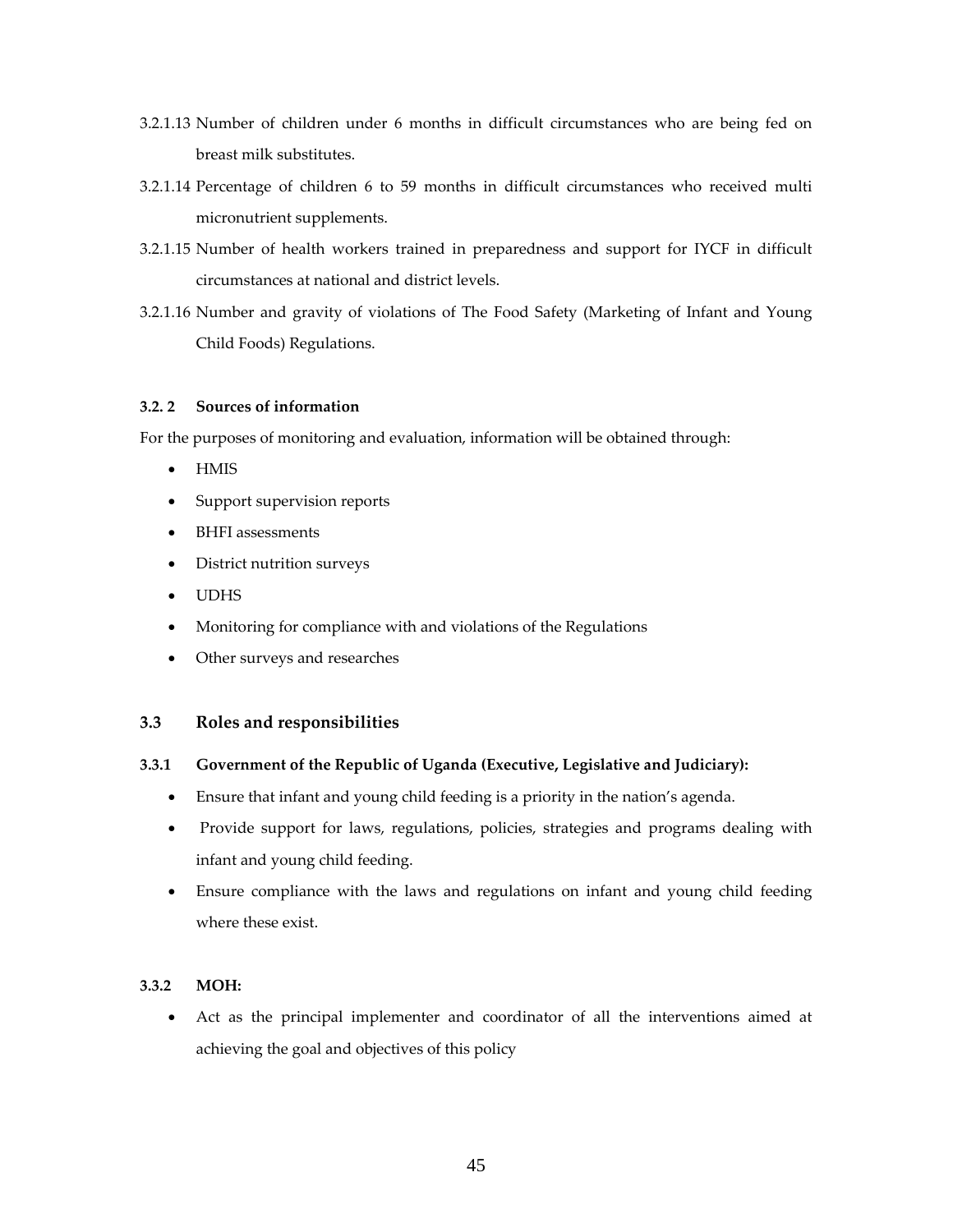- 3.2.1.13 Number of children under 6 months in difficult circumstances who are being fed on breast milk substitutes.
- 3.2.1.14 Percentage of children 6 to 59 months in difficult circumstances who received multi micronutrient supplements.
- 3.2.1.15 Number of health workers trained in preparedness and support for IYCF in difficult circumstances at national and district levels.
- 3.2.1.16 Number and gravity of violations of The Food Safety (Marketing of Infant and Young Child Foods) Regulations.

# **3.2. 2 Sources of information**

For the purposes of monitoring and evaluation, information will be obtained through:

- HMIS
- Support supervision reports
- BHFI assessments
- District nutrition surveys
- UDHS
- Monitoring for compliance with and violations of the Regulations
- Other surveys and researches

#### **3.3 Roles and responsibilities**

#### **3.3.1 Government of the Republic of Uganda (Executive, Legislative and Judiciary):**

- Ensure that infant and young child feeding is a priority in the nation's agenda.
- Provide support for laws, regulations, policies, strategies and programs dealing with infant and young child feeding.
- Ensure compliance with the laws and regulations on infant and young child feeding where these exist.

# **3.3.2 MOH:**

 Act as the principal implementer and coordinator of all the interventions aimed at achieving the goal and objectives of this policy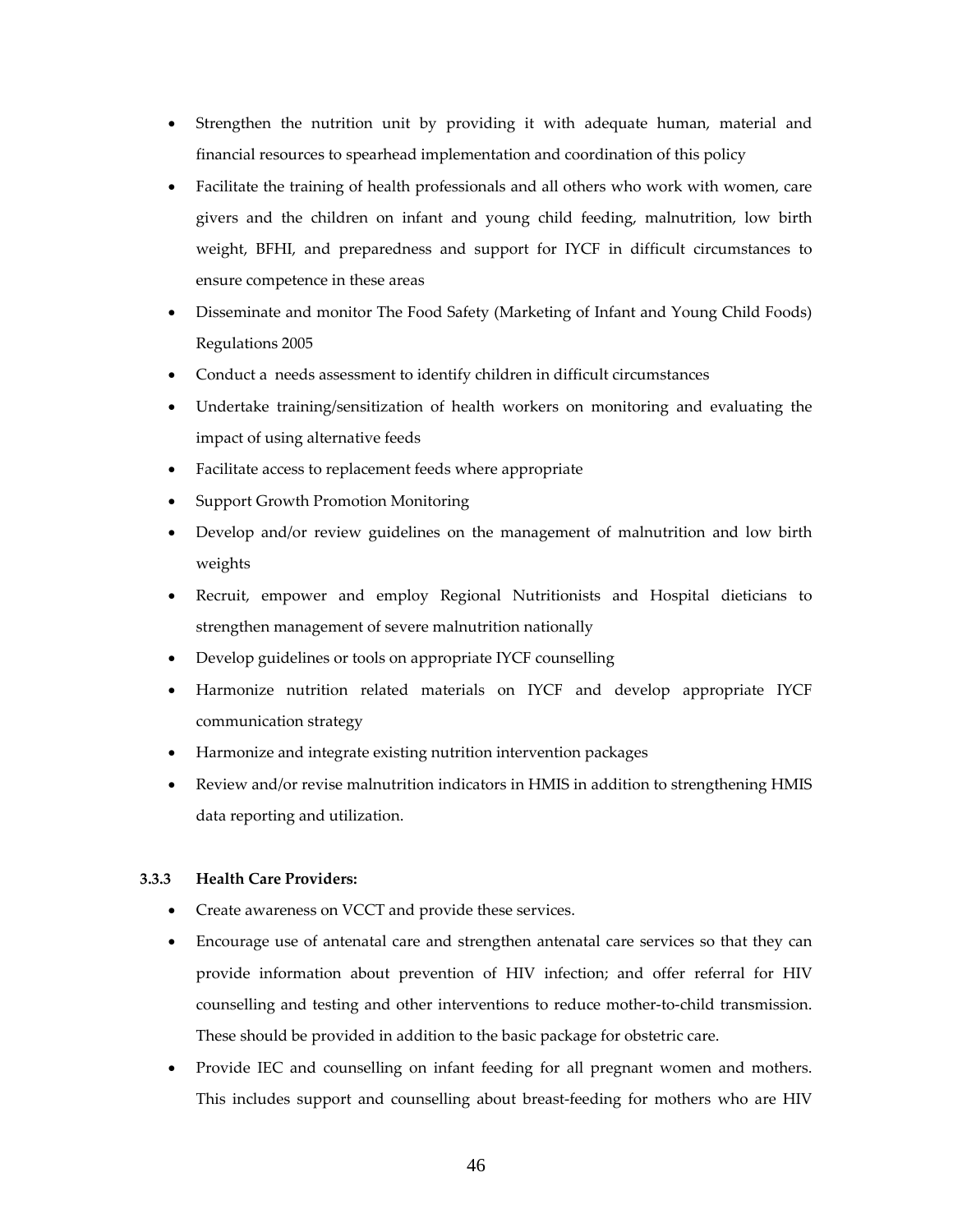- Strengthen the nutrition unit by providing it with adequate human, material and financial resources to spearhead implementation and coordination of this policy
- Facilitate the training of health professionals and all others who work with women, care givers and the children on infant and young child feeding, malnutrition, low birth weight, BFHI, and preparedness and support for IYCF in difficult circumstances to ensure competence in these areas
- Disseminate and monitor The Food Safety (Marketing of Infant and Young Child Foods) Regulations 2005
- Conduct a needs assessment to identify children in difficult circumstances
- Undertake training/sensitization of health workers on monitoring and evaluating the impact of using alternative feeds
- Facilitate access to replacement feeds where appropriate
- Support Growth Promotion Monitoring
- Develop and/or review guidelines on the management of malnutrition and low birth weights
- Recruit, empower and employ Regional Nutritionists and Hospital dieticians to strengthen management of severe malnutrition nationally
- Develop guidelines or tools on appropriate IYCF counselling
- Harmonize nutrition related materials on IYCF and develop appropriate IYCF communication strategy
- Harmonize and integrate existing nutrition intervention packages
- Review and/or revise malnutrition indicators in HMIS in addition to strengthening HMIS data reporting and utilization.

#### **3.3.3 Health Care Providers:**

- Create awareness on VCCT and provide these services.
- Encourage use of antenatal care and strengthen antenatal care services so that they can provide information about prevention of HIV infection; and offer referral for HIV counselling and testing and other interventions to reduce mother‐to‐child transmission. These should be provided in addition to the basic package for obstetric care.
- Provide IEC and counselling on infant feeding for all pregnant women and mothers. This includes support and counselling about breast-feeding for mothers who are HIV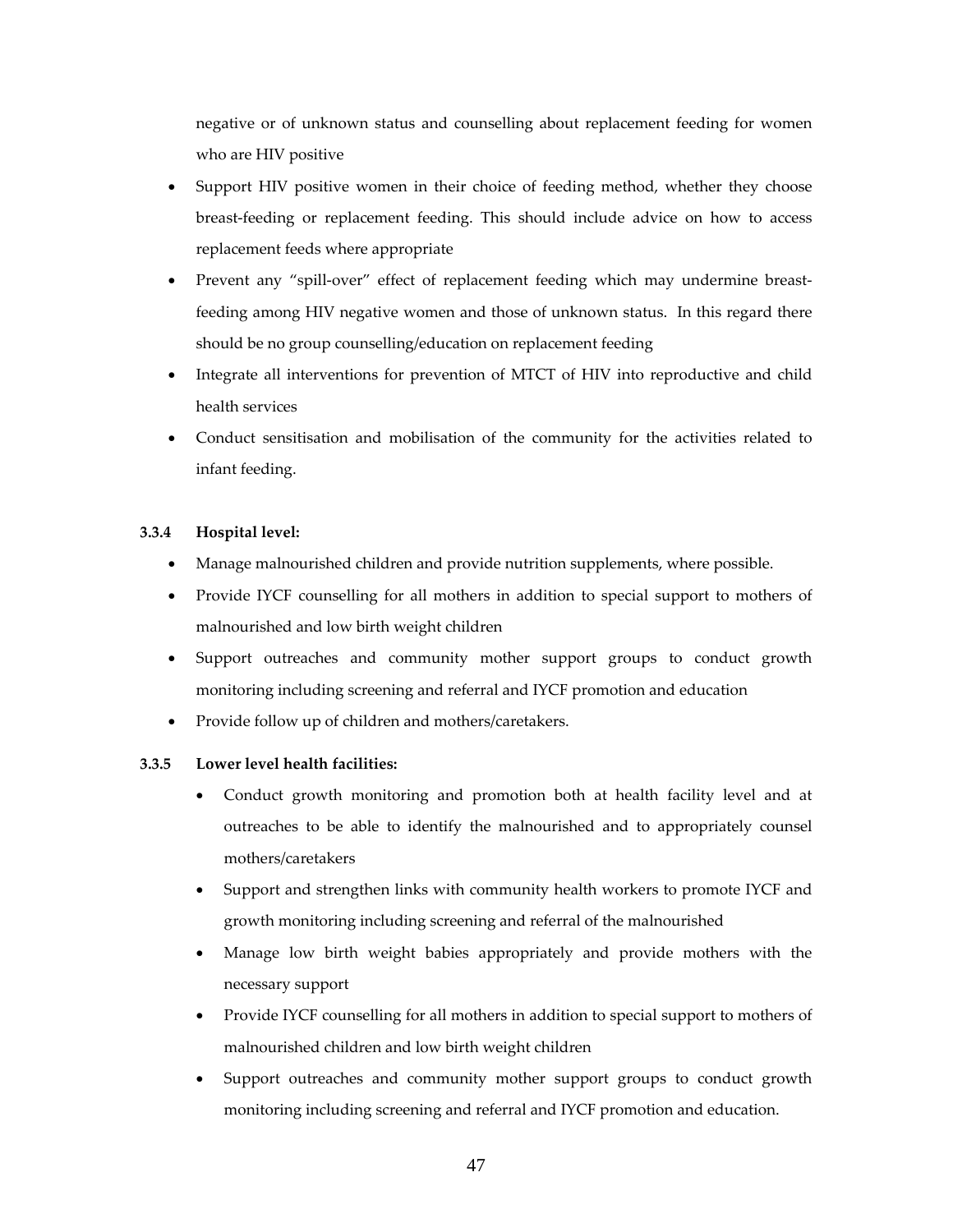negative or of unknown status and counselling about replacement feeding for women who are HIV positive

- Support HIV positive women in their choice of feeding method, whether they choose breast‐feeding or replacement feeding. This should include advice on how to access replacement feeds where appropriate
- Prevent any "spill-over" effect of replacement feeding which may undermine breastfeeding among HIV negative women and those of unknown status. In this regard there should be no group counselling/education on replacement feeding
- Integrate all interventions for prevention of MTCT of HIV into reproductive and child health services
- Conduct sensitisation and mobilisation of the community for the activities related to infant feeding.

# **3.3.4 Hospital level:**

- Manage malnourished children and provide nutrition supplements, where possible.
- Provide IYCF counselling for all mothers in addition to special support to mothers of malnourished and low birth weight children
- Support outreaches and community mother support groups to conduct growth monitoring including screening and referral and IYCF promotion and education
- Provide follow up of children and mothers/caretakers.

# **3.3.5 Lower level health facilities:**

- Conduct growth monitoring and promotion both at health facility level and at outreaches to be able to identify the malnourished and to appropriately counsel mothers/caretakers
- Support and strengthen links with community health workers to promote IYCF and growth monitoring including screening and referral of the malnourished
- Manage low birth weight babies appropriately and provide mothers with the necessary support
- Provide IYCF counselling for all mothers in addition to special support to mothers of malnourished children and low birth weight children
- Support outreaches and community mother support groups to conduct growth monitoring including screening and referral and IYCF promotion and education.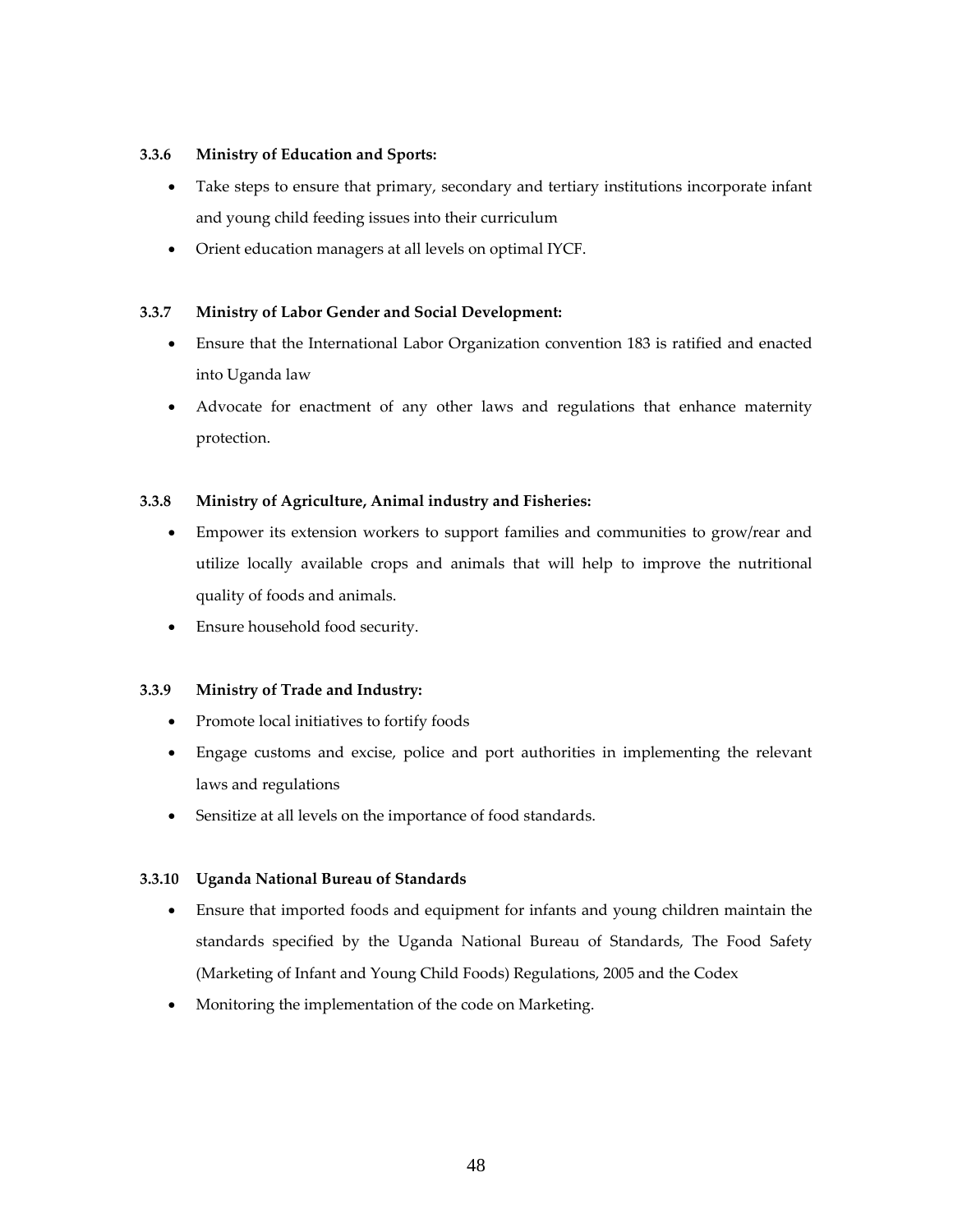# **3.3.6 Ministry of Education and Sports:**

- Take steps to ensure that primary, secondary and tertiary institutions incorporate infant and young child feeding issues into their curriculum
- Orient education managers at all levels on optimal IYCF.

# **3.3.7 Ministry of Labor Gender and Social Development:**

- Ensure that the International Labor Organization convention 183 is ratified and enacted into Uganda law
- Advocate for enactment of any other laws and regulations that enhance maternity protection.

# **3.3.8 Ministry of Agriculture, Animal industry and Fisheries:**

- Empower its extension workers to support families and communities to grow/rear and utilize locally available crops and animals that will help to improve the nutritional quality of foods and animals.
- Ensure household food security.

# **3.3.9 Ministry of Trade and Industry:**

- Promote local initiatives to fortify foods
- Engage customs and excise, police and port authorities in implementing the relevant laws and regulations
- Sensitize at all levels on the importance of food standards.

# **3.3.10 Uganda National Bureau of Standards**

- Ensure that imported foods and equipment for infants and young children maintain the standards specified by the Uganda National Bureau of Standards, The Food Safety (Marketing of Infant and Young Child Foods) Regulations, 2005 and the Codex
- Monitoring the implementation of the code on Marketing.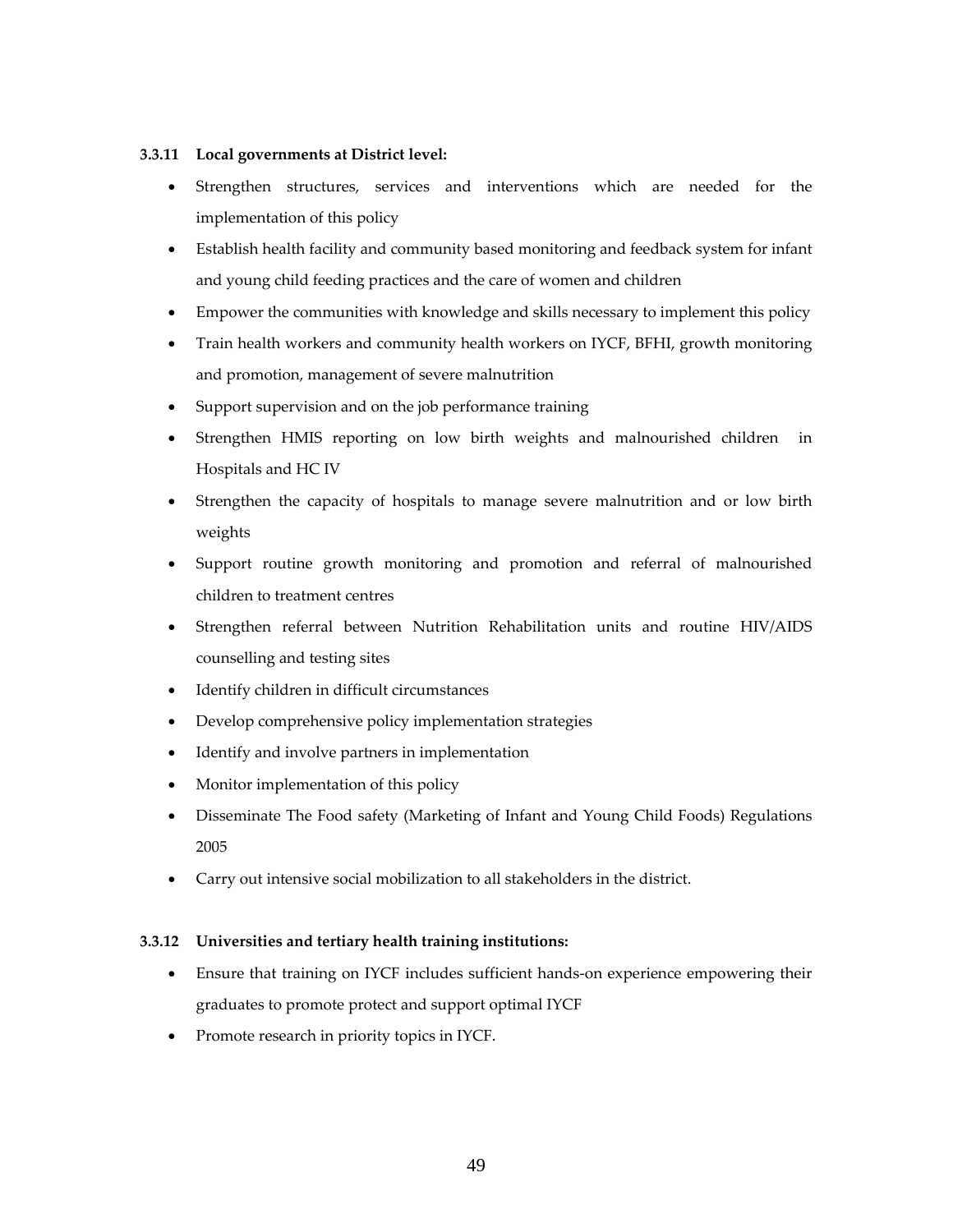# **3.3.11 Local governments at District level:**

- Strengthen structures, services and interventions which are needed for the implementation of this policy
- Establish health facility and community based monitoring and feedback system for infant and young child feeding practices and the care of women and children
- Empower the communities with knowledge and skills necessary to implement this policy
- Train health workers and community health workers on IYCF, BFHI, growth monitoring and promotion, management of severe malnutrition
- Support supervision and on the job performance training
- Strengthen HMIS reporting on low birth weights and malnourished children in Hospitals and HC IV
- Strengthen the capacity of hospitals to manage severe malnutrition and or low birth weights
- Support routine growth monitoring and promotion and referral of malnourished children to treatment centres
- Strengthen referral between Nutrition Rehabilitation units and routine HIV/AIDS counselling and testing sites
- Identify children in difficult circumstances
- Develop comprehensive policy implementation strategies
- Identify and involve partners in implementation
- Monitor implementation of this policy
- Disseminate The Food safety (Marketing of Infant and Young Child Foods) Regulations 2005
- Carry out intensive social mobilization to all stakeholders in the district.

# **3.3.12 Universities and tertiary health training institutions:**

- Ensure that training on IYCF includes sufficient hands‐on experience empowering their graduates to promote protect and support optimal IYCF
- Promote research in priority topics in IYCF.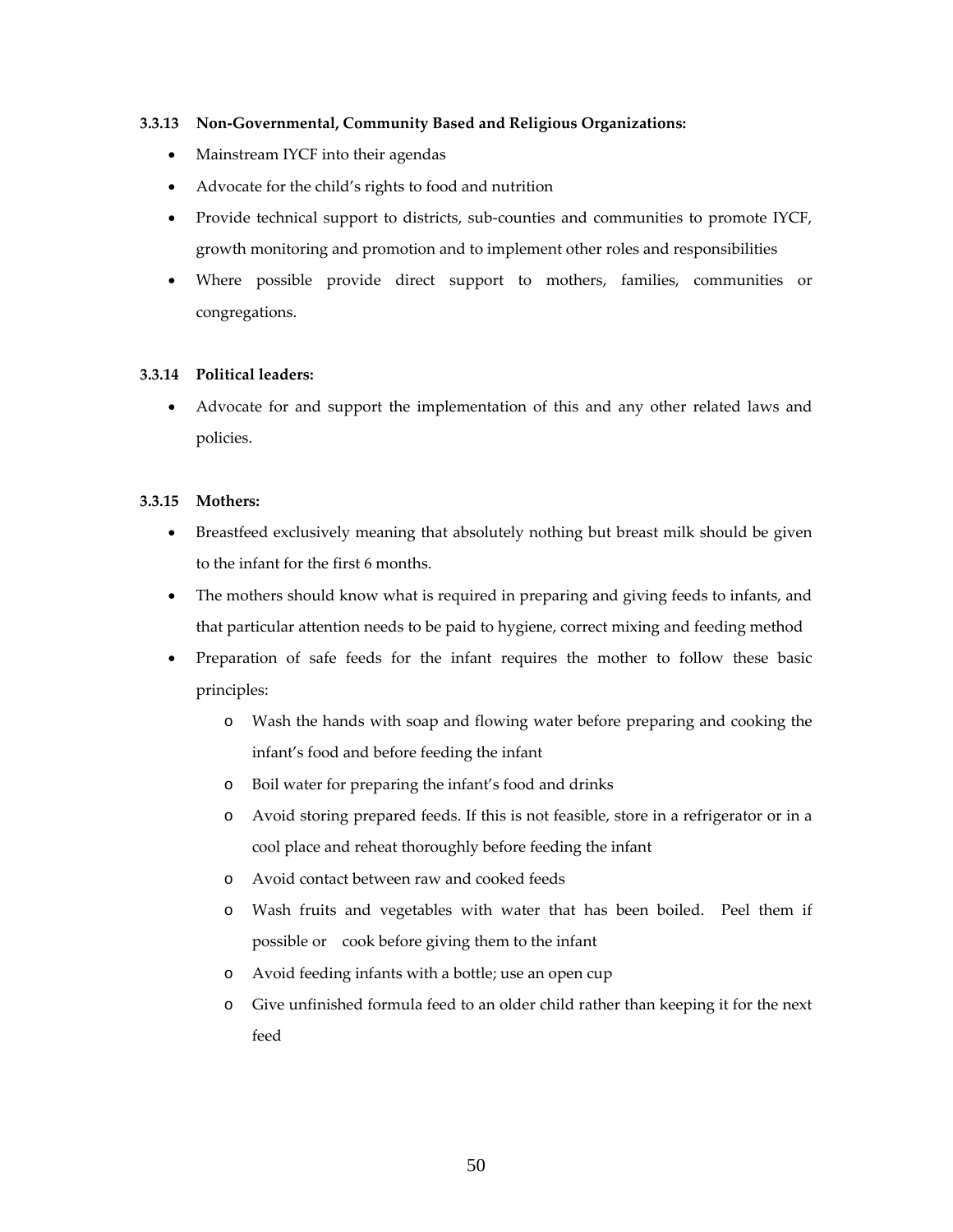# **3.3.13 Non‐Governmental, Community Based and Religious Organizations:**

- Mainstream IYCF into their agendas
- Advocate for the child's rights to food and nutrition
- Provide technical support to districts, sub-counties and communities to promote IYCF, growth monitoring and promotion and to implement other roles and responsibilities
- Where possible provide direct support to mothers, families, communities or congregations.

#### **3.3.14 Political leaders:**

 Advocate for and support the implementation of this and any other related laws and policies.

#### **3.3.15 Mothers:**

- Breastfeed exclusively meaning that absolutely nothing but breast milk should be given to the infant for the first 6 months.
- The mothers should know what is required in preparing and giving feeds to infants, and that particular attention needs to be paid to hygiene, correct mixing and feeding method
- Preparation of safe feeds for the infant requires the mother to follow these basic principles:
	- o Wash the hands with soap and flowing water before preparing and cooking the infant's food and before feeding the infant
	- o Boil water for preparing the infant's food and drinks
	- o Avoid storing prepared feeds. If this is not feasible, store in a refrigerator or in a cool place and reheat thoroughly before feeding the infant
	- o Avoid contact between raw and cooked feeds
	- o Wash fruits and vegetables with water that has been boiled. Peel them if possible or cook before giving them to the infant
	- o Avoid feeding infants with a bottle; use an open cup
	- o Give unfinished formula feed to an older child rather than keeping it for the next feed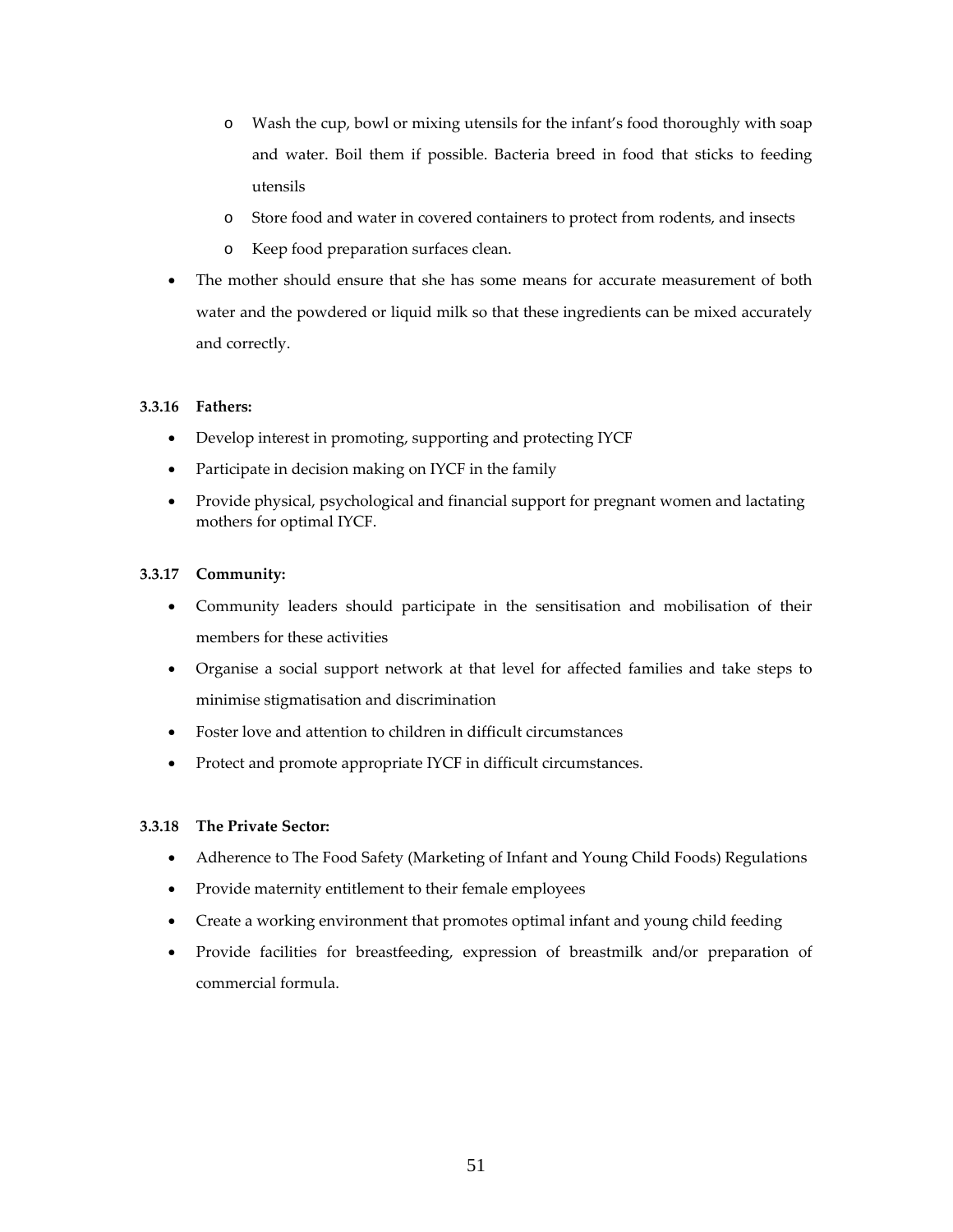- o Wash the cup, bowl or mixing utensils for the infant's food thoroughly with soap and water. Boil them if possible. Bacteria breed in food that sticks to feeding utensils
- o Store food and water in covered containers to protect from rodents, and insects
- o Keep food preparation surfaces clean.
- The mother should ensure that she has some means for accurate measurement of both water and the powdered or liquid milk so that these ingredients can be mixed accurately and correctly.

# **3.3.16 Fathers:**

- Develop interest in promoting, supporting and protecting IYCF
- Participate in decision making on IYCF in the family
- Provide physical, psychological and financial support for pregnant women and lactating mothers for optimal IYCF.

# **3.3.17 Community:**

- Community leaders should participate in the sensitisation and mobilisation of their members for these activities
- Organise a social support network at that level for affected families and take steps to minimise stigmatisation and discrimination
- Foster love and attention to children in difficult circumstances
- Protect and promote appropriate IYCF in difficult circumstances.

# **3.3.18 The Private Sector:**

- Adherence to The Food Safety (Marketing of Infant and Young Child Foods) Regulations
- Provide maternity entitlement to their female employees
- Create a working environment that promotes optimal infant and young child feeding
- Provide facilities for breastfeeding, expression of breastmilk and/or preparation of commercial formula.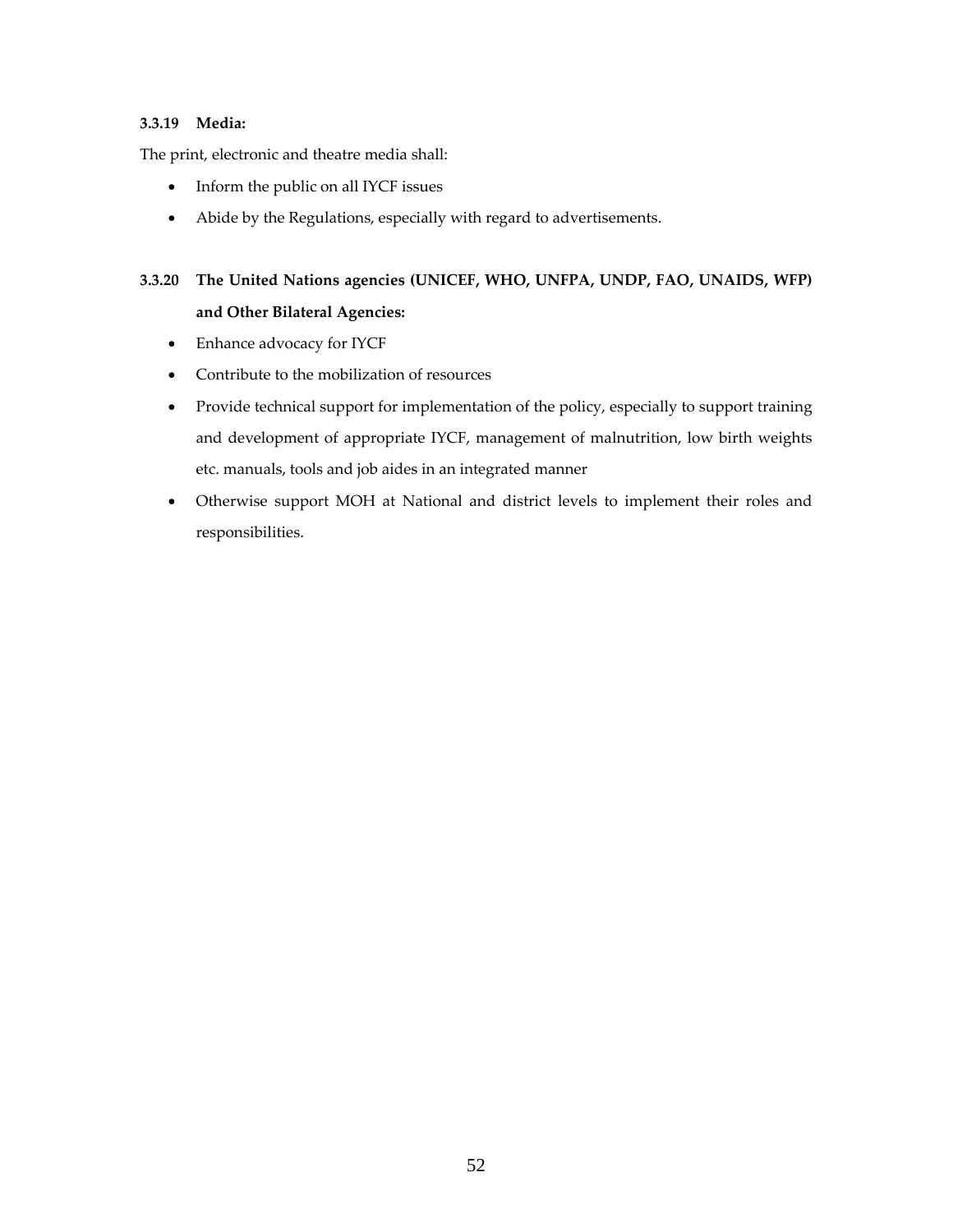# **3.3.19 Media:**

The print, electronic and theatre media shall:

- Inform the public on all IYCF issues
- Abide by the Regulations, especially with regard to advertisements.

# **3.3.20 The United Nations agencies (UNICEF, WHO, UNFPA, UNDP, FAO, UNAIDS, WFP) and Other Bilateral Agencies:**

- Enhance advocacy for IYCF
- Contribute to the mobilization of resources
- Provide technical support for implementation of the policy, especially to support training and development of appropriate IYCF, management of malnutrition, low birth weights etc. manuals, tools and job aides in an integrated manner
- Otherwise support MOH at National and district levels to implement their roles and responsibilities.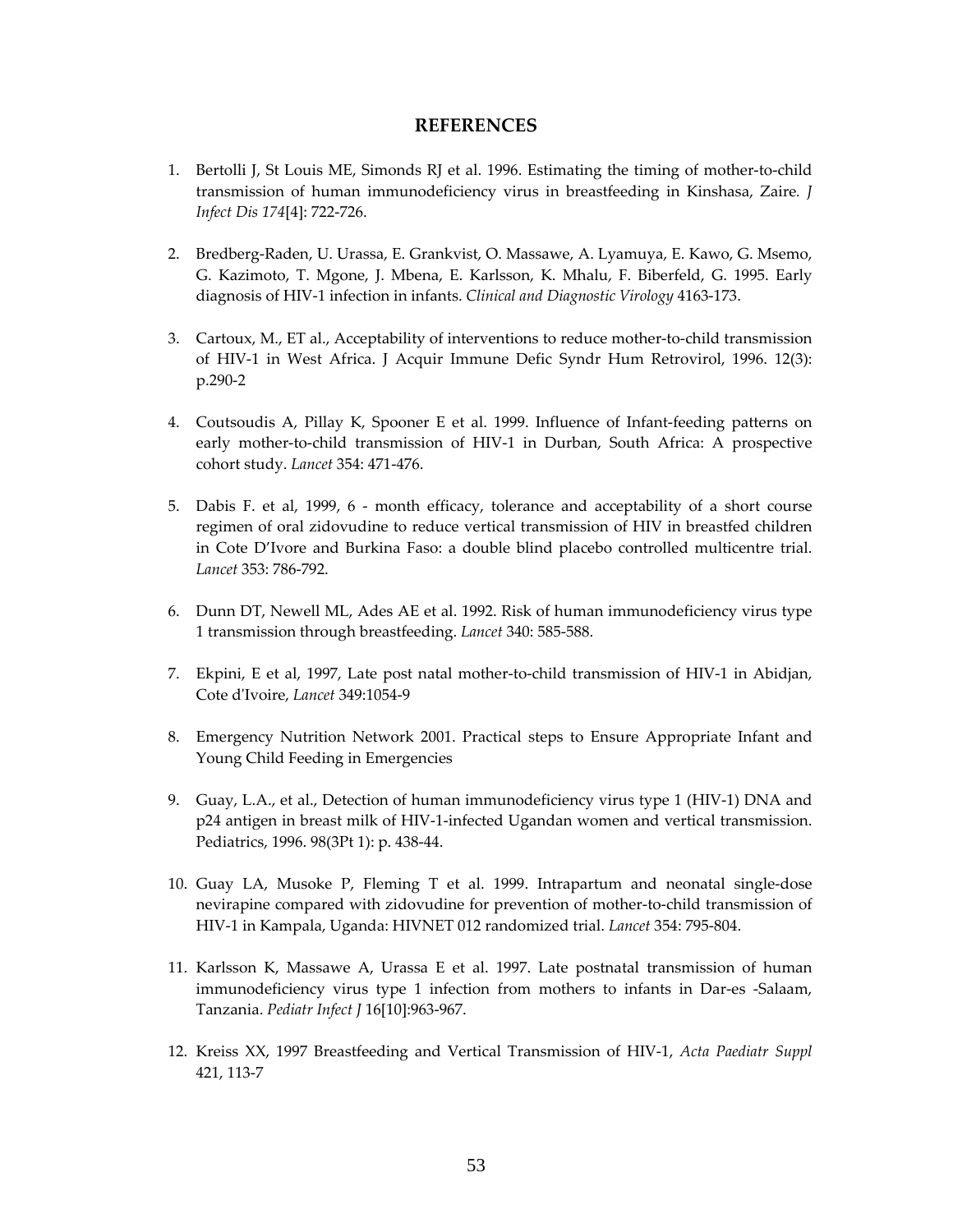# **REFERENCES**

- 1. Bertolli J, St Louis ME, Simonds RJ et al. 1996. Estimating the timing of mother-to-child transmission of human immunodeficiency virus in breastfeeding in Kinshasa, Zaire*. J Infect Dis 174*[4]: 722‐726.
- 2. Bredberg‐Raden, U. Urassa, E. Grankvist, O. Massawe, A. Lyamuya, E. Kawo, G. Msemo, G. Kazimoto, T. Mgone, J. Mbena, E. Karlsson, K. Mhalu, F. Biberfeld, G. 1995. Early diagnosis of HIV‐1 infection in infants. *Clinical and Diagnostic Virology* 4163‐173.
- 3. Cartoux, M., ET al., Acceptability of interventions to reduce mother‐to‐child transmission of HIV‐1 in West Africa. J Acquir Immune Defic Syndr Hum Retrovirol, 1996. 12(3): p.290‐2
- 4. Coutsoudis A, Pillay K, Spooner E et al. 1999. Influence of Infant-feeding patterns on early mother-to-child transmission of HIV-1 in Durban, South Africa: A prospective cohort study. *Lancet* 354: 471‐476.
- 5. Dabis F. et al, 1999, 6 month efficacy, tolerance and acceptability of a short course regimen of oral zidovudine to reduce vertical transmission of HIV in breastfed children in Cote D'Ivore and Burkina Faso: a double blind placebo controlled multicentre trial. *Lancet* 353: 786‐792.
- 6. Dunn DT, Newell ML, Ades AE et al. 1992. Risk of human immunodeficiency virus type 1 transmission through breastfeeding. *Lancet* 340: 585‐588.
- 7. Ekpini, E et al, 1997, Late post natal mother-to-child transmission of HIV-1 in Abidjan, Cote dʹIvoire, *Lancet* 349:1054‐9
- 8. Emergency Nutrition Network 2001. Practical steps to Ensure Appropriate Infant and Young Child Feeding in Emergencies
- 9. Guay, L.A., et al., Detection of human immunodeficiency virus type 1 (HIV-1) DNA and p24 antigen in breast milk of HIV‐1‐infected Ugandan women and vertical transmission. Pediatrics, 1996. 98(3Pt 1): p. 438‐44.
- 10. Guay LA, Musoke P, Fleming T et al. 1999. Intrapartum and neonatal single‐dose nevirapine compared with zidovudine for prevention of mother‐to‐child transmission of HIV‐1 in Kampala, Uganda: HIVNET 012 randomized trial. *Lancet* 354: 795‐804.
- 11. Karlsson K, Massawe A, Urassa E et al. 1997. Late postnatal transmission of human immunodeficiency virus type 1 infection from mothers to infants in Dar‐es ‐Salaam, Tanzania. *Pediatr Infect J* 16[10]:963‐967.
- 12. Kreiss XX, 1997 Breastfeeding and Vertical Transmission of HIV‐1, *Acta Paediatr Suppl* 421, 113‐7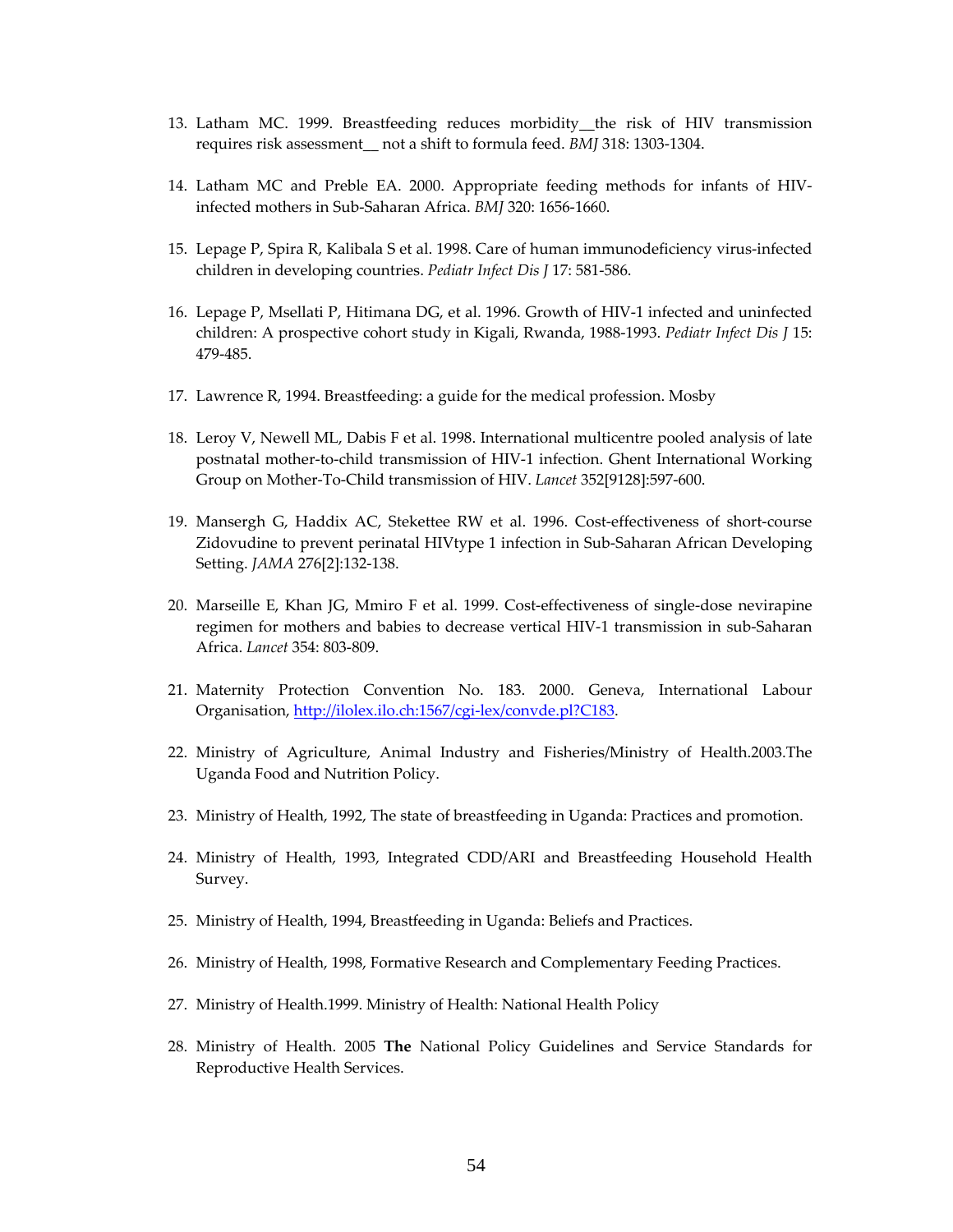- 13. Latham MC. 1999. Breastfeeding reduces morbidity\_\_the risk of HIV transmission requires risk assessment\_\_ not a shift to formula feed. *BMJ* 318: 1303‐1304.
- 14. Latham MC and Preble EA. 2000. Appropriate feeding methods for infants of HIV‐ infected mothers in Sub‐Saharan Africa. *BMJ* 320: 1656‐1660.
- 15. Lepage P, Spira R, Kalibala S et al. 1998. Care of human immunodeficiency virus‐infected children in developing countries. *Pediatr Infect Dis J* 17: 581‐586.
- 16. Lepage P, Msellati P, Hitimana DG, et al. 1996. Growth of HIV‐1 infected and uninfected children: A prospective cohort study in Kigali, Rwanda, 1988‐1993. *Pediatr Infect Dis J* 15: 479‐485.
- 17. Lawrence R, 1994. Breastfeeding: a guide for the medical profession. Mosby
- 18. Leroy V, Newell ML, Dabis F et al. 1998. International multicentre pooled analysis of late postnatal mother‐to‐child transmission of HIV‐1 infection. Ghent International Working Group on Mother‐To‐Child transmission of HIV. *Lancet* 352[9128]:597‐600.
- 19. Mansergh G, Haddix AC, Stekettee RW et al. 1996. Cost-effectiveness of short-course Zidovudine to prevent perinatal HIVtype 1 infection in Sub‐Saharan African Developing Setting. *JAMA* 276[2]:132‐138.
- 20. Marseille E, Khan JG, Mmiro F et al. 1999. Cost-effectiveness of single-dose nevirapine regimen for mothers and babies to decrease vertical HIV‐1 transmission in sub‐Saharan Africa. *Lancet* 354: 803‐809.
- 21. Maternity Protection Convention No. 183. 2000. Geneva, International Labour Organisation, http://ilolex.ilo.ch:1567/cgi‐lex/convde.pl?C183.
- 22. Ministry of Agriculture, Animal Industry and Fisheries/Ministry of Health.2003.The Uganda Food and Nutrition Policy.
- 23. Ministry of Health, 1992, The state of breastfeeding in Uganda: Practices and promotion.
- 24. Ministry of Health, 1993, Integrated CDD/ARI and Breastfeeding Household Health Survey.
- 25. Ministry of Health, 1994, Breastfeeding in Uganda: Beliefs and Practices.
- 26. Ministry of Health, 1998, Formative Research and Complementary Feeding Practices.
- 27. Ministry of Health.1999. Ministry of Health: National Health Policy
- 28. Ministry of Health. 2005 **The** National Policy Guidelines and Service Standards for Reproductive Health Services.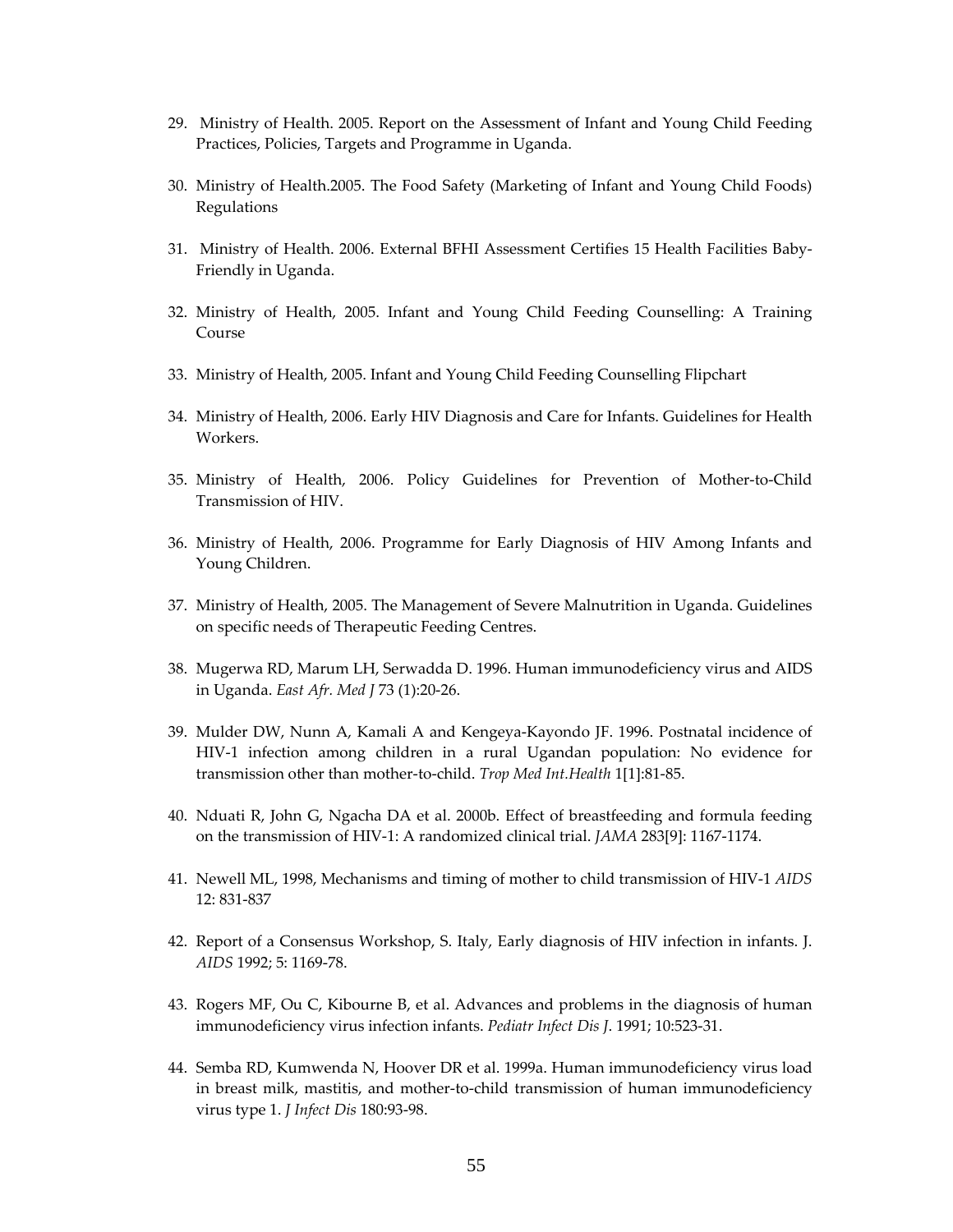- 29. Ministry of Health. 2005. Report on the Assessment of Infant and Young Child Feeding Practices, Policies, Targets and Programme in Uganda.
- 30. Ministry of Health.2005. The Food Safety (Marketing of Infant and Young Child Foods) Regulations
- 31. Ministry of Health. 2006. External BFHI Assessment Certifies 15 Health Facilities Baby‐ Friendly in Uganda.
- 32. Ministry of Health, 2005. Infant and Young Child Feeding Counselling: A Training Course
- 33. Ministry of Health, 2005. Infant and Young Child Feeding Counselling Flipchart
- 34. Ministry of Health, 2006. Early HIV Diagnosis and Care for Infants. Guidelines for Health Workers.
- 35. Ministry of Health, 2006. Policy Guidelines for Prevention of Mother‐to‐Child Transmission of HIV.
- 36. Ministry of Health, 2006. Programme for Early Diagnosis of HIV Among Infants and Young Children.
- 37. Ministry of Health, 2005. The Management of Severe Malnutrition in Uganda. Guidelines on specific needs of Therapeutic Feeding Centres.
- 38. Mugerwa RD, Marum LH, Serwadda D. 1996. Human immunodeficiency virus and AIDS in Uganda. *East Afr. Med J* 73 (1):20‐26.
- 39. Mulder DW, Nunn A, Kamali A and Kengeya‐Kayondo JF. 1996. Postnatal incidence of HIV-1 infection among children in a rural Ugandan population: No evidence for transmission other than mother‐to‐child. *Trop Med Int.Health* 1[1]:81‐85.
- 40. Nduati R, John G, Ngacha DA et al. 2000b. Effect of breastfeeding and formula feeding on the transmission of HIV‐1: A randomized clinical trial. *JAMA* 283[9]: 1167‐1174.
- 41. Newell ML, 1998, Mechanisms and timing of mother to child transmission of HIV‐1 *AIDS* 12: 831‐837
- 42. Report of a Consensus Workshop, S. Italy, Early diagnosis of HIV infection in infants. J. *AIDS* 1992; 5: 1169‐78.
- 43. Rogers MF, Ou C, Kibourne B, et al. Advances and problems in the diagnosis of human immunodeficiency virus infection infants. *Pediatr Infect Dis J*. 1991; 10:523‐31.
- 44. Semba RD, Kumwenda N, Hoover DR et al. 1999a. Human immunodeficiency virus load in breast milk, mastitis, and mother‐to‐child transmission of human immunodeficiency virus type 1. *J Infect Dis* 180:93‐98.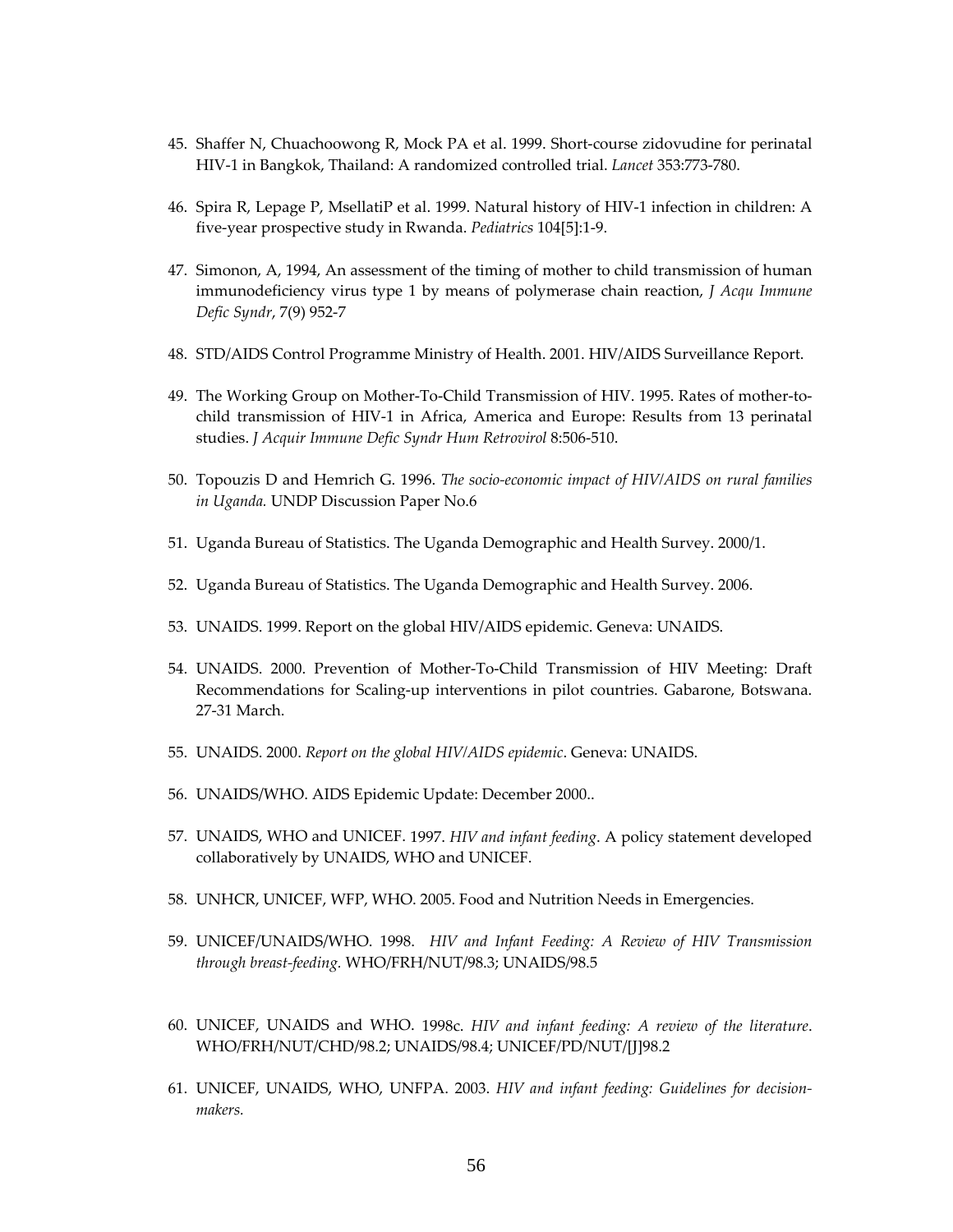- 45. Shaffer N, Chuachoowong R, Mock PA et al. 1999. Short‐course zidovudine for perinatal HIV‐1 in Bangkok, Thailand: A randomized controlled trial. *Lancet* 353:773‐780.
- 46. Spira R, Lepage P, MsellatiP et al. 1999. Natural history of HIV‐1 infection in children: A five‐year prospective study in Rwanda. *Pediatrics* 104[5]:1‐9.
- 47. Simonon, A, 1994, An assessment of the timing of mother to child transmission of human immunodeficiency virus type 1 by means of polymerase chain reaction, *J Acqu Immune Defic Syndr*, 7(9) 952‐7
- 48. STD/AIDS Control Programme Ministry of Health. 2001. HIV/AIDS Surveillance Report.
- 49. The Working Group on Mother‐To‐Child Transmission of HIV. 1995. Rates of mother‐to‐ child transmission of HIV‐1 in Africa, America and Europe: Results from 13 perinatal studies. *J Acquir Immune Defic Syndr Hum Retrovirol* 8:506‐510.
- 50. Topouzis D and Hemrich G. 1996. *The socio‐economic impact of HIV/AIDS on rural families in Uganda.* UNDP Discussion Paper No.6
- 51. Uganda Bureau of Statistics. The Uganda Demographic and Health Survey. 2000/1.
- 52. Uganda Bureau of Statistics. The Uganda Demographic and Health Survey. 2006.
- 53. UNAIDS. 1999. Report on the global HIV/AIDS epidemic. Geneva: UNAIDS.
- 54. UNAIDS. 2000. Prevention of Mother‐To‐Child Transmission of HIV Meeting: Draft Recommendations for Scaling‐up interventions in pilot countries. Gabarone, Botswana. 27‐31 March.
- 55. UNAIDS. 2000. *Report on the global HIV/AIDS epidemic*. Geneva: UNAIDS.
- 56. UNAIDS/WHO. AIDS Epidemic Update: December 2000..
- 57. UNAIDS, WHO and UNICEF. 1997. *HIV and infant feeding*. A policy statement developed collaboratively by UNAIDS, WHO and UNICEF.
- 58. UNHCR, UNICEF, WFP, WHO. 2005. Food and Nutrition Needs in Emergencies.
- 59. UNICEF/UNAIDS/WHO. 1998. *HIV and Infant Feeding: A Review of HIV Transmission through breast‐feeding.* WHO/FRH/NUT/98.3; UNAIDS/98.5
- 60. UNICEF, UNAIDS and WHO. 1998c. *HIV and infant feeding: A review of the literature*. WHO/FRH/NUT/CHD/98.2; UNAIDS/98.4; UNICEF/PD/NUT/[J]98.2
- 61. UNICEF, UNAIDS, WHO, UNFPA. 2003. *HIV and infant feeding: Guidelines for decision‐ makers.*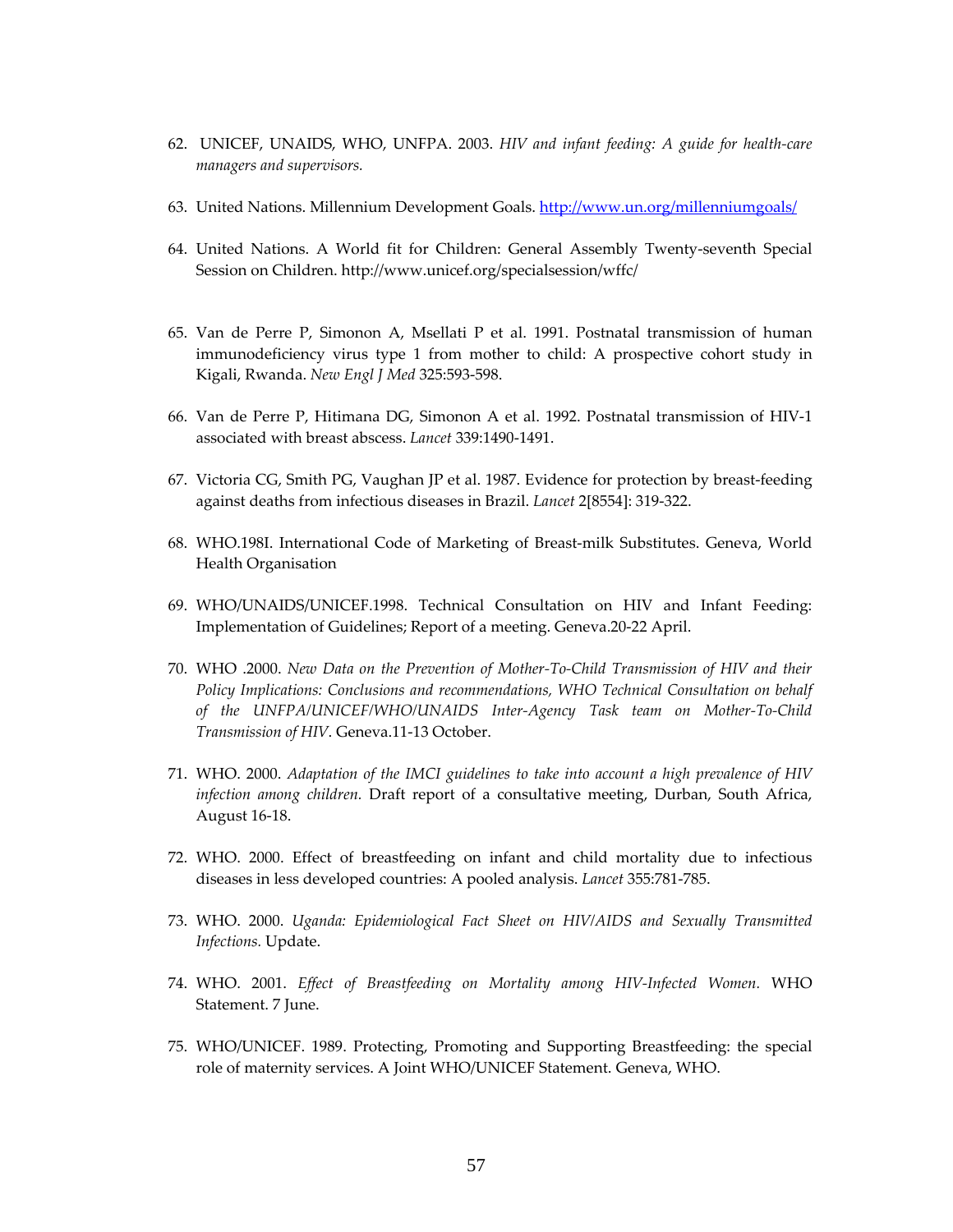- 62. UNICEF, UNAIDS, WHO, UNFPA. 2003. *HIV and infant feeding: A guide for health‐care managers and supervisors.*
- 63. United Nations. Millennium Development Goals. http://www.un.org/millenniumgoals/
- 64. United Nations. A World fit for Children: General Assembly Twenty‐seventh Special Session on Children. http://www.unicef.org/specialsession/wffc/
- 65. Van de Perre P, Simonon A, Msellati P et al. 1991. Postnatal transmission of human immunodeficiency virus type 1 from mother to child: A prospective cohort study in Kigali, Rwanda. *New Engl J Med* 325:593‐598.
- 66. Van de Perre P, Hitimana DG, Simonon A et al. 1992. Postnatal transmission of HIV‐1 associated with breast abscess. *Lancet* 339:1490‐1491.
- 67. Victoria CG, Smith PG, Vaughan JP et al. 1987. Evidence for protection by breast-feeding against deaths from infectious diseases in Brazil. *Lancet* 2[8554]: 319‐322.
- 68. WHO.198I. International Code of Marketing of Breast‐milk Substitutes. Geneva, World Health Organisation
- 69. WHO/UNAIDS/UNICEF.1998. Technical Consultation on HIV and Infant Feeding: Implementation of Guidelines; Report of a meeting. Geneva.20‐22 April.
- 70. WHO .2000. *New Data on the Prevention of Mother‐To‐Child Transmission of HIV and their Policy Implications: Conclusions and recommendations, WHO Technical Consultation on behalf of the UNFPA/UNICEF/WHO/UNAIDS Inter‐Agency Task team on Mother‐To‐Child Transmission of HIV*. Geneva.11‐13 October.
- 71. WHO. 2000. *Adaptation of the IMCI guidelines to take into account a high prevalence of HIV infection among children.* Draft report of a consultative meeting, Durban, South Africa, August 16‐18.
- 72. WHO. 2000. Effect of breastfeeding on infant and child mortality due to infectious diseases in less developed countries: A pooled analysis. *Lancet* 355:781‐785.
- 73. WHO. 2000. *Uganda: Epidemiological Fact Sheet on HIV/AIDS and Sexually Transmitted Infections.* Update.
- 74. WHO. 2001. *Effect of Breastfeeding on Mortality among HIV‐Infected Women.* WHO Statement. 7 June.
- 75. WHO/UNICEF. 1989. Protecting, Promoting and Supporting Breastfeeding: the special role of maternity services. A Joint WHO/UNICEF Statement. Geneva, WHO.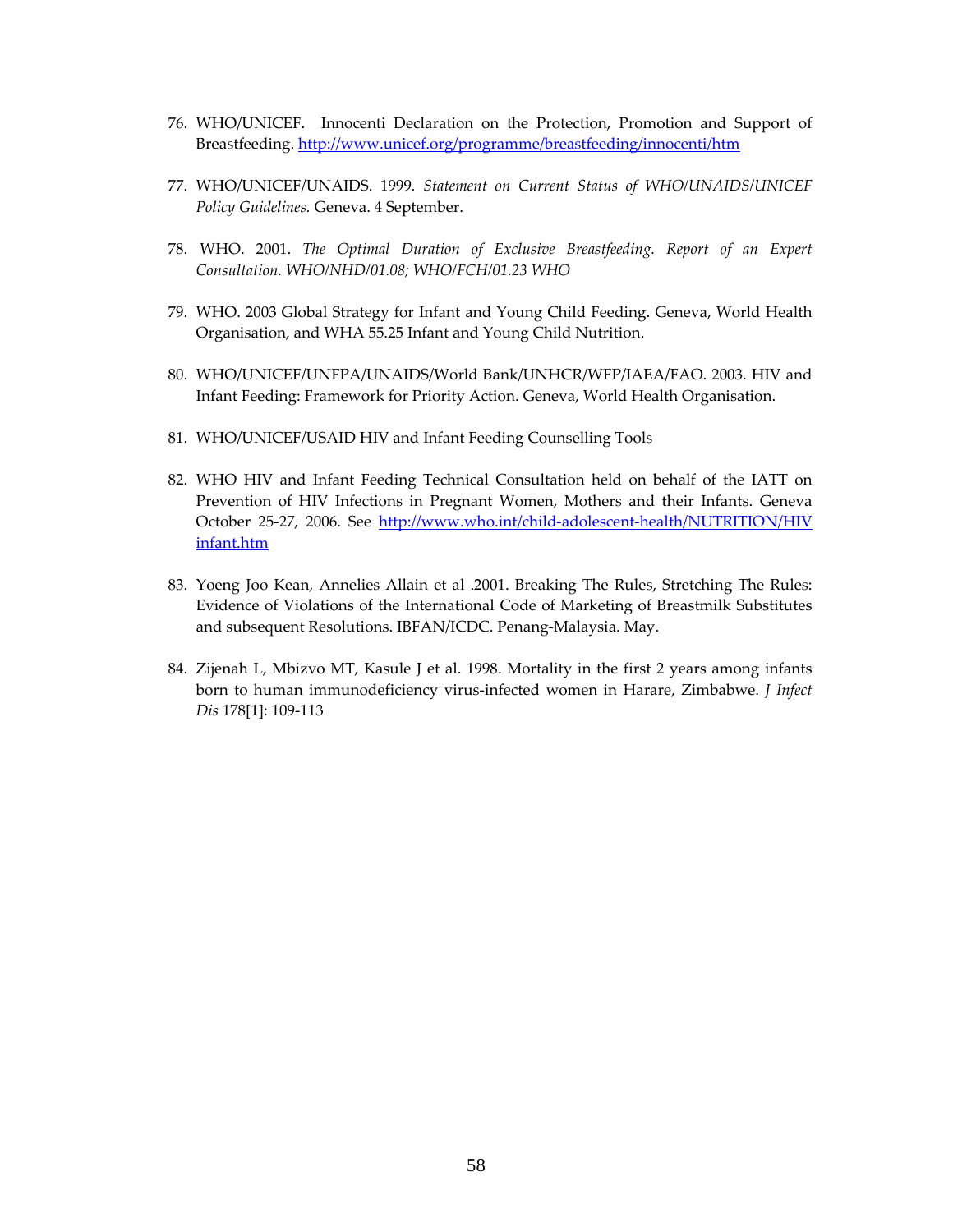- 76. WHO/UNICEF. Innocenti Declaration on the Protection, Promotion and Support of Breastfeeding. http://www.unicef.org/programme/breastfeeding/innocenti/htm
- 77. WHO/UNICEF/UNAIDS. 1999*. Statement on Current Status of WHO/UNAIDS/UNICEF Policy Guidelines.* Geneva. 4 September.
- 78. WHO. 2001. *The Optimal Duration of Exclusive Breastfeeding. Report of an Expert Consultation. WHO/NHD/01.08; WHO/FCH/01.23 WHO*
- 79. WHO. 2003 Global Strategy for Infant and Young Child Feeding. Geneva, World Health Organisation, and WHA 55.25 Infant and Young Child Nutrition.
- 80. WHO/UNICEF/UNFPA/UNAIDS/World Bank/UNHCR/WFP/IAEA/FAO. 2003. HIV and Infant Feeding: Framework for Priority Action. Geneva, World Health Organisation.
- 81. WHO/UNICEF/USAID HIV and Infant Feeding Counselling Tools
- 82. WHO HIV and Infant Feeding Technical Consultation held on behalf of the IATT on Prevention of HIV Infections in Pregnant Women, Mothers and their Infants. Geneva October 25-27, 2006. See http://www.who.int/child-adolescent-health/NUTRITION/HIV infant.htm
- 83. Yoeng Joo Kean, Annelies Allain et al .2001. Breaking The Rules, Stretching The Rules: Evidence of Violations of the International Code of Marketing of Breastmilk Substitutes and subsequent Resolutions. IBFAN/ICDC. Penang‐Malaysia. May.
- 84. Zijenah L, Mbizvo MT, Kasule J et al. 1998. Mortality in the first 2 years among infants born to human immunodeficiency virus‐infected women in Harare, Zimbabwe. *J Infect Dis* 178[1]: 109‐113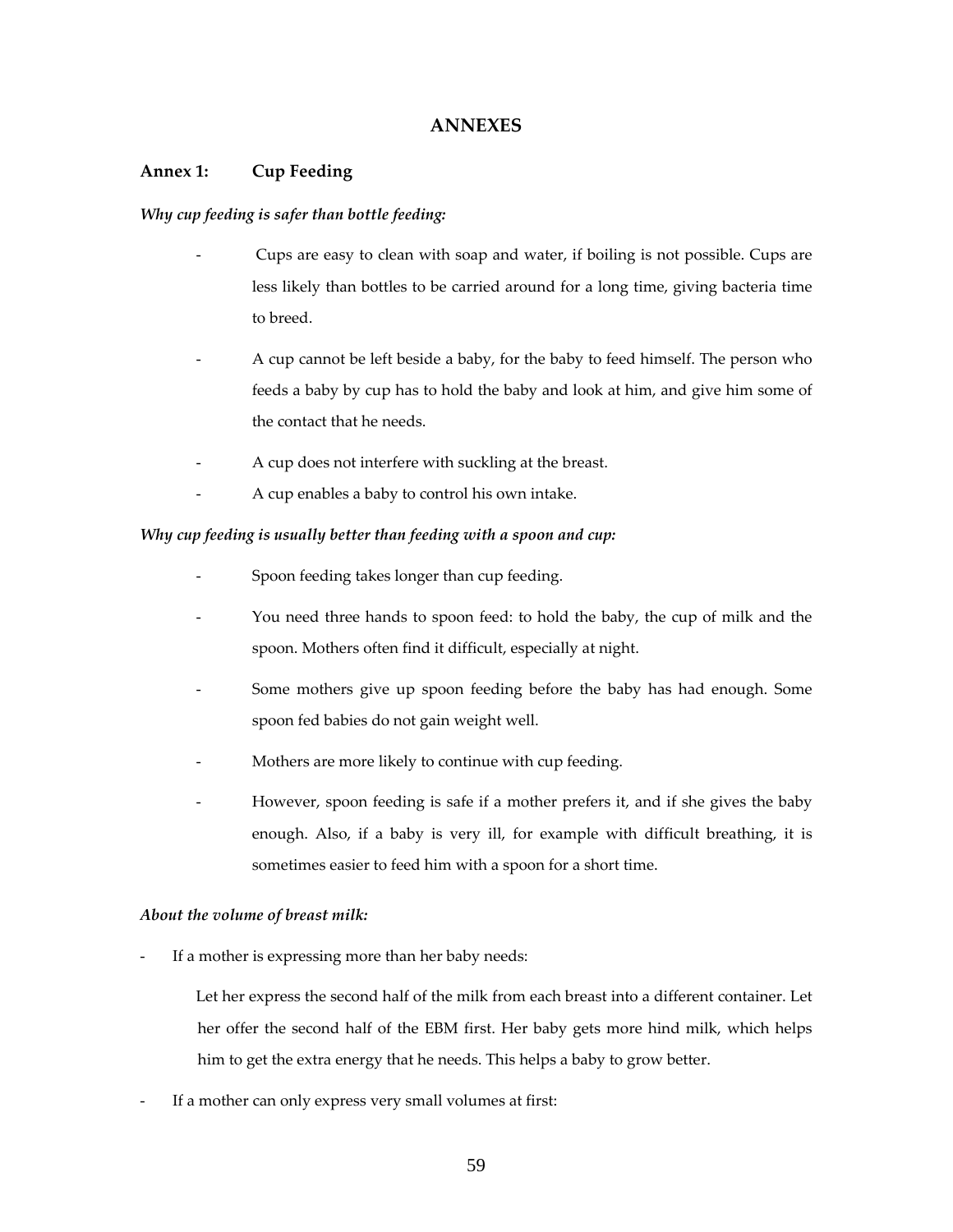# **ANNEXES**

# **Annex 1: Cup Feeding**

# *Why cup feeding is safer than bottle feeding:*

- Cups are easy to clean with soap and water, if boiling is not possible. Cups are less likely than bottles to be carried around for a long time, giving bacteria time to breed.
- A cup cannot be left beside a baby, for the baby to feed himself. The person who feeds a baby by cup has to hold the baby and look at him, and give him some of the contact that he needs.
- A cup does not interfere with suckling at the breast.
- A cup enables a baby to control his own intake.

# *Why cup feeding is usually better than feeding with a spoon and cup:*

- Spoon feeding takes longer than cup feeding.
- You need three hands to spoon feed: to hold the baby, the cup of milk and the spoon. Mothers often find it difficult, especially at night.
- Some mothers give up spoon feeding before the baby has had enough. Some spoon fed babies do not gain weight well.
- Mothers are more likely to continue with cup feeding.
- However, spoon feeding is safe if a mother prefers it, and if she gives the baby enough. Also, if a baby is very ill, for example with difficult breathing, it is sometimes easier to feed him with a spoon for a short time.

#### *About the volume of breast milk:*

If a mother is expressing more than her baby needs:

Let her express the second half of the milk from each breast into a different container. Let her offer the second half of the EBM first. Her baby gets more hind milk, which helps him to get the extra energy that he needs. This helps a baby to grow better.

If a mother can only express very small volumes at first: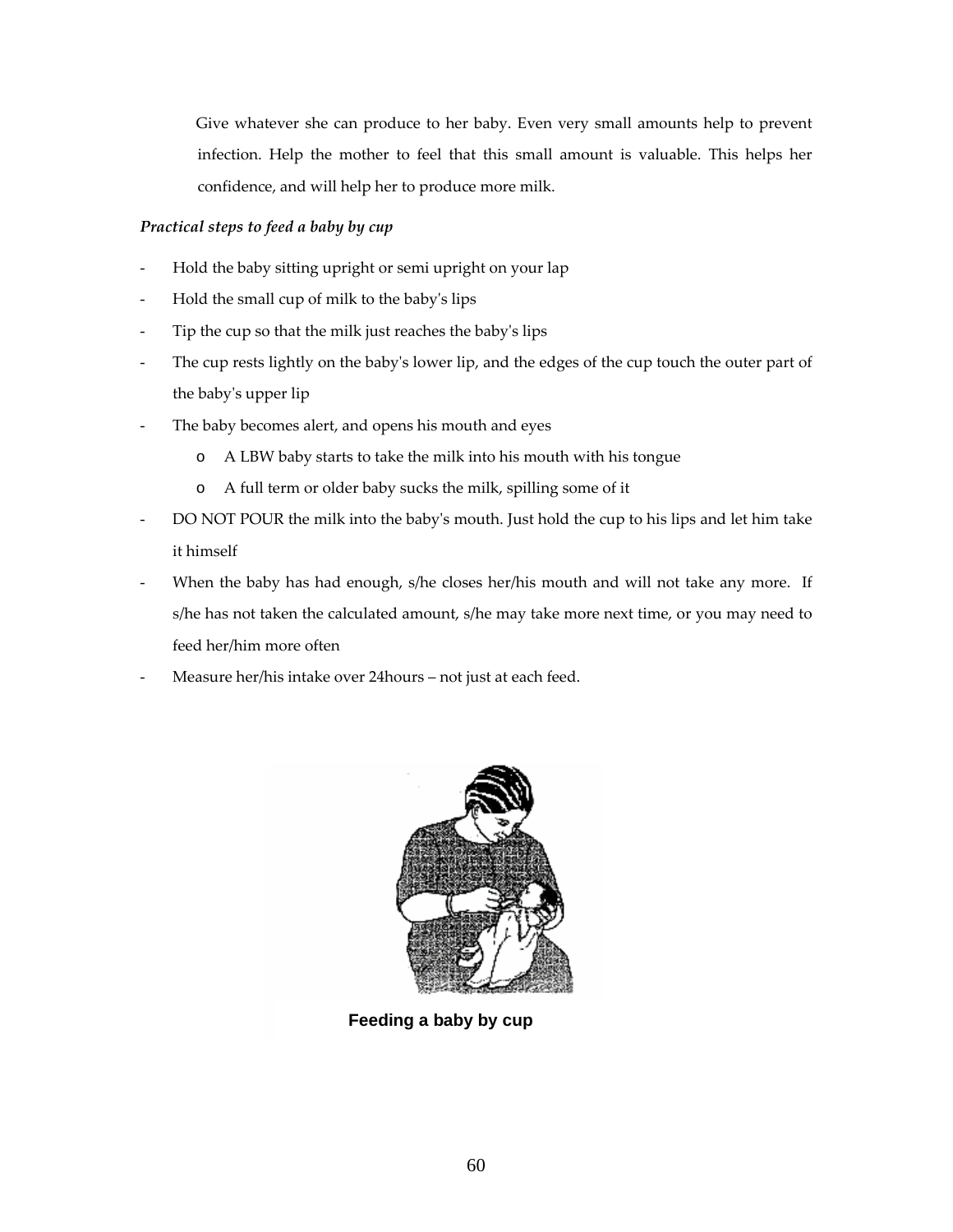Give whatever she can produce to her baby. Even very small amounts help to prevent infection. Help the mother to feel that this small amount is valuable. This helps her confidence, and will help her to produce more milk.

# *Practical steps to feed a baby by cup*

- Hold the baby sitting upright or semi upright on your lap
- Hold the small cup of milk to the baby's lips
- Tip the cup so that the milk just reaches the baby's lips
- The cup rests lightly on the baby's lower lip, and the edges of the cup touch the outer part of the babyʹs upper lip
- The baby becomes alert, and opens his mouth and eyes
	- o A LBW baby starts to take the milk into his mouth with his tongue
	- o A full term or older baby sucks the milk, spilling some of it
- DO NOT POUR the milk into the baby's mouth. Just hold the cup to his lips and let him take it himself
- When the baby has had enough, s/he closes her/his mouth and will not take any more. If s/he has not taken the calculated amount, s/he may take more next time, or you may need to feed her/him more often
- Measure her/his intake over 24 hours not just at each feed.



**Feeding a baby by cup**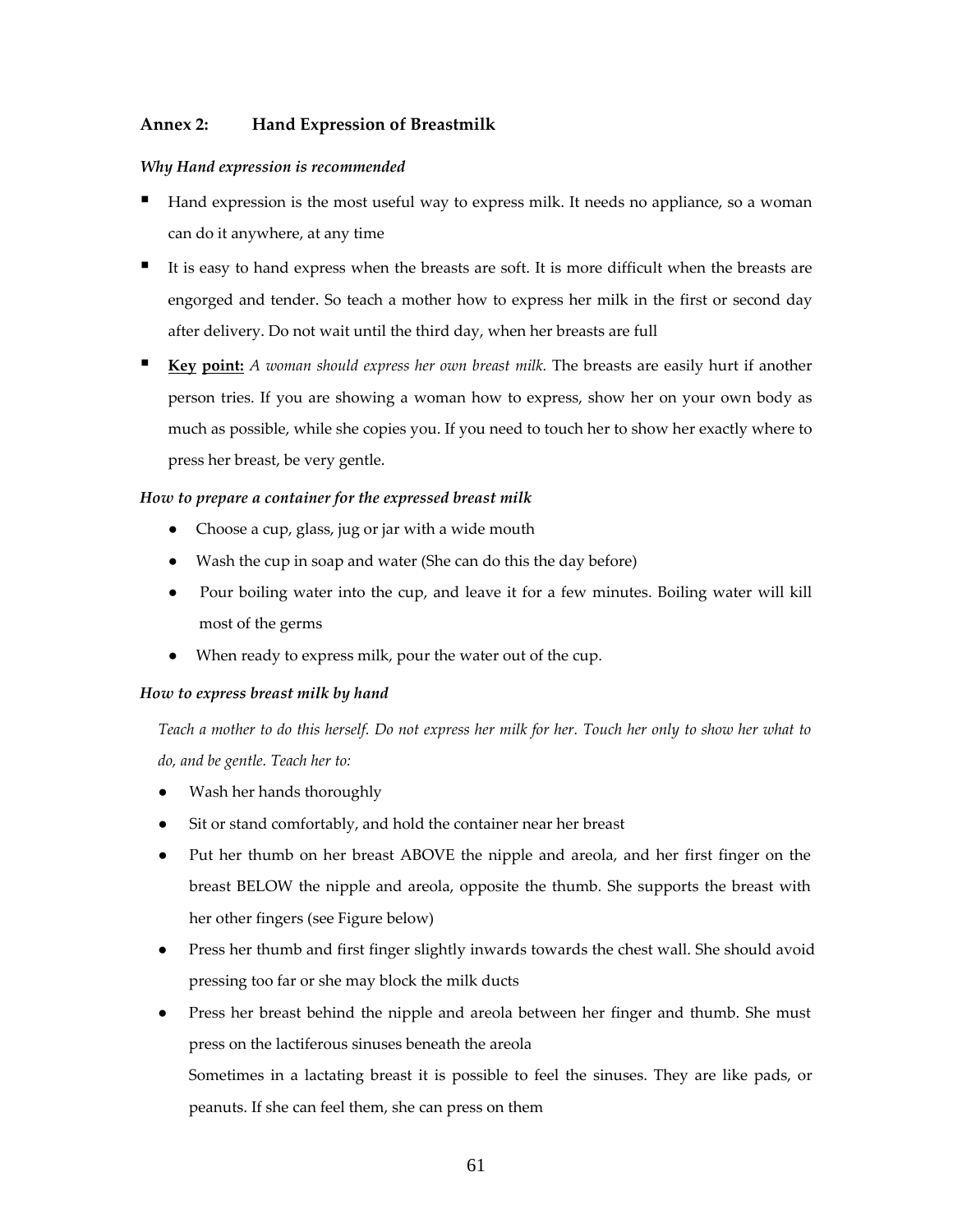# **Annex 2: Hand Expression of Breastmilk**

# *Why Hand expression is recommended*

- Hand expression is the most useful way to express milk. It needs no appliance, so a woman can do it anywhere, at any time
- It is easy to hand express when the breasts are soft. It is more difficult when the breasts are engorged and tender. So teach a mother how to express her milk in the first or second day after delivery. Do not wait until the third day, when her breasts are full
- **Key point:** *A woman should express her own breast milk.* The breasts are easily hurt if another person tries. If you are showing a woman how to express, show her on your own body as much as possible, while she copies you. If you need to touch her to show her exactly where to press her breast, be very gentle.

# *How to prepare a container for the expressed breast milk*

- Choose a cup, glass, jug or jar with a wide mouth
- Wash the cup in soap and water (She can do this the day before)
- Pour boiling water into the cup, and leave it for a few minutes. Boiling water will kill most of the germs
- When ready to express milk, pour the water out of the cup.

# *How to express breast milk by hand*

Teach a mother to do this herself. Do not express her milk for her. Touch her only to show her what to *do, and be gentle. Teach her to:*

- Wash her hands thoroughly
- Sit or stand comfortably, and hold the container near her breast
- Put her thumb on her breast ABOVE the nipple and areola, and her first finger on the breast BELOW the nipple and areola, opposite the thumb. She supports the breast with her other fingers (see Figure below)
- Press her thumb and first finger slightly inwards towards the chest wall. She should avoid pressing too far or she may block the milk ducts
- Press her breast behind the nipple and areola between her finger and thumb. She must press on the lactiferous sinuses beneath the areola Sometimes in a lactating breast it is possible to feel the sinuses. They are like pads, or peanuts. If she can feel them, she can press on them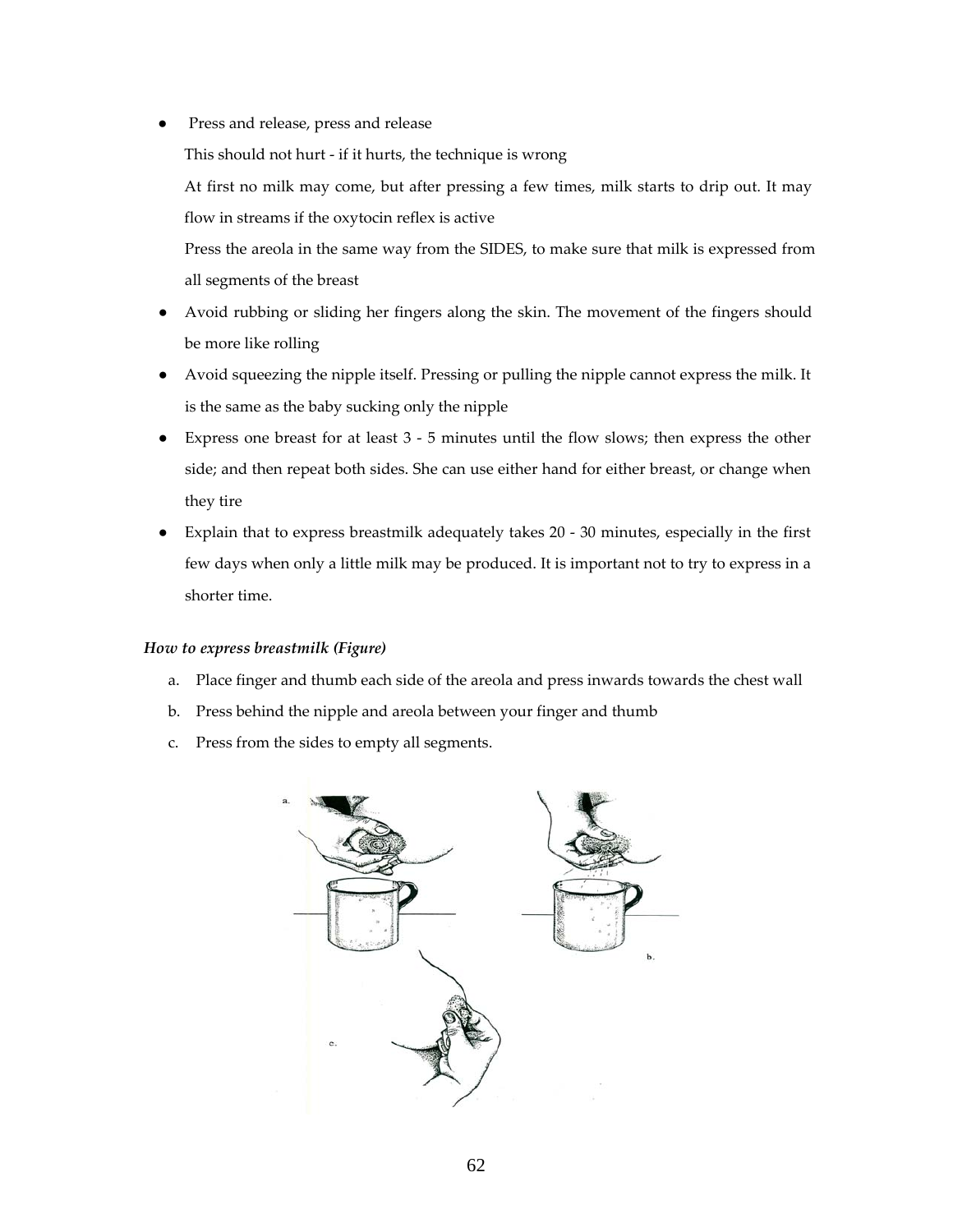● Press and release, press and release

This should not hurt ‐ if it hurts, the technique is wrong

At first no milk may come, but after pressing a few times, milk starts to drip out. It may flow in streams if the oxytocin reflex is active

Press the areola in the same way from the SIDES, to make sure that milk is expressed from all segments of the breast

- Avoid rubbing or sliding her fingers along the skin. The movement of the fingers should be more like rolling
- Avoid squeezing the nipple itself. Pressing or pulling the nipple cannot express the milk. It is the same as the baby sucking only the nipple
- Express one breast for at least 3 5 minutes until the flow slows; then express the other side; and then repeat both sides. She can use either hand for either breast, or change when they tire
- Explain that to express breastmilk adequately takes 20 ‐ 30 minutes, especially in the first few days when only a little milk may be produced. It is important not to try to express in a shorter time.

#### *How to express breastmilk (Figure)*

- a. Place finger and thumb each side of the areola and press inwards towards the chest wall
- b. Press behind the nipple and areola between your finger and thumb
- c. Press from the sides to empty all segments.

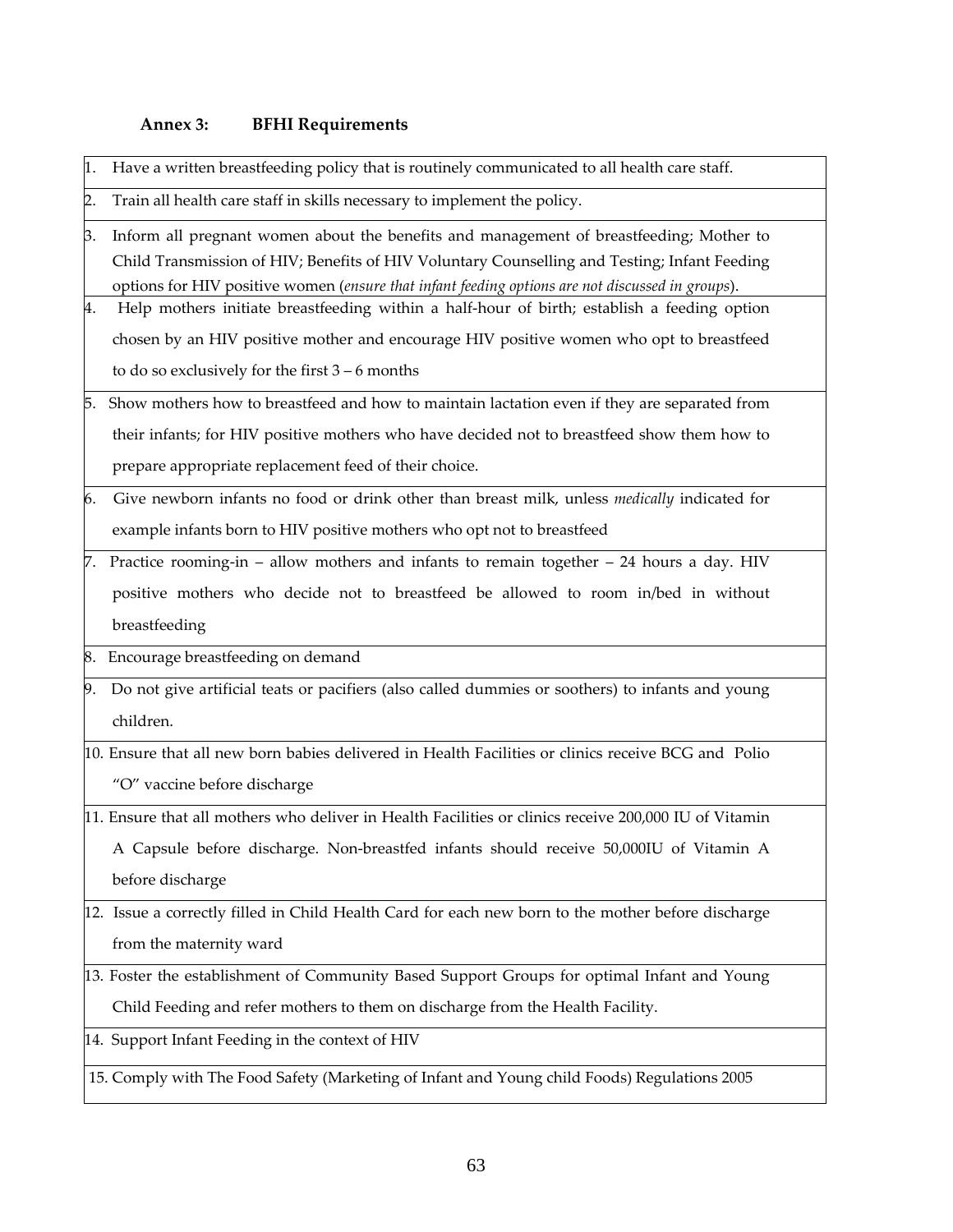# **Annex 3: BFHI Requirements**

| 1. | Have a written breastfeeding policy that is routinely communicated to all health care staff.                                                                                                                                                                                                |
|----|---------------------------------------------------------------------------------------------------------------------------------------------------------------------------------------------------------------------------------------------------------------------------------------------|
| 2. | Train all health care staff in skills necessary to implement the policy.                                                                                                                                                                                                                    |
| З. | Inform all pregnant women about the benefits and management of breastfeeding; Mother to<br>Child Transmission of HIV; Benefits of HIV Voluntary Counselling and Testing; Infant Feeding<br>options for HIV positive women (ensure that infant feeding options are not discussed in groups). |
| 4. | Help mothers initiate breastfeeding within a half-hour of birth; establish a feeding option                                                                                                                                                                                                 |
|    | chosen by an HIV positive mother and encourage HIV positive women who opt to breastfeed                                                                                                                                                                                                     |
|    | to do so exclusively for the first $3 - 6$ months                                                                                                                                                                                                                                           |
|    | 5. Show mothers how to breastfeed and how to maintain lactation even if they are separated from                                                                                                                                                                                             |
|    | their infants; for HIV positive mothers who have decided not to breastfeed show them how to                                                                                                                                                                                                 |
|    | prepare appropriate replacement feed of their choice.                                                                                                                                                                                                                                       |
| 6. | Give newborn infants no food or drink other than breast milk, unless medically indicated for                                                                                                                                                                                                |
|    | example infants born to HIV positive mothers who opt not to breastfeed                                                                                                                                                                                                                      |
|    | 7. Practice rooming-in – allow mothers and infants to remain together $-24$ hours a day. HIV                                                                                                                                                                                                |
|    | positive mothers who decide not to breastfeed be allowed to room in/bed in without                                                                                                                                                                                                          |
|    | breastfeeding                                                                                                                                                                                                                                                                               |
| 8. | Encourage breastfeeding on demand                                                                                                                                                                                                                                                           |
| 9. | Do not give artificial teats or pacifiers (also called dummies or soothers) to infants and young                                                                                                                                                                                            |
|    | children.                                                                                                                                                                                                                                                                                   |
|    | 10. Ensure that all new born babies delivered in Health Facilities or clinics receive BCG and Polio                                                                                                                                                                                         |
|    | "O" vaccine before discharge                                                                                                                                                                                                                                                                |
|    | 11. Ensure that all mothers who deliver in Health Facilities or clinics receive 200,000 IU of Vitamin                                                                                                                                                                                       |
|    | A Capsule before discharge. Non-breastfed infants should receive 50,000IU of Vitamin A                                                                                                                                                                                                      |
|    | before discharge                                                                                                                                                                                                                                                                            |
|    | 12. Issue a correctly filled in Child Health Card for each new born to the mother before discharge                                                                                                                                                                                          |
|    | from the maternity ward                                                                                                                                                                                                                                                                     |
|    | 13. Foster the establishment of Community Based Support Groups for optimal Infant and Young                                                                                                                                                                                                 |
|    | Child Feeding and refer mothers to them on discharge from the Health Facility.                                                                                                                                                                                                              |
|    | 14. Support Infant Feeding in the context of HIV                                                                                                                                                                                                                                            |
|    | 15. Comply with The Food Safety (Marketing of Infant and Young child Foods) Regulations 2005                                                                                                                                                                                                |
|    |                                                                                                                                                                                                                                                                                             |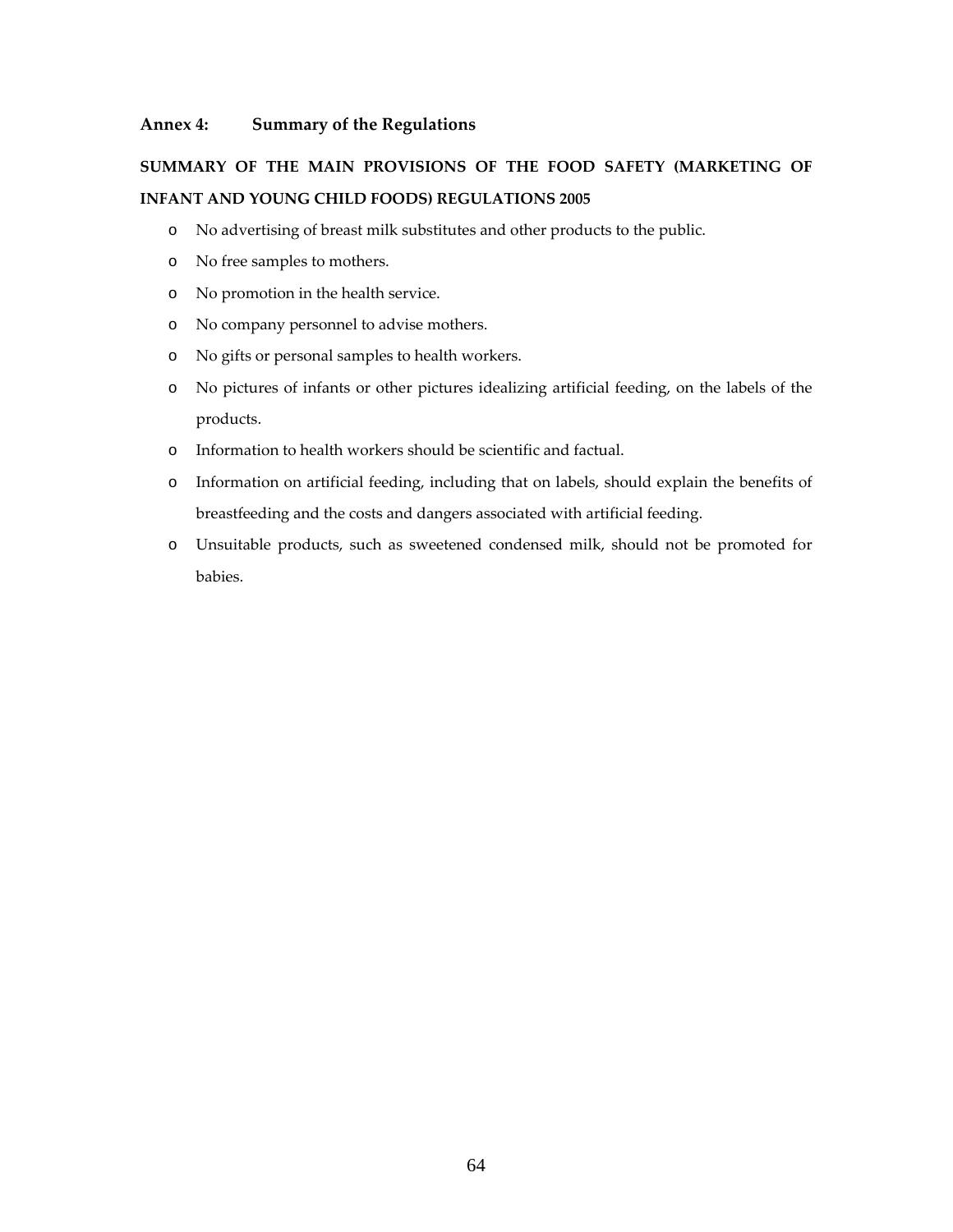# **Annex 4: Summary of the Regulations**

# **SUMMARY OF THE MAIN PROVISIONS OF THE FOOD SAFETY (MARKETING OF INFANT AND YOUNG CHILD FOODS) REGULATIONS 2005**

- o No advertising of breast milk substitutes and other products to the public.
- o No free samples to mothers.
- o No promotion in the health service.
- o No company personnel to advise mothers.
- o No gifts or personal samples to health workers.
- o No pictures of infants or other pictures idealizing artificial feeding, on the labels of the products.
- o Information to health workers should be scientific and factual.
- o Information on artificial feeding, including that on labels, should explain the benefits of breastfeeding and the costs and dangers associated with artificial feeding.
- o Unsuitable products, such as sweetened condensed milk, should not be promoted for babies.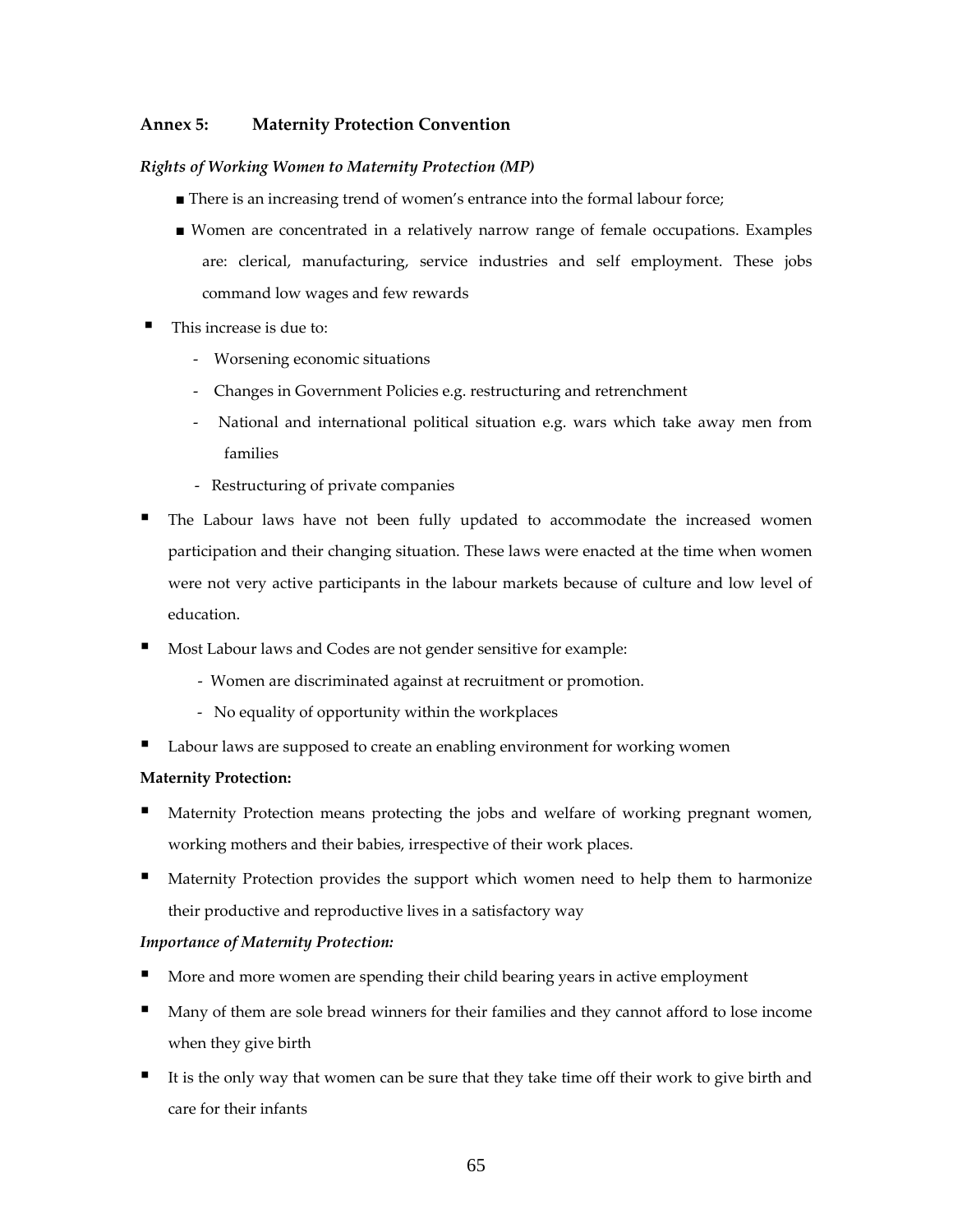# **Annex 5: Maternity Protection Convention**

# *Rights of Working Women to Maternity Protection (MP)*

- There is an increasing trend of women's entrance into the formal labour force;
- Women are concentrated in a relatively narrow range of female occupations. Examples are: clerical, manufacturing, service industries and self employment. These jobs command low wages and few rewards
- This increase is due to:
	- ‐ Worsening economic situations
	- ‐ Changes in Government Policies e.g. restructuring and retrenchment
	- National and international political situation e.g. wars which take away men from families
	- ‐ Restructuring of private companies
- The Labour laws have not been fully updated to accommodate the increased women participation and their changing situation. These laws were enacted at the time when women were not very active participants in the labour markets because of culture and low level of education.
- Most Labour laws and Codes are not gender sensitive for example:
	- ‐ Women are discriminated against at recruitment or promotion.
	- ‐ No equality of opportunity within the workplaces
- Labour laws are supposed to create an enabling environment for working women

# **Maternity Protection:**

- Maternity Protection means protecting the jobs and welfare of working pregnant women, working mothers and their babies, irrespective of their work places.
- Maternity Protection provides the support which women need to help them to harmonize their productive and reproductive lives in a satisfactory way

#### *Importance of Maternity Protection:*

- More and more women are spending their child bearing years in active employment
- Many of them are sole bread winners for their families and they cannot afford to lose income when they give birth
- It is the only way that women can be sure that they take time off their work to give birth and care for their infants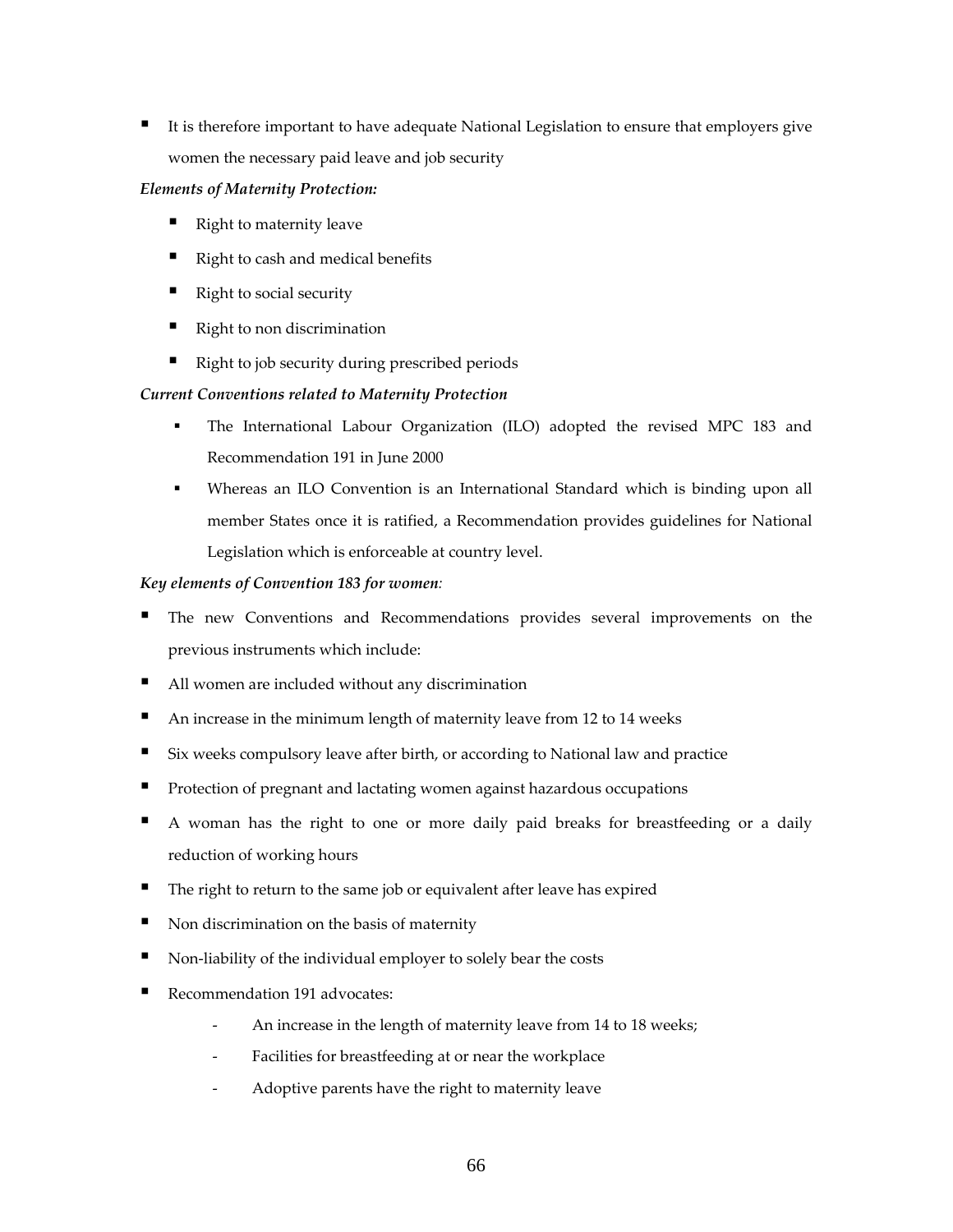It is therefore important to have adequate National Legislation to ensure that employers give women the necessary paid leave and job security

# *Elements of Maternity Protection:*

- Right to maternity leave
- Right to cash and medical benefits
- Right to social security
- Right to non discrimination
- Right to job security during prescribed periods

# *Current Conventions related to Maternity Protection*

- The International Labour Organization (ILO) adopted the revised MPC 183 and Recommendation 191 in June 2000
- Whereas an ILO Convention is an International Standard which is binding upon all member States once it is ratified, a Recommendation provides guidelines for National Legislation which is enforceable at country level.

# *Key elements of Convention 183 for women:*

- The new Conventions and Recommendations provides several improvements on the previous instruments which include:
- All women are included without any discrimination
- An increase in the minimum length of maternity leave from 12 to 14 weeks
- Six weeks compulsory leave after birth, or according to National law and practice
- **Protection of pregnant and lactating women against hazardous occupations**
- A woman has the right to one or more daily paid breaks for breastfeeding or a daily reduction of working hours
- The right to return to the same job or equivalent after leave has expired
- Non discrimination on the basis of maternity
- Non‐liability of the individual employer to solely bear the costs
- Recommendation 191 advocates:
	- An increase in the length of maternity leave from 14 to 18 weeks;
	- Facilities for breastfeeding at or near the workplace
	- ‐ Adoptive parents have the right to maternity leave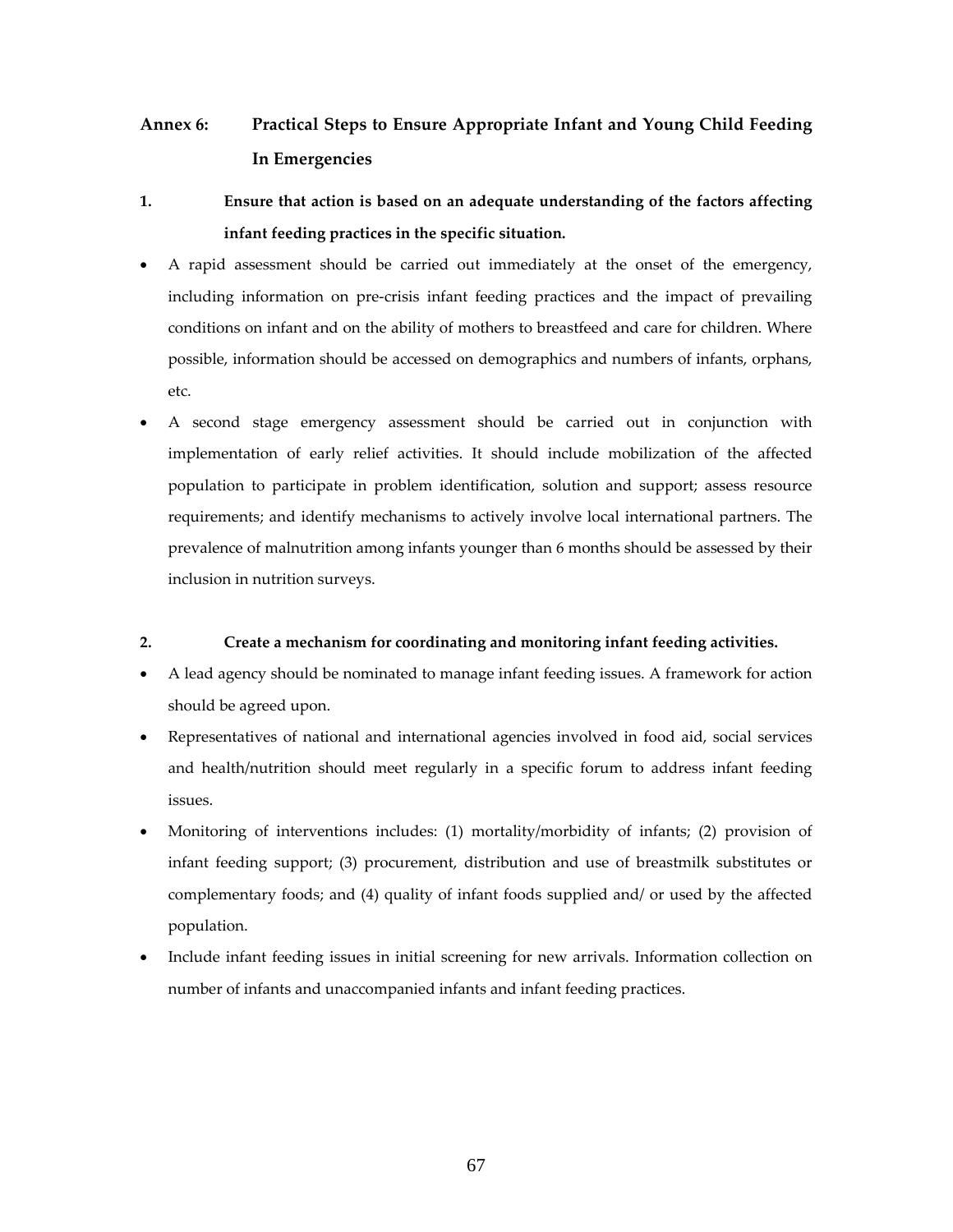# **Annex 6: Practical Steps to Ensure Appropriate Infant and Young Child Feeding In Emergencies**

- **1. Ensure that action is based on an adequate understanding of the factors affecting infant feeding practices in the specific situation.**
- A rapid assessment should be carried out immediately at the onset of the emergency, including information on pre‐crisis infant feeding practices and the impact of prevailing conditions on infant and on the ability of mothers to breastfeed and care for children. Where possible, information should be accessed on demographics and numbers of infants, orphans, etc.
- A second stage emergency assessment should be carried out in conjunction with implementation of early relief activities. It should include mobilization of the affected population to participate in problem identification, solution and support; assess resource requirements; and identify mechanisms to actively involve local international partners. The prevalence of malnutrition among infants younger than 6 months should be assessed by their inclusion in nutrition surveys.

# **2. Create a mechanism for coordinating and monitoring infant feeding activities.**

- A lead agency should be nominated to manage infant feeding issues. A framework for action should be agreed upon.
- Representatives of national and international agencies involved in food aid, social services and health/nutrition should meet regularly in a specific forum to address infant feeding issues.
- Monitoring of interventions includes: (1) mortality/morbidity of infants; (2) provision of infant feeding support; (3) procurement, distribution and use of breastmilk substitutes or complementary foods; and (4) quality of infant foods supplied and/ or used by the affected population.
- Include infant feeding issues in initial screening for new arrivals. Information collection on number of infants and unaccompanied infants and infant feeding practices.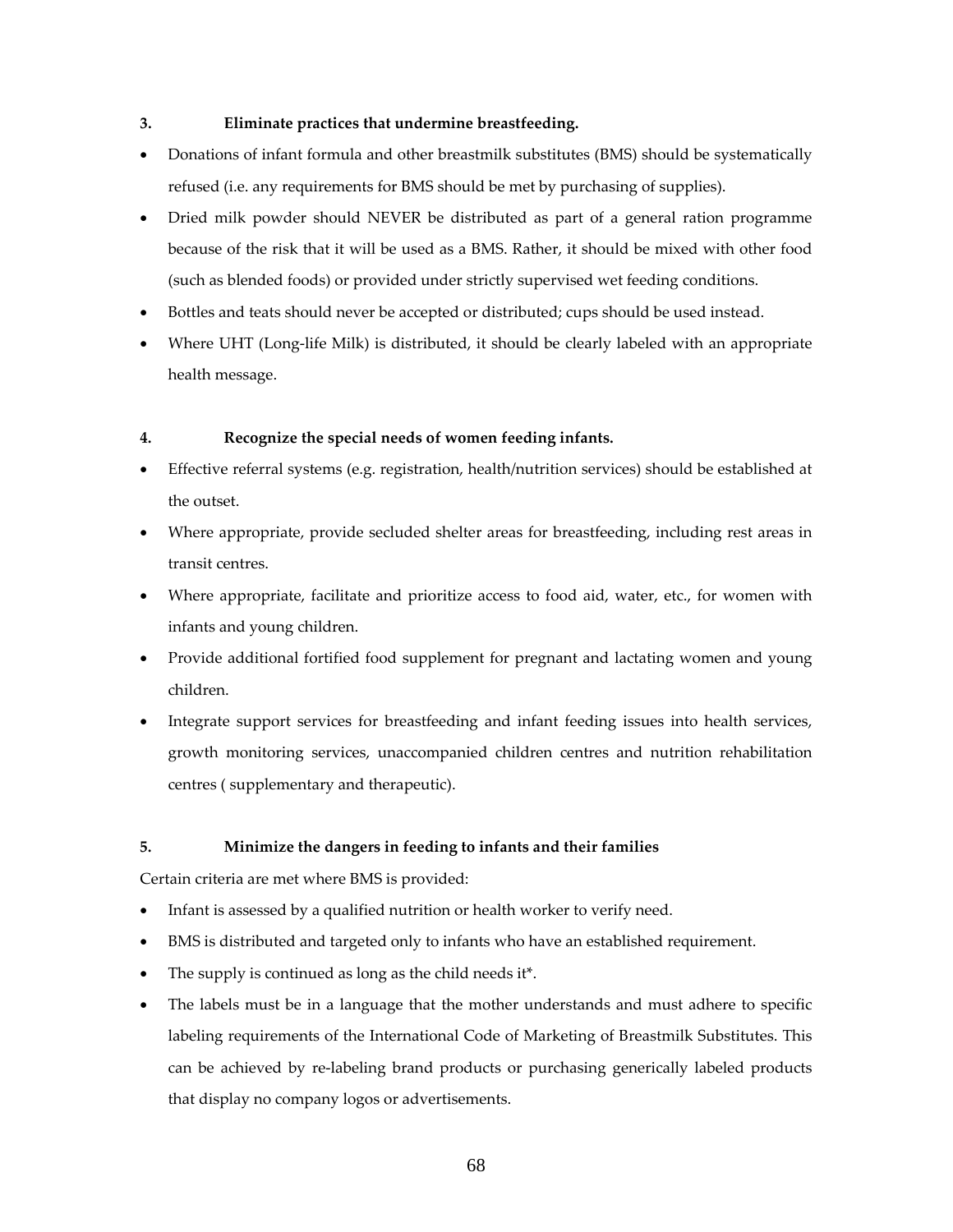# **3. Eliminate practices that undermine breastfeeding.**

- Donations of infant formula and other breastmilk substitutes (BMS) should be systematically refused (i.e. any requirements for BMS should be met by purchasing of supplies).
- Dried milk powder should NEVER be distributed as part of a general ration programme because of the risk that it will be used as a BMS. Rather, it should be mixed with other food (such as blended foods) or provided under strictly supervised wet feeding conditions.
- Bottles and teats should never be accepted or distributed; cups should be used instead.
- Where UHT (Long-life Milk) is distributed, it should be clearly labeled with an appropriate health message.

# **4. Recognize the special needs of women feeding infants.**

- Effective referral systems (e.g. registration, health/nutrition services) should be established at the outset.
- Where appropriate, provide secluded shelter areas for breastfeeding, including rest areas in transit centres.
- Where appropriate, facilitate and prioritize access to food aid, water, etc., for women with infants and young children.
- Provide additional fortified food supplement for pregnant and lactating women and young children.
- Integrate support services for breastfeeding and infant feeding issues into health services, growth monitoring services, unaccompanied children centres and nutrition rehabilitation centres ( supplementary and therapeutic).

# **5. Minimize the dangers in feeding to infants and their families**

Certain criteria are met where BMS is provided:

- Infant is assessed by a qualified nutrition or health worker to verify need.
- BMS is distributed and targeted only to infants who have an established requirement.
- The supply is continued as long as the child needs it\*.
- The labels must be in a language that the mother understands and must adhere to specific labeling requirements of the International Code of Marketing of Breastmilk Substitutes. This can be achieved by re‐labeling brand products or purchasing generically labeled products that display no company logos or advertisements.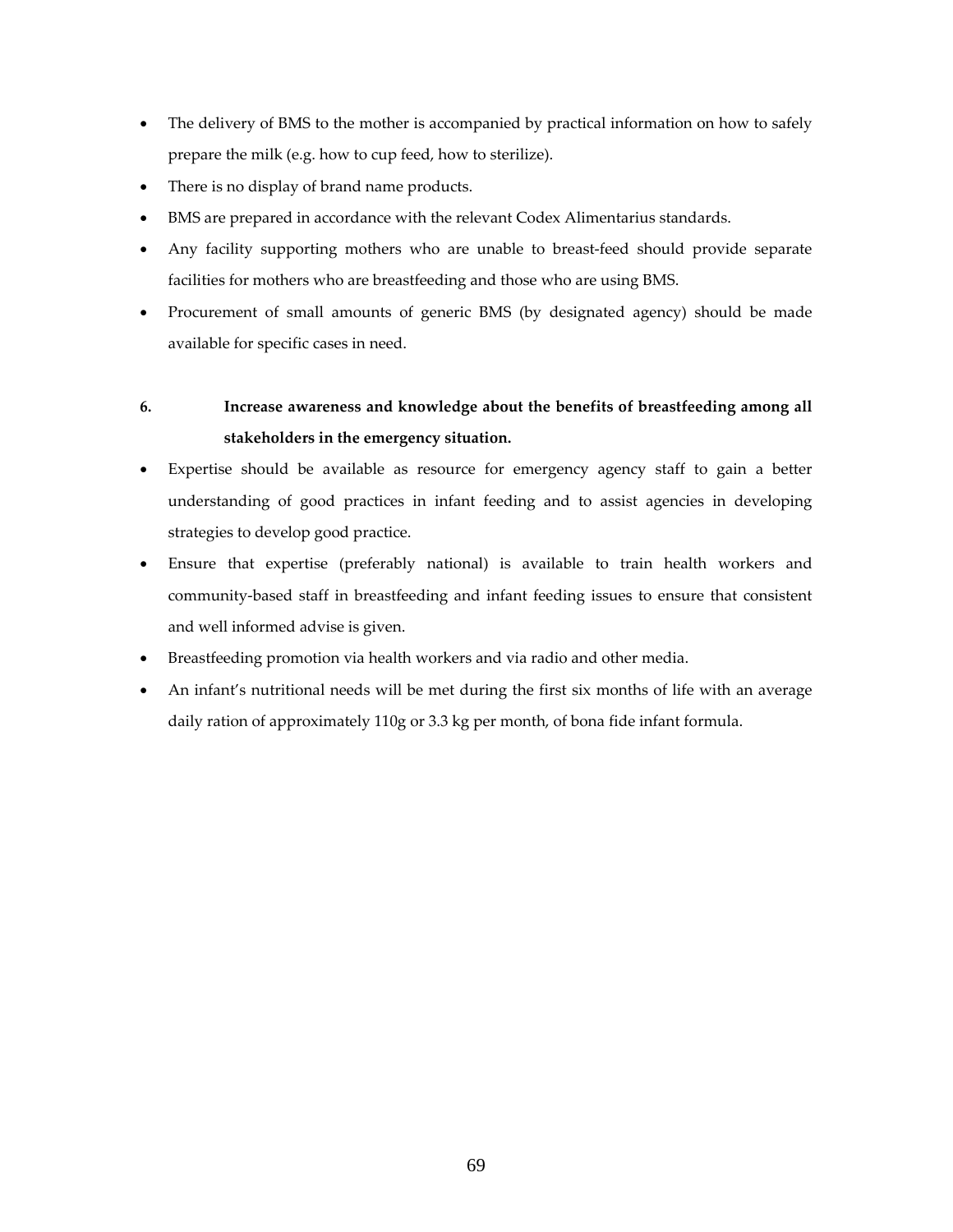- The delivery of BMS to the mother is accompanied by practical information on how to safely prepare the milk (e.g. how to cup feed, how to sterilize).
- There is no display of brand name products.
- BMS are prepared in accordance with the relevant Codex Alimentarius standards.
- Any facility supporting mothers who are unable to breast-feed should provide separate facilities for mothers who are breastfeeding and those who are using BMS.
- Procurement of small amounts of generic BMS (by designated agency) should be made available for specific cases in need.

# **6. Increase awareness and knowledge about the benefits of breastfeeding among all stakeholders in the emergency situation.**

- Expertise should be available as resource for emergency agency staff to gain a better understanding of good practices in infant feeding and to assist agencies in developing strategies to develop good practice.
- Ensure that expertise (preferably national) is available to train health workers and community-based staff in breastfeeding and infant feeding issues to ensure that consistent and well informed advise is given.
- Breastfeeding promotion via health workers and via radio and other media.
- An infant's nutritional needs will be met during the first six months of life with an average daily ration of approximately 110g or 3.3 kg per month, of bona fide infant formula.